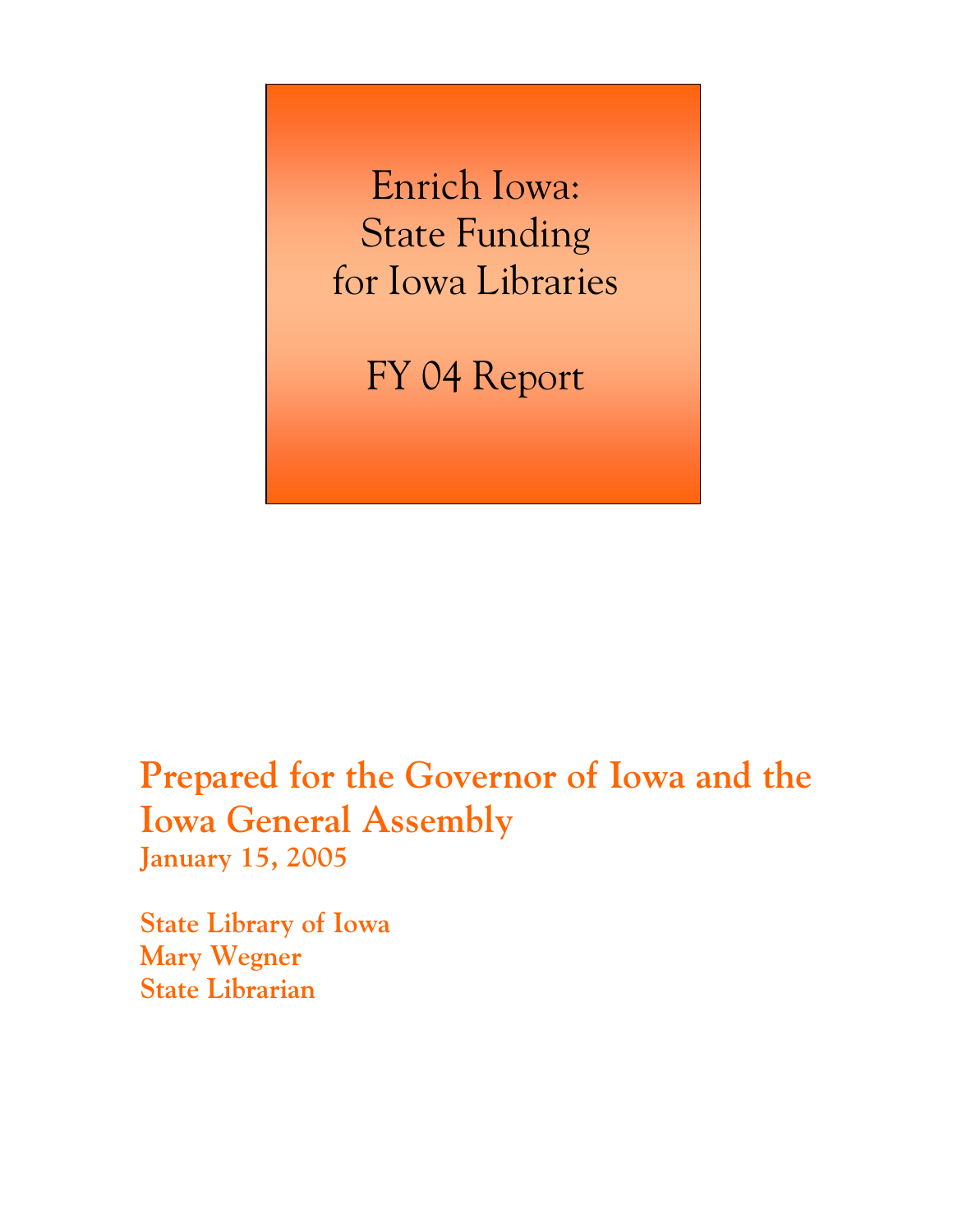Enrich Iowa: State Funding for Iowa Libraries

FY 04 Report

**Prepared for the Governor of Iowa and the Iowa General Assembly January 15, 2005** 

**State Library of Iowa Mary Wegner State Librarian**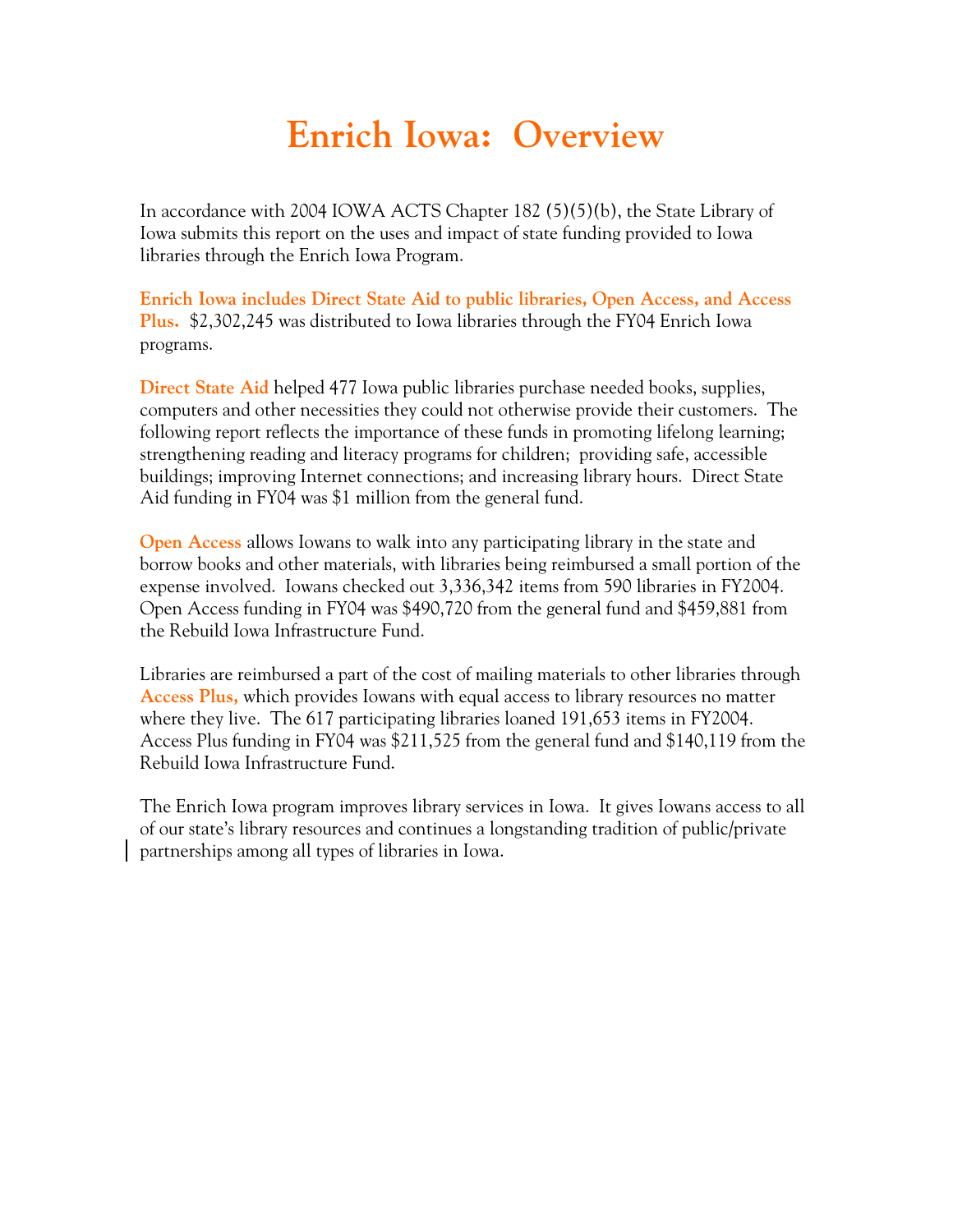## **Enrich Iowa: Overview**

In accordance with 2004 IOWA ACTS Chapter 182 (5)(5)(b), the State Library of Iowa submits this report on the uses and impact of state funding provided to Iowa libraries through the Enrich Iowa Program.

**Enrich Iowa includes Direct State Aid to public libraries, Open Access, and Access Plus.** \$2,302,245 was distributed to Iowa libraries through the FY04 Enrich Iowa programs.

**Direct State Aid** helped 477 Iowa public libraries purchase needed books, supplies, computers and other necessities they could not otherwise provide their customers. The following report reflects the importance of these funds in promoting lifelong learning; strengthening reading and literacy programs for children; providing safe, accessible buildings; improving Internet connections; and increasing library hours. Direct State Aid funding in FY04 was \$1 million from the general fund.

**Open Access** allows Iowans to walk into any participating library in the state and borrow books and other materials, with libraries being reimbursed a small portion of the expense involved. Iowans checked out 3,336,342 items from 590 libraries in FY2004. Open Access funding in FY04 was \$490,720 from the general fund and \$459,881 from the Rebuild Iowa Infrastructure Fund.

Libraries are reimbursed a part of the cost of mailing materials to other libraries through **Access Plus,** which provides Iowans with equal access to library resources no matter where they live. The 617 participating libraries loaned 191,653 items in FY2004. Access Plus funding in FY04 was \$211,525 from the general fund and \$140,119 from the Rebuild Iowa Infrastructure Fund.

The Enrich Iowa program improves library services in Iowa. It gives Iowans access to all of our state's library resources and continues a longstanding tradition of public/private partnerships among all types of libraries in Iowa.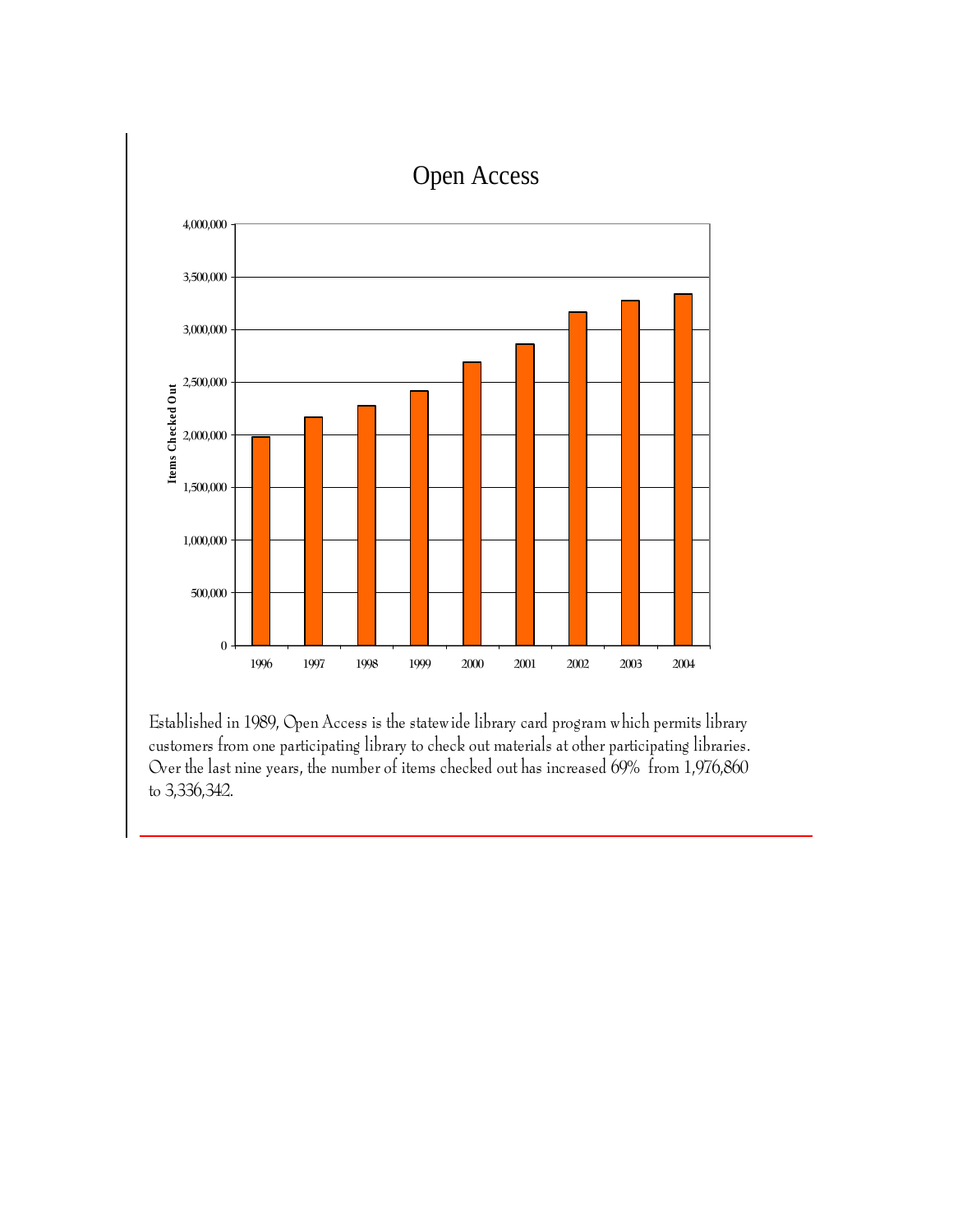

Established in 1989, Open Access is the statewide library card program which permits library customers from one participating library to check out materials at other participating libraries. Over the last nine years, the number of items checked out has increased 69% from 1,976,860 to 3,336,342.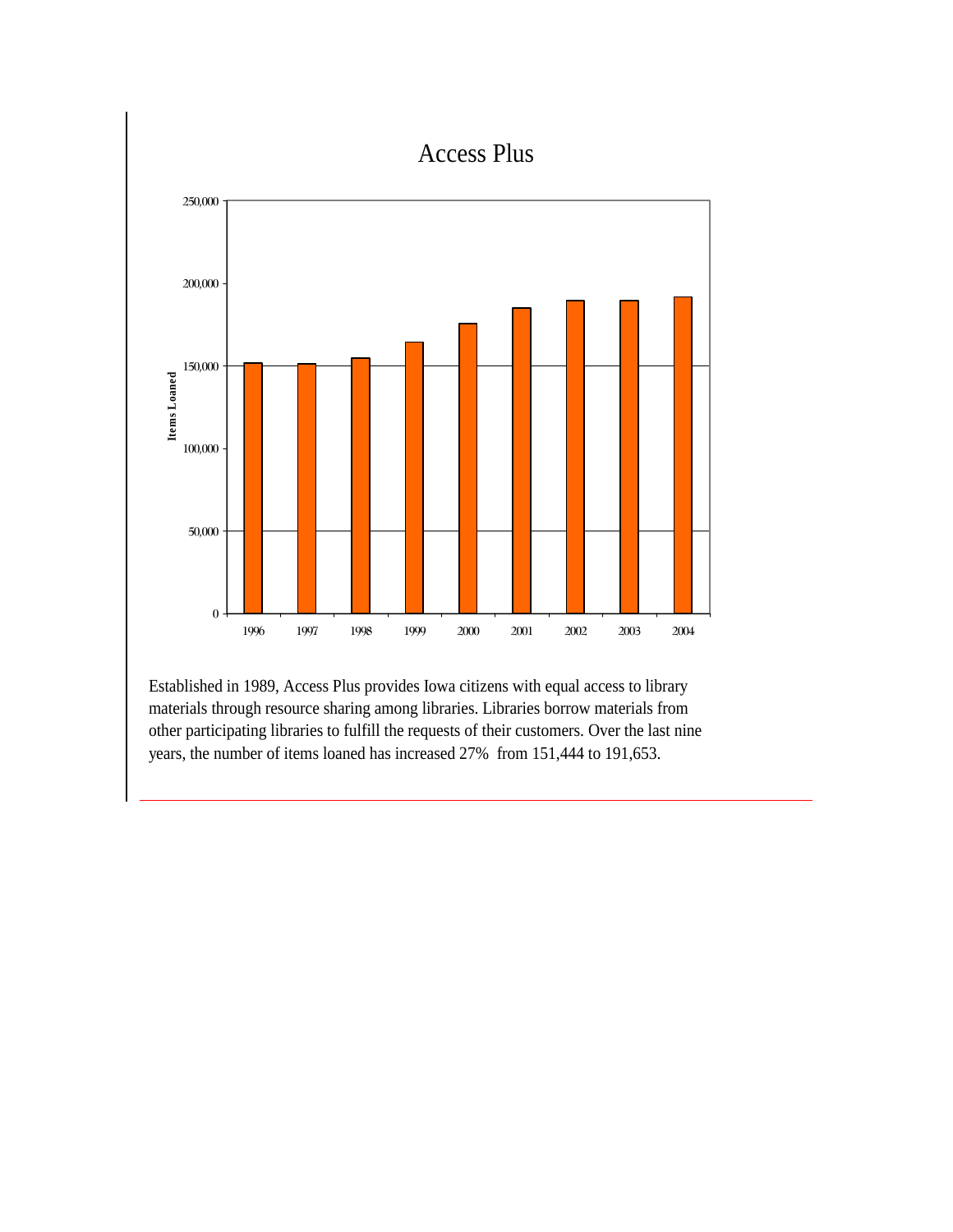

Established in 1989, Access Plus provides Iowa citizens with equal access to library materials through resource sharing among libraries. Libraries borrow materials from other participating libraries to fulfill the requests of their customers. Over the last nine years, the number of items loaned has increased 27% from 151,444 to 191,653.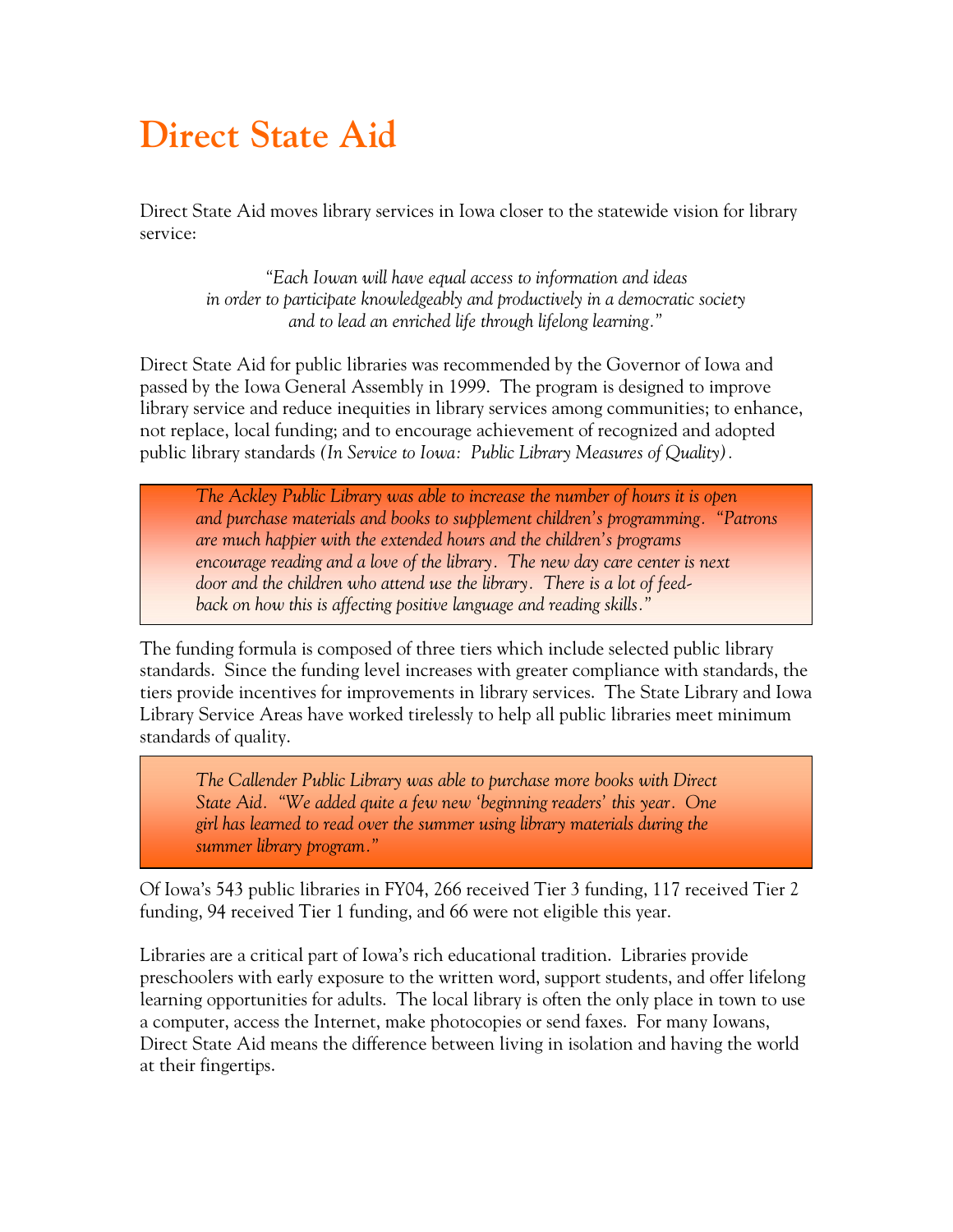## **Direct State Aid**

Direct State Aid moves library services in Iowa closer to the statewide vision for library service:

*"Each Iowan will have equal access to information and ideas in order to participate knowledgeably and productively in a democratic society and to lead an enriched life through lifelong learning."* 

Direct State Aid for public libraries was recommended by the Governor of Iowa and passed by the Iowa General Assembly in 1999. The program is designed to improve library service and reduce inequities in library services among communities; to enhance, not replace, local funding; and to encourage achievement of recognized and adopted public library standards *(In Service to Iowa: Public Library Measures of Quality).* 

 *The Ackley Public Library was able to increase the number of hours it is open and purchase materials and books to supplement children's programming. "Patrons are much happier with the extended hours and the children's programs encourage reading and a love of the library. The new day care center is next door and the children who attend use the library. There is a lot of feedback on how this is affecting positive language and reading skills."* 

The funding formula is composed of three tiers which include selected public library standards. Since the funding level increases with greater compliance with standards, the tiers provide incentives for improvements in library services. The State Library and Iowa Library Service Areas have worked tirelessly to help all public libraries meet minimum standards of quality.

*The Callender Public Library was able to purchase more books with Direct State Aid. "We added quite a few new 'beginning readers' this year. One girl has learned to read over the summer using library materials during the summer library program."* 

Of Iowa's 543 public libraries in FY04, 266 received Tier 3 funding, 117 received Tier 2 funding, 94 received Tier 1 funding, and 66 were not eligible this year.

Libraries are a critical part of Iowa's rich educational tradition. Libraries provide preschoolers with early exposure to the written word, support students, and offer lifelong learning opportunities for adults. The local library is often the only place in town to use a computer, access the Internet, make photocopies or send faxes. For many Iowans, Direct State Aid means the difference between living in isolation and having the world at their fingertips.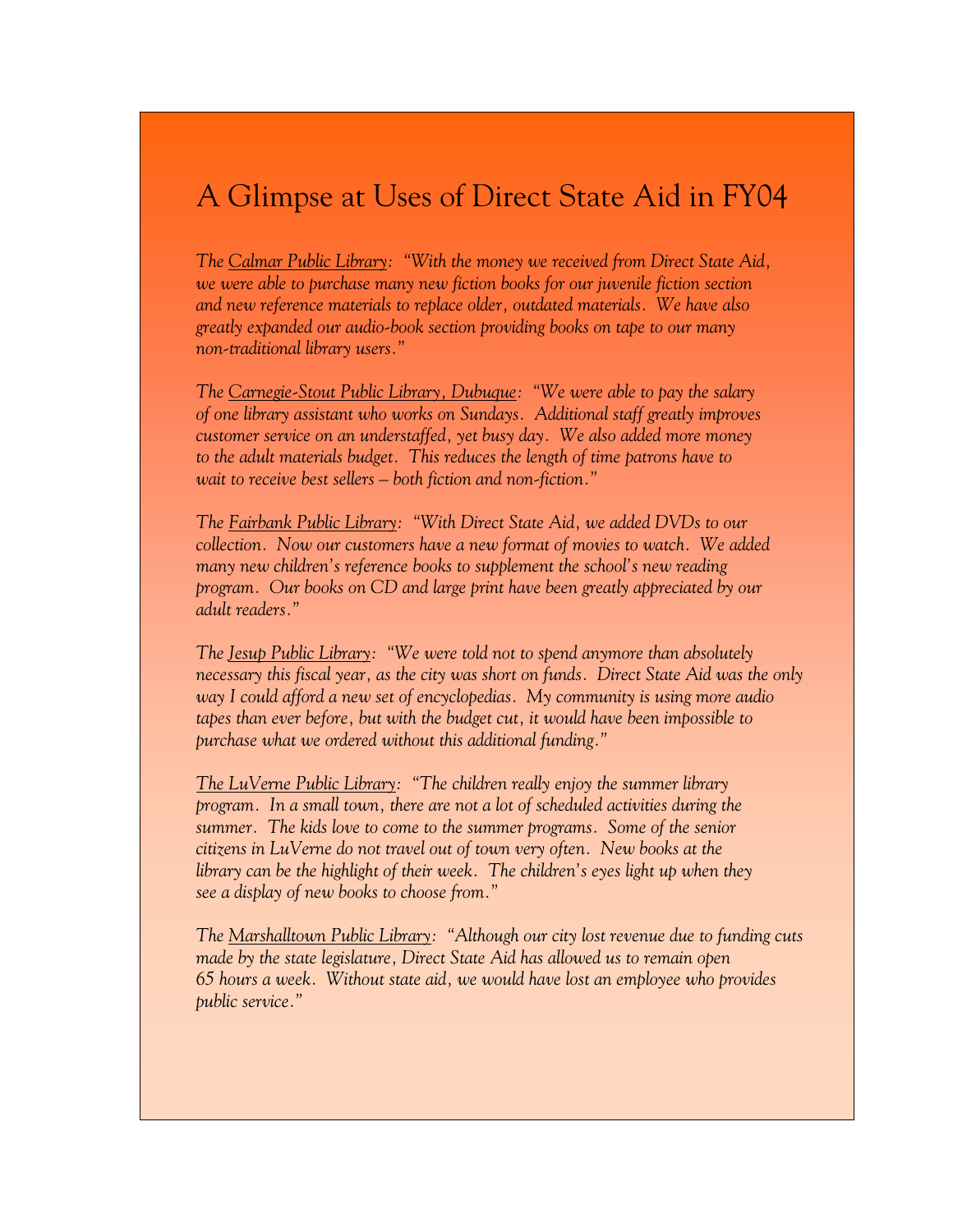## A Glimpse at Uses of Direct State Aid in FY04

I I

*The Calmar Public Library: "With the money we received from Direct State Aid, we were able to purchase many new fiction books for our juvenile fiction section and new reference materials to replace older, outdated materials. We have also greatly expanded our audio-book section providing books on tape to our many non-traditional library users."* 

 *The Carnegie-Stout Public Library, Dubuque: "We were able to pay the salary of one library assistant who works on Sundays. Additional staff greatly improves customer service on an understaffed, yet busy day. We also added more money to the adult materials budget. This reduces the length of time patrons have to wait to receive best sellers – both fiction and non-fiction."* 

 *The Fairbank Public Library: "With Direct State Aid, we added DVDs to our collection. Now our customers have a new format of movies to watch. We added many new children's reference books to supplement the school's new reading program. Our books on CD and large print have been greatly appreciated by our adult readers."* 

*The Jesup Public Library: "We were told not to spend anymore than absolutely necessary this fiscal year, as the city was short on funds. Direct State Aid was the only way I could afford a new set of encyclopedias. My community is using more audio tapes than ever before, but with the budget cut, it would have been impossible to purchase what we ordered without this additional funding."* 

 *The LuVerne Public Library: "The children really enjoy the summer library program. In a small town, there are not a lot of scheduled activities during the summer. The kids love to come to the summer programs. Some of the senior citizens in LuVerne do not travel out of town very often. New books at the library can be the highlight of their week. The children's eyes light up when they see a display of new books to choose from."* 

*The Marshalltown Public Library: "Although our city lost revenue due to funding cuts made by the state legislature, Direct State Aid has allowed us to remain open 65 hours a week. Without state aid, we would have lost an employee who provides public service."*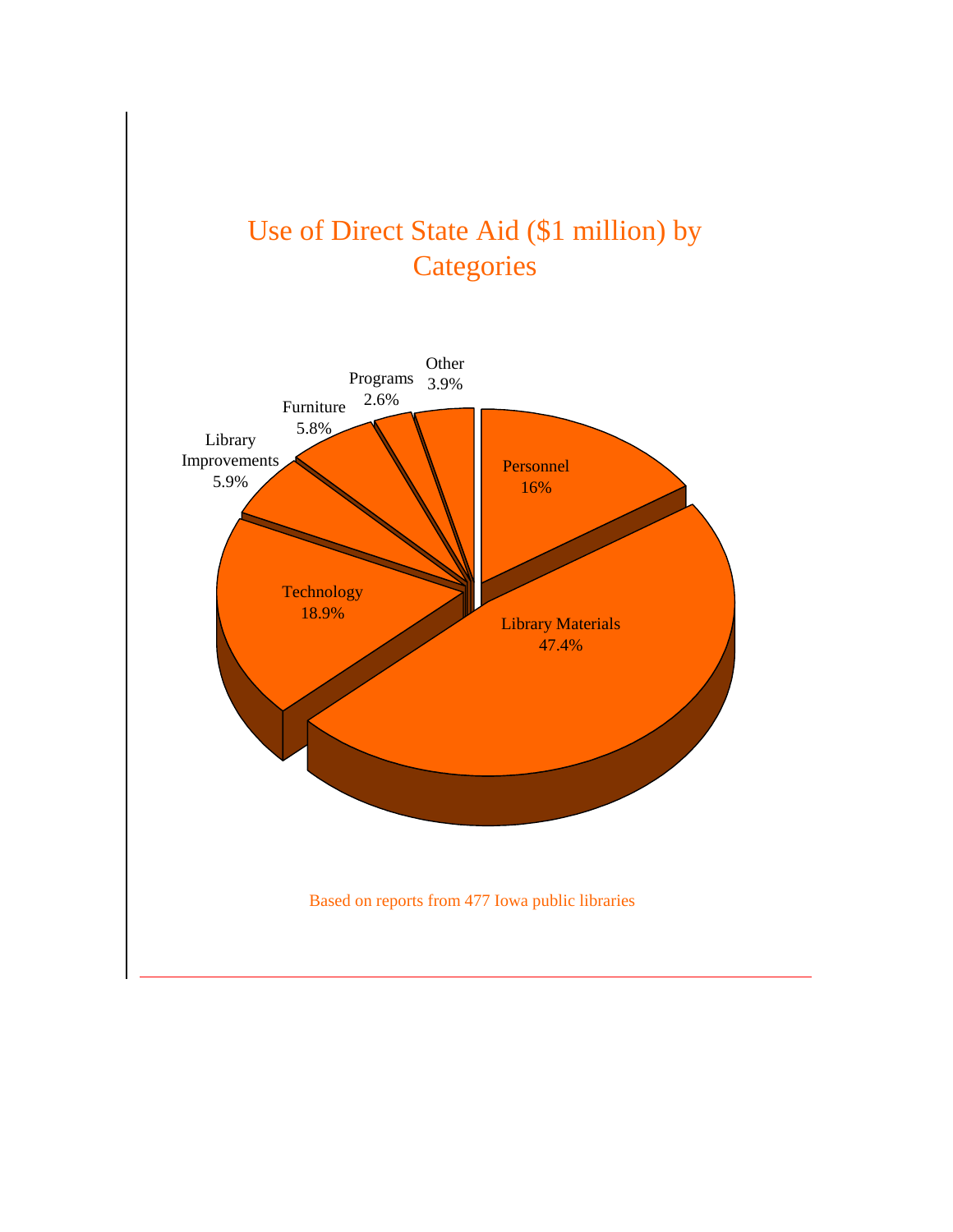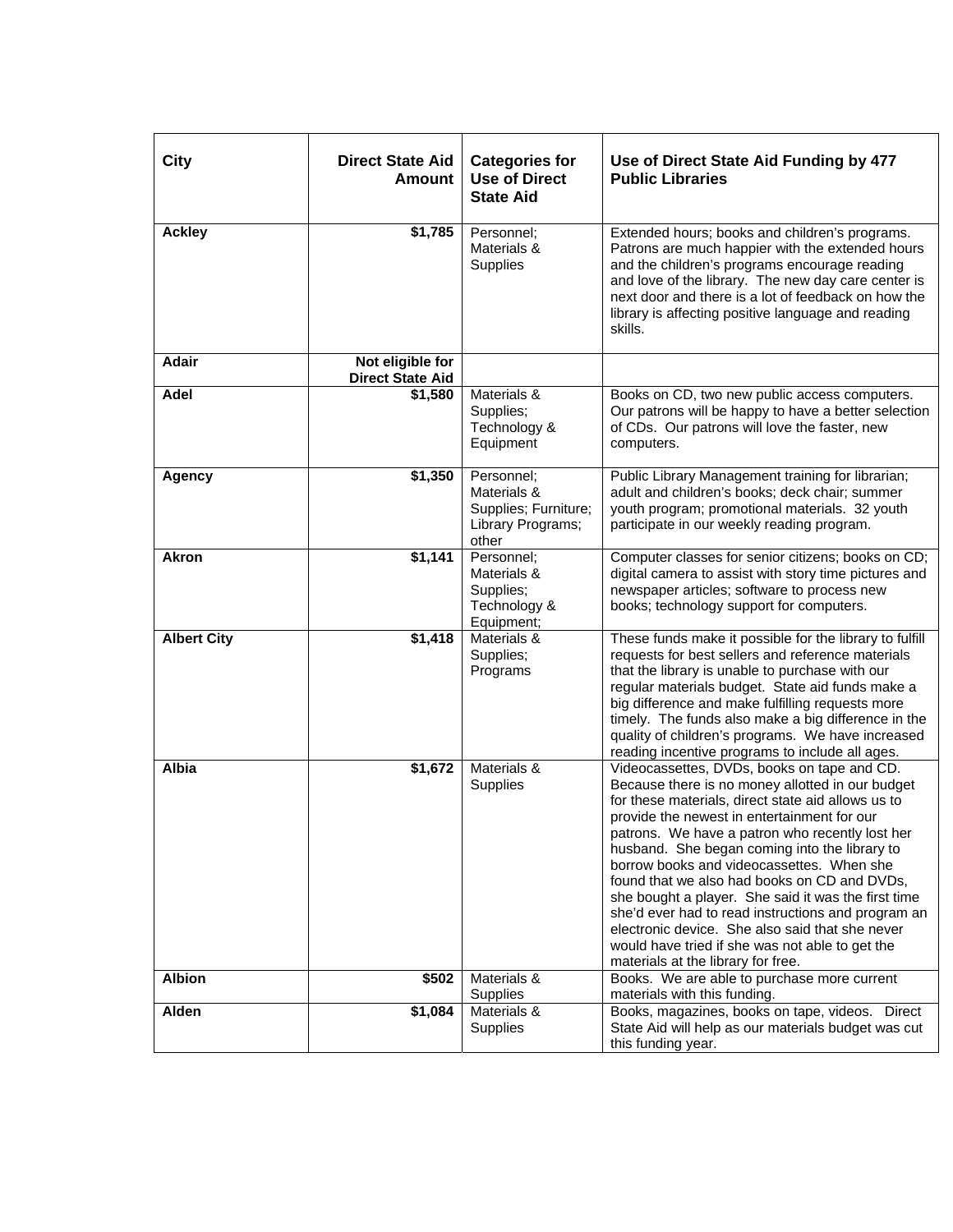| City               | <b>Direct State Aid</b><br><b>Amount</b>    | <b>Categories for</b><br><b>Use of Direct</b><br><b>State Aid</b>               | Use of Direct State Aid Funding by 477<br><b>Public Libraries</b>                                                                                                                                                                                                                                                                                                                                                                                                                                                                                                                                                                                              |
|--------------------|---------------------------------------------|---------------------------------------------------------------------------------|----------------------------------------------------------------------------------------------------------------------------------------------------------------------------------------------------------------------------------------------------------------------------------------------------------------------------------------------------------------------------------------------------------------------------------------------------------------------------------------------------------------------------------------------------------------------------------------------------------------------------------------------------------------|
| <b>Ackley</b>      | \$1,785                                     | Personnel;<br>Materials &<br>Supplies                                           | Extended hours; books and children's programs.<br>Patrons are much happier with the extended hours<br>and the children's programs encourage reading<br>and love of the library. The new day care center is<br>next door and there is a lot of feedback on how the<br>library is affecting positive language and reading<br>skills.                                                                                                                                                                                                                                                                                                                             |
| <b>Adair</b>       | Not eligible for<br><b>Direct State Aid</b> |                                                                                 |                                                                                                                                                                                                                                                                                                                                                                                                                                                                                                                                                                                                                                                                |
| Adel               | \$1,580                                     | Materials &<br>Supplies;<br>Technology &<br>Equipment                           | Books on CD, two new public access computers.<br>Our patrons will be happy to have a better selection<br>of CDs. Our patrons will love the faster, new<br>computers.                                                                                                                                                                                                                                                                                                                                                                                                                                                                                           |
| <b>Agency</b>      | \$1,350                                     | Personnel;<br>Materials &<br>Supplies; Furniture;<br>Library Programs;<br>other | Public Library Management training for librarian;<br>adult and children's books; deck chair; summer<br>youth program; promotional materials. 32 youth<br>participate in our weekly reading program.                                                                                                                                                                                                                                                                                                                                                                                                                                                            |
| <b>Akron</b>       | \$1,141                                     | Personnel;<br>Materials &<br>Supplies;<br>Technology &<br>Equipment;            | Computer classes for senior citizens; books on CD;<br>digital camera to assist with story time pictures and<br>newspaper articles; software to process new<br>books; technology support for computers.                                                                                                                                                                                                                                                                                                                                                                                                                                                         |
| <b>Albert City</b> | \$1,418                                     | Materials &<br>Supplies;<br>Programs                                            | These funds make it possible for the library to fulfill<br>requests for best sellers and reference materials<br>that the library is unable to purchase with our<br>regular materials budget. State aid funds make a<br>big difference and make fulfilling requests more<br>timely. The funds also make a big difference in the<br>quality of children's programs. We have increased<br>reading incentive programs to include all ages.                                                                                                                                                                                                                         |
| Albia              | \$1,672                                     | Materials &<br>Supplies                                                         | Videocassettes, DVDs, books on tape and CD.<br>Because there is no money allotted in our budget<br>for these materials, direct state aid allows us to<br>provide the newest in entertainment for our<br>patrons. We have a patron who recently lost her<br>husband. She began coming into the library to<br>borrow books and videocassettes. When she<br>found that we also had books on CD and DVDs,<br>she bought a player. She said it was the first time<br>she'd ever had to read instructions and program an<br>electronic device. She also said that she never<br>would have tried if she was not able to get the<br>materials at the library for free. |
| <b>Albion</b>      | \$502                                       | Materials &<br><b>Supplies</b>                                                  | Books. We are able to purchase more current<br>materials with this funding.                                                                                                                                                                                                                                                                                                                                                                                                                                                                                                                                                                                    |
| Alden              | \$1,084                                     | Materials &<br>Supplies                                                         | Books, magazines, books on tape, videos. Direct<br>State Aid will help as our materials budget was cut<br>this funding year.                                                                                                                                                                                                                                                                                                                                                                                                                                                                                                                                   |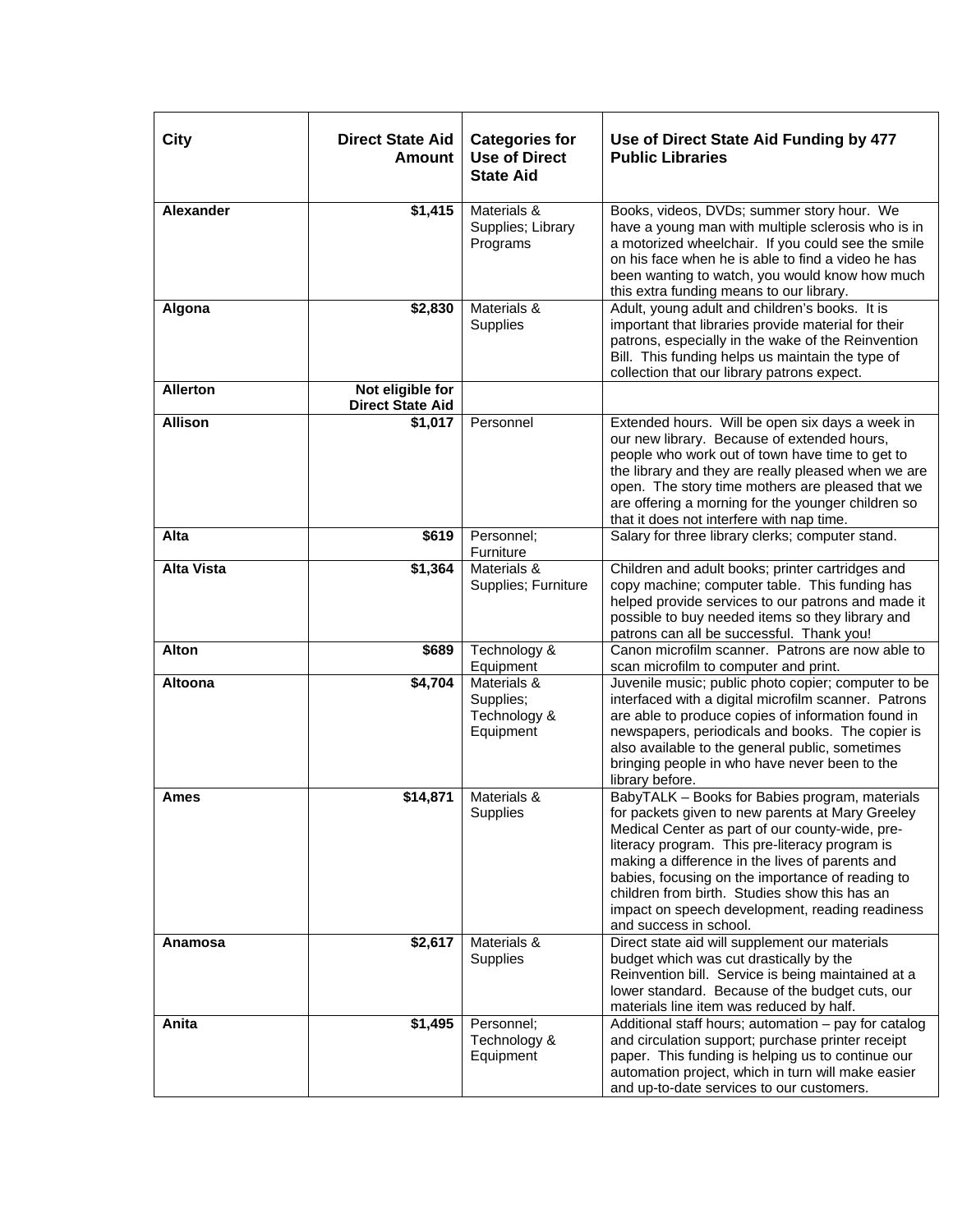| City              | <b>Direct State Aid</b><br><b>Amount</b>    | <b>Categories for</b><br><b>Use of Direct</b><br><b>State Aid</b> | Use of Direct State Aid Funding by 477<br><b>Public Libraries</b>                                                                                                                                                                                                                                                                                                                                                                            |
|-------------------|---------------------------------------------|-------------------------------------------------------------------|----------------------------------------------------------------------------------------------------------------------------------------------------------------------------------------------------------------------------------------------------------------------------------------------------------------------------------------------------------------------------------------------------------------------------------------------|
| <b>Alexander</b>  | \$1,415                                     | Materials &<br>Supplies; Library<br>Programs                      | Books, videos, DVDs; summer story hour. We<br>have a young man with multiple sclerosis who is in<br>a motorized wheelchair. If you could see the smile<br>on his face when he is able to find a video he has<br>been wanting to watch, you would know how much<br>this extra funding means to our library.                                                                                                                                   |
| Algona            | \$2,830                                     | Materials &<br>Supplies                                           | Adult, young adult and children's books. It is<br>important that libraries provide material for their<br>patrons, especially in the wake of the Reinvention<br>Bill. This funding helps us maintain the type of<br>collection that our library patrons expect.                                                                                                                                                                               |
| <b>Allerton</b>   | Not eligible for<br><b>Direct State Aid</b> |                                                                   |                                                                                                                                                                                                                                                                                                                                                                                                                                              |
| <b>Allison</b>    | \$1,017                                     | Personnel                                                         | Extended hours. Will be open six days a week in<br>our new library. Because of extended hours,<br>people who work out of town have time to get to<br>the library and they are really pleased when we are<br>open. The story time mothers are pleased that we<br>are offering a morning for the younger children so<br>that it does not interfere with nap time.                                                                              |
| Alta              | \$619                                       | Personnel;<br>Furniture                                           | Salary for three library clerks; computer stand.                                                                                                                                                                                                                                                                                                                                                                                             |
| <b>Alta Vista</b> | \$1,364                                     | Materials &<br>Supplies; Furniture                                | Children and adult books; printer cartridges and<br>copy machine; computer table. This funding has<br>helped provide services to our patrons and made it<br>possible to buy needed items so they library and<br>patrons can all be successful. Thank you!                                                                                                                                                                                    |
| <b>Alton</b>      | \$689                                       | Technology &<br>Equipment                                         | Canon microfilm scanner. Patrons are now able to<br>scan microfilm to computer and print.                                                                                                                                                                                                                                                                                                                                                    |
| <b>Altoona</b>    | \$4,704                                     | Materials &<br>Supplies;<br>Technology &<br>Equipment             | Juvenile music; public photo copier; computer to be<br>interfaced with a digital microfilm scanner. Patrons<br>are able to produce copies of information found in<br>newspapers, periodicals and books. The copier is<br>also available to the general public, sometimes<br>bringing people in who have never been to the<br>library before.                                                                                                 |
| <b>Ames</b>       | \$14,871                                    | Materials &<br>Supplies                                           | BabyTALK - Books for Babies program, materials<br>for packets given to new parents at Mary Greeley<br>Medical Center as part of our county-wide, pre-<br>literacy program. This pre-literacy program is<br>making a difference in the lives of parents and<br>babies, focusing on the importance of reading to<br>children from birth. Studies show this has an<br>impact on speech development, reading readiness<br>and success in school. |
| Anamosa           | \$2,617                                     | Materials &<br>Supplies                                           | Direct state aid will supplement our materials<br>budget which was cut drastically by the<br>Reinvention bill. Service is being maintained at a<br>lower standard. Because of the budget cuts, our<br>materials line item was reduced by half.                                                                                                                                                                                               |
| Anita             | \$1,495                                     | Personnel;<br>Technology &<br>Equipment                           | Additional staff hours; automation - pay for catalog<br>and circulation support; purchase printer receipt<br>paper. This funding is helping us to continue our<br>automation project, which in turn will make easier<br>and up-to-date services to our customers.                                                                                                                                                                            |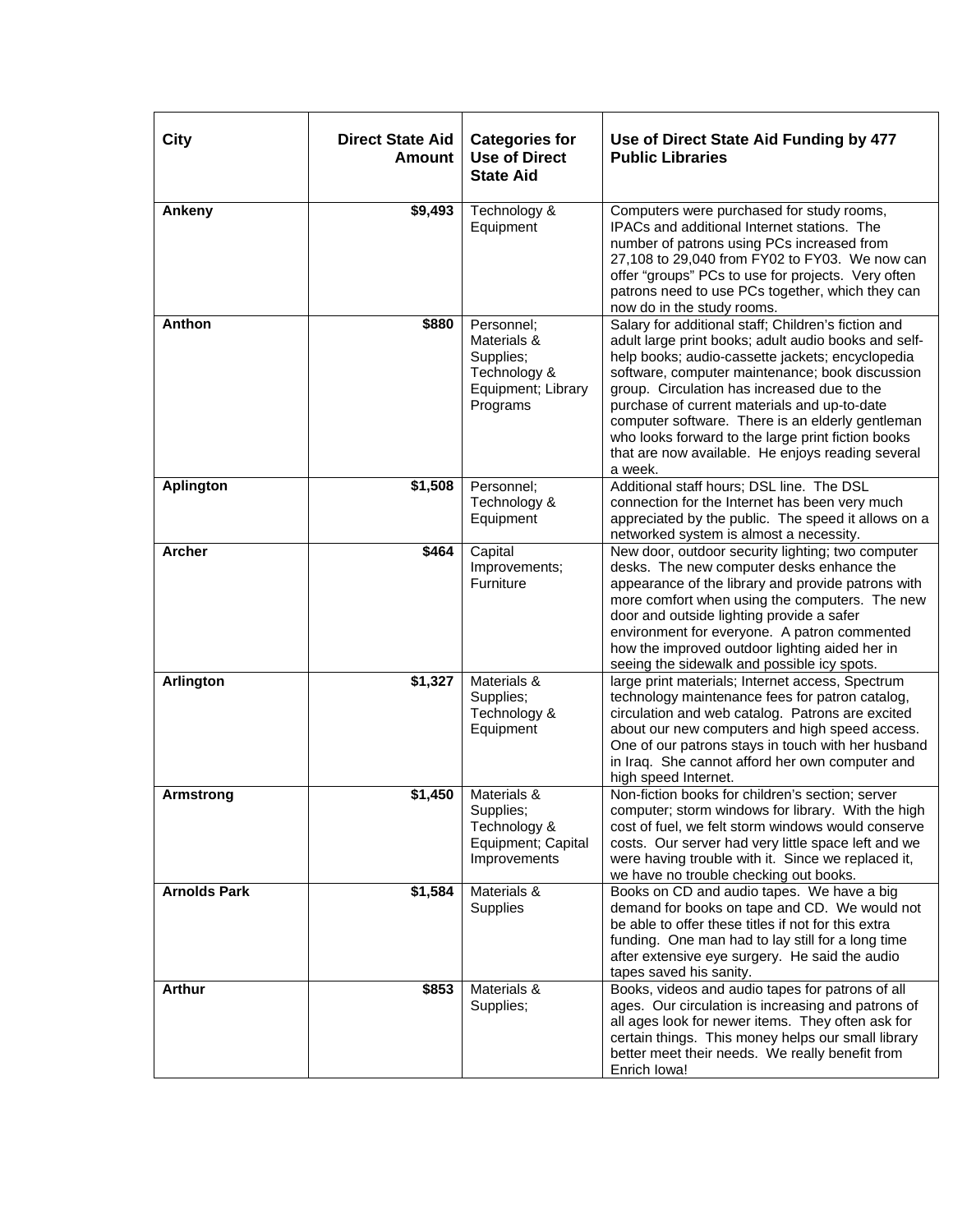| City                | <b>Direct State Aid</b><br><b>Amount</b> | <b>Categories for</b><br><b>Use of Direct</b><br><b>State Aid</b>                        | Use of Direct State Aid Funding by 477<br><b>Public Libraries</b>                                                                                                                                                                                                                                                                                                                                                                                                                           |
|---------------------|------------------------------------------|------------------------------------------------------------------------------------------|---------------------------------------------------------------------------------------------------------------------------------------------------------------------------------------------------------------------------------------------------------------------------------------------------------------------------------------------------------------------------------------------------------------------------------------------------------------------------------------------|
| Ankeny              | \$9,493                                  | Technology &<br>Equipment                                                                | Computers were purchased for study rooms,<br>IPACs and additional Internet stations. The<br>number of patrons using PCs increased from<br>27,108 to 29,040 from FY02 to FY03. We now can<br>offer "groups" PCs to use for projects. Very often<br>patrons need to use PCs together, which they can<br>now do in the study rooms.                                                                                                                                                            |
| Anthon              | \$880                                    | Personnel:<br>Materials &<br>Supplies;<br>Technology &<br>Equipment; Library<br>Programs | Salary for additional staff; Children's fiction and<br>adult large print books; adult audio books and self-<br>help books; audio-cassette jackets; encyclopedia<br>software, computer maintenance; book discussion<br>group. Circulation has increased due to the<br>purchase of current materials and up-to-date<br>computer software. There is an elderly gentleman<br>who looks forward to the large print fiction books<br>that are now available. He enjoys reading several<br>a week. |
| <b>Aplington</b>    | \$1,508                                  | Personnel:<br>Technology &<br>Equipment                                                  | Additional staff hours; DSL line. The DSL<br>connection for the Internet has been very much<br>appreciated by the public. The speed it allows on a<br>networked system is almost a necessity.                                                                                                                                                                                                                                                                                               |
| <b>Archer</b>       | \$464                                    | Capital<br>Improvements;<br>Furniture                                                    | New door, outdoor security lighting; two computer<br>desks. The new computer desks enhance the<br>appearance of the library and provide patrons with<br>more comfort when using the computers. The new<br>door and outside lighting provide a safer<br>environment for everyone. A patron commented<br>how the improved outdoor lighting aided her in<br>seeing the sidewalk and possible icy spots.                                                                                        |
| <b>Arlington</b>    | \$1,327                                  | Materials &<br>Supplies;<br>Technology &<br>Equipment                                    | large print materials; Internet access, Spectrum<br>technology maintenance fees for patron catalog,<br>circulation and web catalog. Patrons are excited<br>about our new computers and high speed access.<br>One of our patrons stays in touch with her husband<br>in Iraq. She cannot afford her own computer and<br>high speed Internet.                                                                                                                                                  |
| <b>Armstrong</b>    | \$1,450                                  | Materials &<br>Supplies;<br>Technology &<br>Equipment; Capital<br>Improvements           | Non-fiction books for children's section; server<br>computer; storm windows for library. With the high<br>cost of fuel, we felt storm windows would conserve<br>costs. Our server had very little space left and we<br>were having trouble with it. Since we replaced it,<br>we have no trouble checking out books.                                                                                                                                                                         |
| <b>Arnolds Park</b> | \$1,584                                  | Materials &<br>Supplies                                                                  | Books on CD and audio tapes. We have a big<br>demand for books on tape and CD. We would not<br>be able to offer these titles if not for this extra<br>funding. One man had to lay still for a long time<br>after extensive eye surgery. He said the audio<br>tapes saved his sanity.                                                                                                                                                                                                        |
| <b>Arthur</b>       | \$853                                    | Materials &<br>Supplies;                                                                 | Books, videos and audio tapes for patrons of all<br>ages. Our circulation is increasing and patrons of<br>all ages look for newer items. They often ask for<br>certain things. This money helps our small library<br>better meet their needs. We really benefit from<br>Enrich Iowa!                                                                                                                                                                                                        |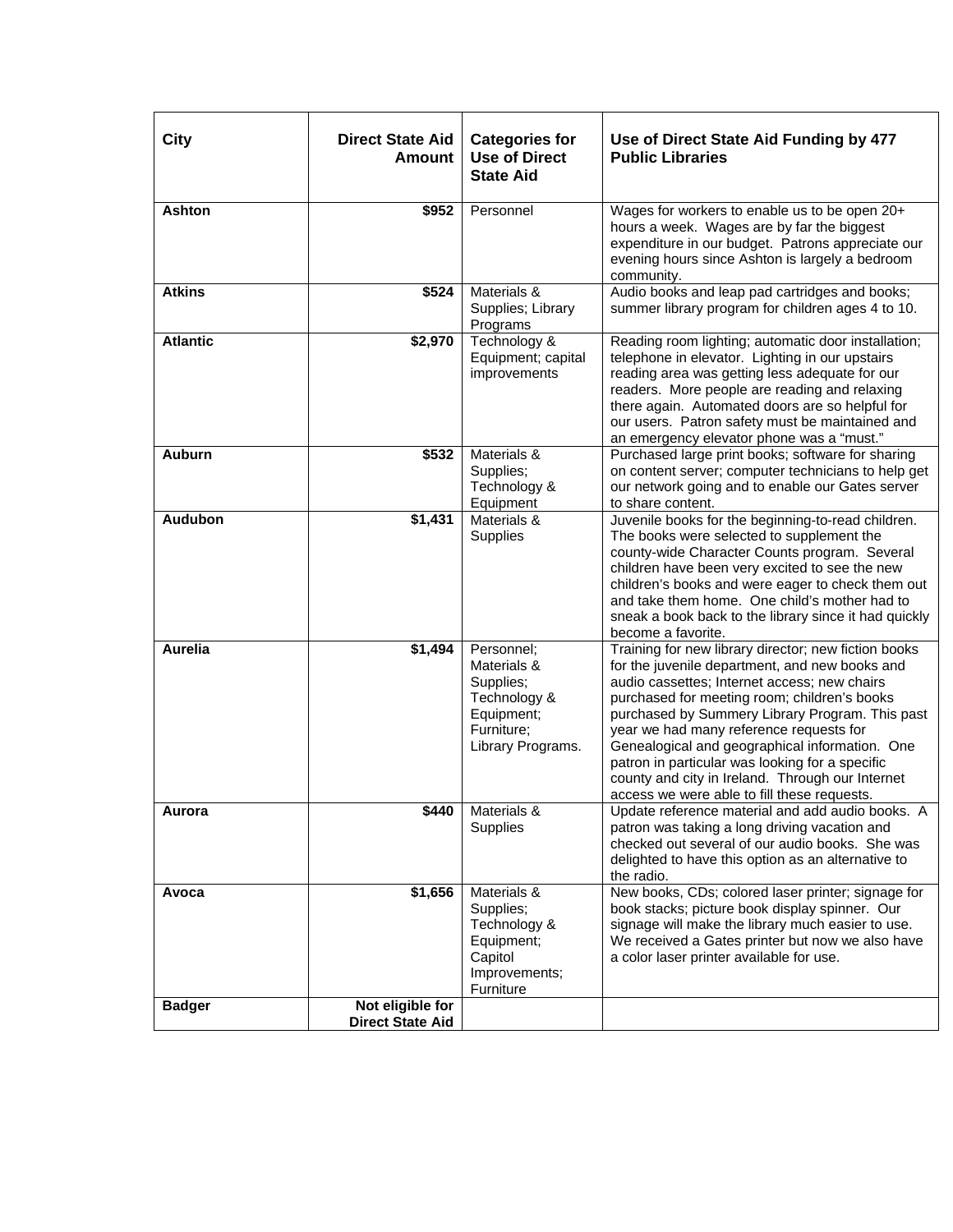| City            | <b>Direct State Aid</b><br><b>Amount</b>    | <b>Categories for</b><br><b>Use of Direct</b><br><b>State Aid</b>                                       | Use of Direct State Aid Funding by 477<br><b>Public Libraries</b>                                                                                                                                                                                                                                                                                                                                                                                                                                            |
|-----------------|---------------------------------------------|---------------------------------------------------------------------------------------------------------|--------------------------------------------------------------------------------------------------------------------------------------------------------------------------------------------------------------------------------------------------------------------------------------------------------------------------------------------------------------------------------------------------------------------------------------------------------------------------------------------------------------|
| <b>Ashton</b>   | \$952                                       | Personnel                                                                                               | Wages for workers to enable us to be open 20+<br>hours a week. Wages are by far the biggest<br>expenditure in our budget. Patrons appreciate our<br>evening hours since Ashton is largely a bedroom<br>community.                                                                                                                                                                                                                                                                                            |
| <b>Atkins</b>   | \$524                                       | Materials &<br>Supplies; Library<br>Programs                                                            | Audio books and leap pad cartridges and books;<br>summer library program for children ages 4 to 10.                                                                                                                                                                                                                                                                                                                                                                                                          |
| <b>Atlantic</b> | \$2,970                                     | Technology &<br>Equipment; capital<br>improvements                                                      | Reading room lighting; automatic door installation;<br>telephone in elevator. Lighting in our upstairs<br>reading area was getting less adequate for our<br>readers. More people are reading and relaxing<br>there again. Automated doors are so helpful for<br>our users. Patron safety must be maintained and<br>an emergency elevator phone was a "must."                                                                                                                                                 |
| <b>Auburn</b>   | \$532                                       | Materials &<br>Supplies;<br>Technology &<br>Equipment                                                   | Purchased large print books; software for sharing<br>on content server; computer technicians to help get<br>our network going and to enable our Gates server<br>to share content.                                                                                                                                                                                                                                                                                                                            |
| <b>Audubon</b>  | \$1,431                                     | Materials &<br>Supplies                                                                                 | Juvenile books for the beginning-to-read children.<br>The books were selected to supplement the<br>county-wide Character Counts program. Several<br>children have been very excited to see the new<br>children's books and were eager to check them out<br>and take them home. One child's mother had to<br>sneak a book back to the library since it had quickly<br>become a favorite.                                                                                                                      |
| <b>Aurelia</b>  | \$1,494                                     | Personnel;<br>Materials &<br>Supplies;<br>Technology &<br>Equipment;<br>Furniture;<br>Library Programs. | Training for new library director; new fiction books<br>for the juvenile department, and new books and<br>audio cassettes; Internet access; new chairs<br>purchased for meeting room; children's books<br>purchased by Summery Library Program. This past<br>year we had many reference requests for<br>Genealogical and geographical information. One<br>patron in particular was looking for a specific<br>county and city in Ireland. Through our Internet<br>access we were able to fill these requests. |
| Aurora          | \$440                                       | Materials &<br><b>Supplies</b>                                                                          | Update reference material and add audio books. A<br>patron was taking a long driving vacation and<br>checked out several of our audio books. She was<br>delighted to have this option as an alternative to<br>the radio.                                                                                                                                                                                                                                                                                     |
| Avoca           | \$1,656                                     | Materials &<br>Supplies;<br>Technology &<br>Equipment;<br>Capitol<br>Improvements;<br>Furniture         | New books, CDs; colored laser printer; signage for<br>book stacks; picture book display spinner. Our<br>signage will make the library much easier to use.<br>We received a Gates printer but now we also have<br>a color laser printer available for use.                                                                                                                                                                                                                                                    |
| <b>Badger</b>   | Not eligible for<br><b>Direct State Aid</b> |                                                                                                         |                                                                                                                                                                                                                                                                                                                                                                                                                                                                                                              |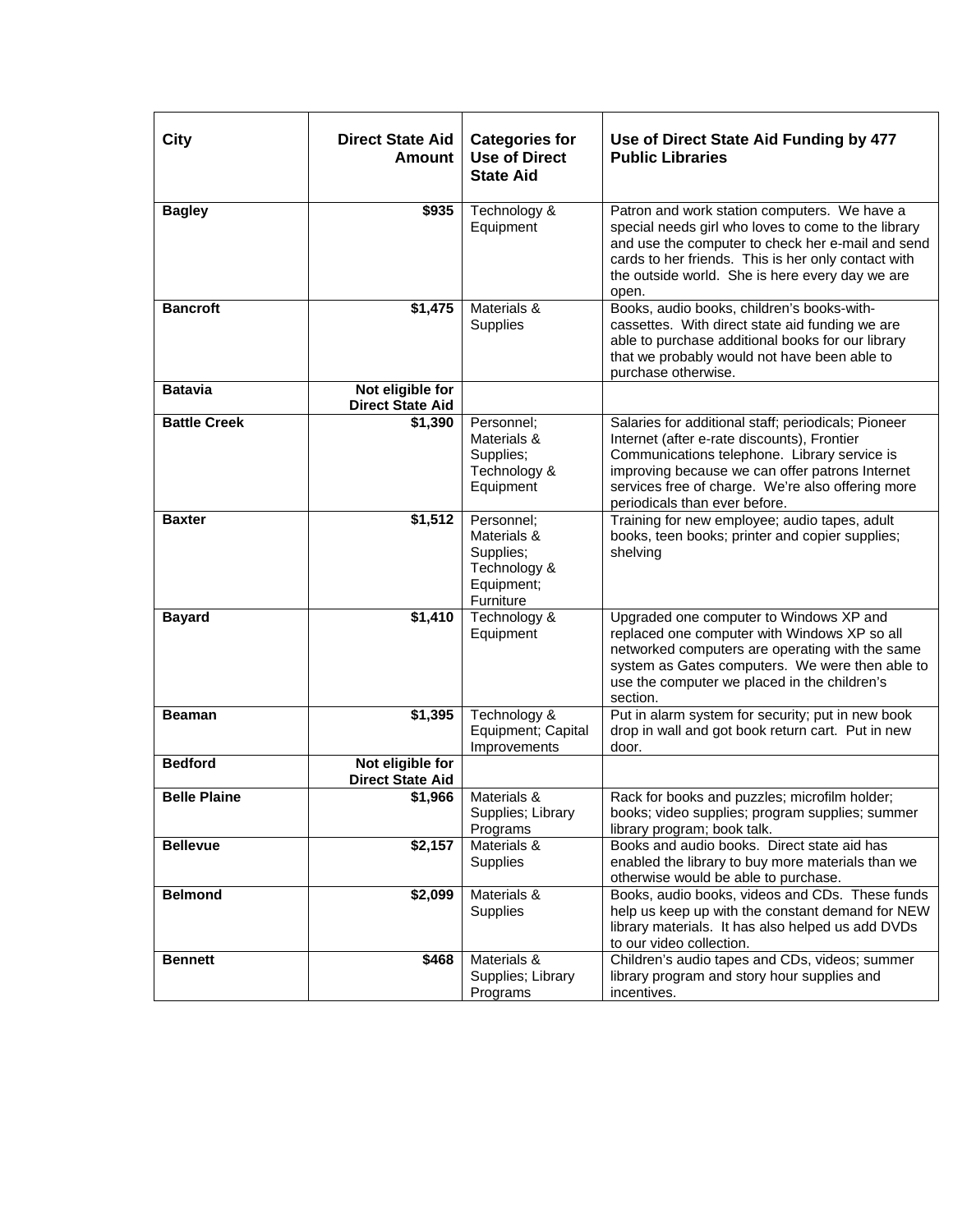| City                | <b>Direct State Aid</b><br>Amount           | <b>Categories for</b><br><b>Use of Direct</b><br><b>State Aid</b>                 | Use of Direct State Aid Funding by 477<br><b>Public Libraries</b>                                                                                                                                                                                                                           |
|---------------------|---------------------------------------------|-----------------------------------------------------------------------------------|---------------------------------------------------------------------------------------------------------------------------------------------------------------------------------------------------------------------------------------------------------------------------------------------|
| <b>Bagley</b>       | \$935                                       | Technology &<br>Equipment                                                         | Patron and work station computers. We have a<br>special needs girl who loves to come to the library<br>and use the computer to check her e-mail and send<br>cards to her friends. This is her only contact with<br>the outside world. She is here every day we are<br>open.                 |
| <b>Bancroft</b>     | \$1,475                                     | Materials &<br>Supplies                                                           | Books, audio books, children's books-with-<br>cassettes. With direct state aid funding we are<br>able to purchase additional books for our library<br>that we probably would not have been able to<br>purchase otherwise.                                                                   |
| <b>Batavia</b>      | Not eligible for<br><b>Direct State Aid</b> |                                                                                   |                                                                                                                                                                                                                                                                                             |
| <b>Battle Creek</b> | \$1,390                                     | Personnel;<br>Materials &<br>Supplies;<br>Technology &<br>Equipment               | Salaries for additional staff; periodicals; Pioneer<br>Internet (after e-rate discounts), Frontier<br>Communications telephone. Library service is<br>improving because we can offer patrons Internet<br>services free of charge. We're also offering more<br>periodicals than ever before. |
| <b>Baxter</b>       | \$1,512                                     | Personnel;<br>Materials &<br>Supplies;<br>Technology &<br>Equipment;<br>Furniture | Training for new employee; audio tapes, adult<br>books, teen books; printer and copier supplies;<br>shelving                                                                                                                                                                                |
| <b>Bayard</b>       | \$1,410                                     | Technology &<br>Equipment                                                         | Upgraded one computer to Windows XP and<br>replaced one computer with Windows XP so all<br>networked computers are operating with the same<br>system as Gates computers. We were then able to<br>use the computer we placed in the children's<br>section.                                   |
| <b>Beaman</b>       | \$1,395                                     | Technology &<br>Equipment; Capital<br>Improvements                                | Put in alarm system for security; put in new book<br>drop in wall and got book return cart. Put in new<br>door.                                                                                                                                                                             |
| <b>Bedford</b>      | Not eligible for<br><b>Direct State Aid</b> |                                                                                   |                                                                                                                                                                                                                                                                                             |
| <b>Belle Plaine</b> | \$1,966                                     | Materials &<br>Supplies; Library<br>Programs                                      | Rack for books and puzzles; microfilm holder;<br>books; video supplies; program supplies; summer<br>library program; book talk.                                                                                                                                                             |
| <b>Bellevue</b>     | \$2,157                                     | Materials &<br>Supplies                                                           | Books and audio books. Direct state aid has<br>enabled the library to buy more materials than we<br>otherwise would be able to purchase.                                                                                                                                                    |
| <b>Belmond</b>      | \$2,099                                     | Materials &<br>Supplies                                                           | Books, audio books, videos and CDs. These funds<br>help us keep up with the constant demand for NEW<br>library materials. It has also helped us add DVDs<br>to our video collection.                                                                                                        |
| <b>Bennett</b>      | \$468                                       | Materials &<br>Supplies; Library<br>Programs                                      | Children's audio tapes and CDs, videos; summer<br>library program and story hour supplies and<br>incentives.                                                                                                                                                                                |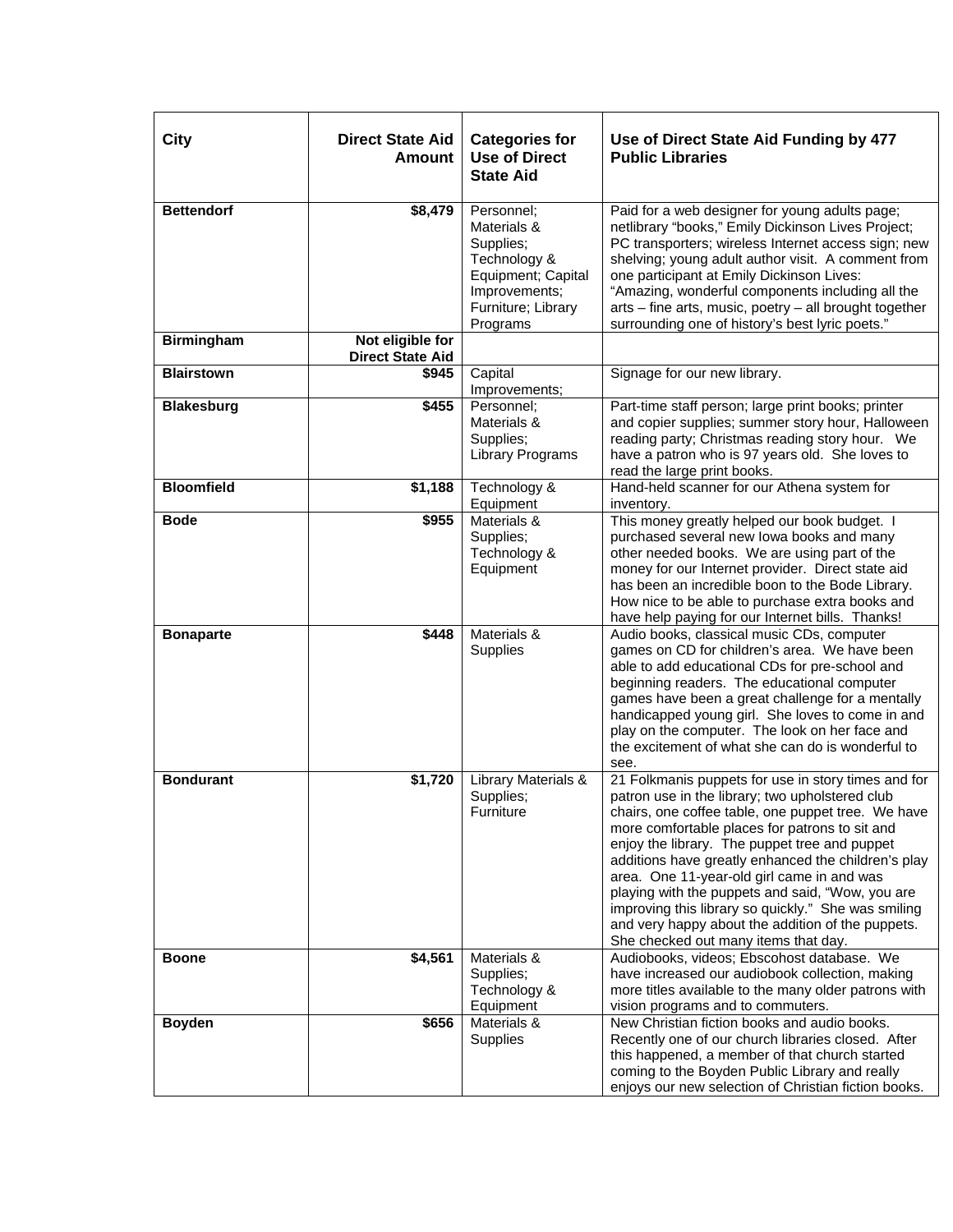| City              | <b>Direct State Aid</b><br>Amount           | <b>Categories for</b><br><b>Use of Direct</b><br><b>State Aid</b>                                                               | Use of Direct State Aid Funding by 477<br><b>Public Libraries</b>                                                                                                                                                                                                                                                                                                                                                                                                                                                                                                            |
|-------------------|---------------------------------------------|---------------------------------------------------------------------------------------------------------------------------------|------------------------------------------------------------------------------------------------------------------------------------------------------------------------------------------------------------------------------------------------------------------------------------------------------------------------------------------------------------------------------------------------------------------------------------------------------------------------------------------------------------------------------------------------------------------------------|
| <b>Bettendorf</b> | \$8,479                                     | Personnel;<br>Materials &<br>Supplies;<br>Technology &<br>Equipment; Capital<br>Improvements;<br>Furniture; Library<br>Programs | Paid for a web designer for young adults page;<br>netlibrary "books," Emily Dickinson Lives Project;<br>PC transporters; wireless Internet access sign; new<br>shelving; young adult author visit. A comment from<br>one participant at Emily Dickinson Lives:<br>"Amazing, wonderful components including all the<br>arts - fine arts, music, poetry - all brought together<br>surrounding one of history's best lyric poets."                                                                                                                                              |
| <b>Birmingham</b> | Not eligible for<br><b>Direct State Aid</b> |                                                                                                                                 |                                                                                                                                                                                                                                                                                                                                                                                                                                                                                                                                                                              |
| <b>Blairstown</b> | \$945                                       | Capital<br>Improvements;                                                                                                        | Signage for our new library.                                                                                                                                                                                                                                                                                                                                                                                                                                                                                                                                                 |
| <b>Blakesburg</b> | \$455                                       | Personnel:<br>Materials &<br>Supplies;<br>Library Programs                                                                      | Part-time staff person; large print books; printer<br>and copier supplies; summer story hour, Halloween<br>reading party; Christmas reading story hour. We<br>have a patron who is 97 years old. She loves to<br>read the large print books.                                                                                                                                                                                                                                                                                                                                 |
| <b>Bloomfield</b> | \$1,188                                     | Technology &<br>Equipment                                                                                                       | Hand-held scanner for our Athena system for<br>inventory.                                                                                                                                                                                                                                                                                                                                                                                                                                                                                                                    |
| <b>Bode</b>       | \$955                                       | Materials &<br>Supplies;<br>Technology &<br>Equipment                                                                           | This money greatly helped our book budget. I<br>purchased several new lowa books and many<br>other needed books. We are using part of the<br>money for our Internet provider. Direct state aid<br>has been an incredible boon to the Bode Library.<br>How nice to be able to purchase extra books and<br>have help paying for our Internet bills. Thanks!                                                                                                                                                                                                                    |
| <b>Bonaparte</b>  | \$448                                       | Materials &<br>Supplies                                                                                                         | Audio books, classical music CDs, computer<br>games on CD for children's area. We have been<br>able to add educational CDs for pre-school and<br>beginning readers. The educational computer<br>games have been a great challenge for a mentally<br>handicapped young girl. She loves to come in and<br>play on the computer. The look on her face and<br>the excitement of what she can do is wonderful to<br>see.                                                                                                                                                          |
| <b>Bondurant</b>  | \$1,720                                     | <b>Library Materials &amp;</b><br>Supplies;<br>Furniture                                                                        | 21 Folkmanis puppets for use in story times and for<br>patron use in the library; two upholstered club<br>chairs, one coffee table, one puppet tree. We have<br>more comfortable places for patrons to sit and<br>enjoy the library. The puppet tree and puppet<br>additions have greatly enhanced the children's play<br>area. One 11-year-old girl came in and was<br>playing with the puppets and said, "Wow, you are<br>improving this library so quickly." She was smiling<br>and very happy about the addition of the puppets.<br>She checked out many items that day. |
| <b>Boone</b>      | \$4,561                                     | Materials &<br>Supplies;<br>Technology &<br>Equipment                                                                           | Audiobooks, videos; Ebscohost database. We<br>have increased our audiobook collection, making<br>more titles available to the many older patrons with<br>vision programs and to commuters.                                                                                                                                                                                                                                                                                                                                                                                   |
| <b>Boyden</b>     | \$656                                       | Materials &<br>Supplies                                                                                                         | New Christian fiction books and audio books.<br>Recently one of our church libraries closed. After<br>this happened, a member of that church started<br>coming to the Boyden Public Library and really<br>enjoys our new selection of Christian fiction books.                                                                                                                                                                                                                                                                                                               |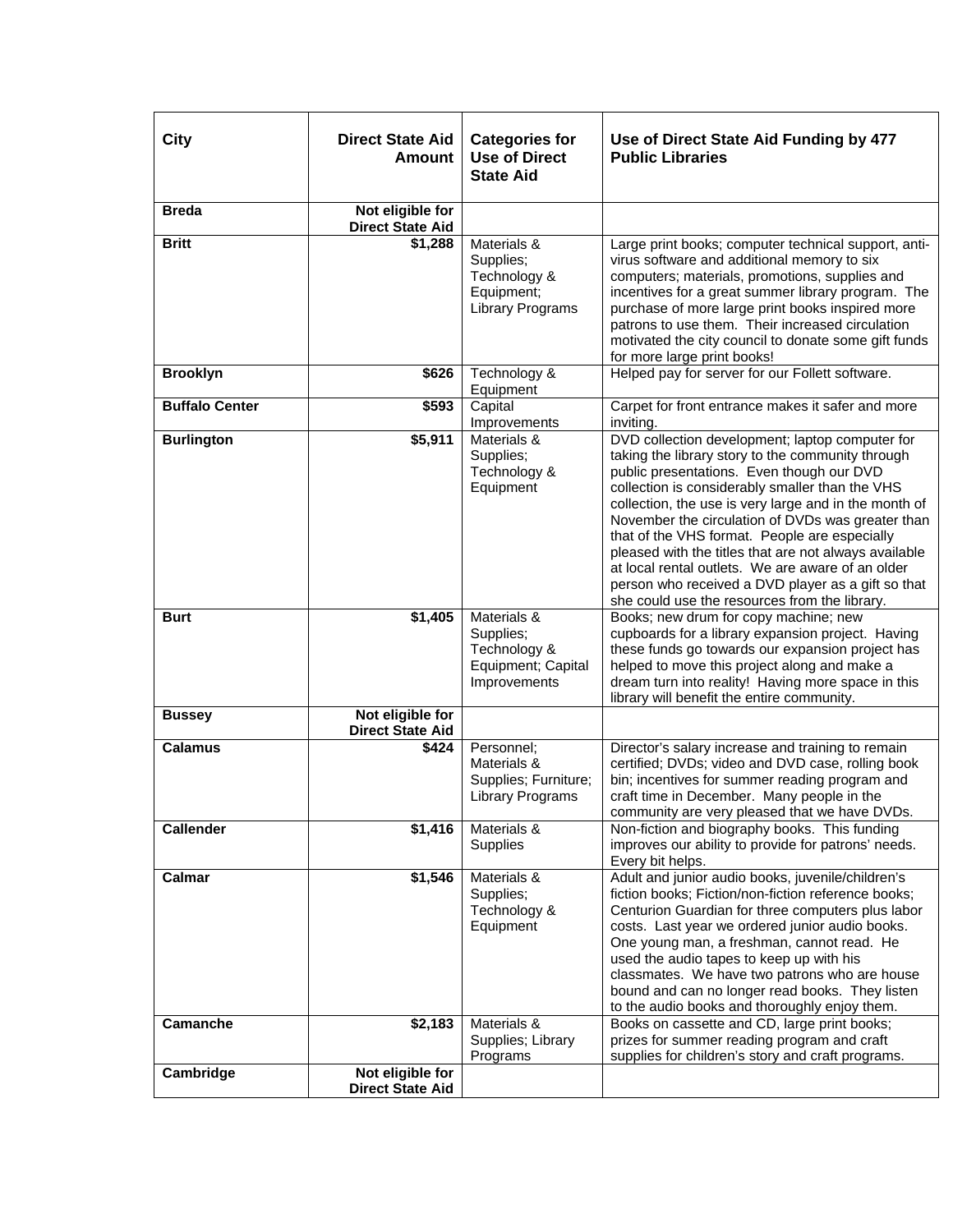| <b>City</b>           | <b>Direct State Aid</b><br><b>Amount</b>    | <b>Categories for</b><br><b>Use of Direct</b><br><b>State Aid</b>                 | Use of Direct State Aid Funding by 477<br><b>Public Libraries</b>                                                                                                                                                                                                                                                                                                                                                                                                                                                                                                                        |
|-----------------------|---------------------------------------------|-----------------------------------------------------------------------------------|------------------------------------------------------------------------------------------------------------------------------------------------------------------------------------------------------------------------------------------------------------------------------------------------------------------------------------------------------------------------------------------------------------------------------------------------------------------------------------------------------------------------------------------------------------------------------------------|
| <b>Breda</b>          | Not eligible for<br><b>Direct State Aid</b> |                                                                                   |                                                                                                                                                                                                                                                                                                                                                                                                                                                                                                                                                                                          |
| <b>Britt</b>          | \$1,288                                     | Materials &<br>Supplies;<br>Technology &<br>Equipment;<br><b>Library Programs</b> | Large print books; computer technical support, anti-<br>virus software and additional memory to six<br>computers; materials, promotions, supplies and<br>incentives for a great summer library program. The<br>purchase of more large print books inspired more<br>patrons to use them. Their increased circulation<br>motivated the city council to donate some gift funds<br>for more large print books!                                                                                                                                                                               |
| <b>Brooklyn</b>       | \$626                                       | Technology &<br>Equipment                                                         | Helped pay for server for our Follett software.                                                                                                                                                                                                                                                                                                                                                                                                                                                                                                                                          |
| <b>Buffalo Center</b> | \$593                                       | Capital<br>Improvements                                                           | Carpet for front entrance makes it safer and more<br>inviting.                                                                                                                                                                                                                                                                                                                                                                                                                                                                                                                           |
| <b>Burlington</b>     | \$5,911                                     | Materials &<br>Supplies;<br>Technology &<br>Equipment                             | DVD collection development; laptop computer for<br>taking the library story to the community through<br>public presentations. Even though our DVD<br>collection is considerably smaller than the VHS<br>collection, the use is very large and in the month of<br>November the circulation of DVDs was greater than<br>that of the VHS format. People are especially<br>pleased with the titles that are not always available<br>at local rental outlets. We are aware of an older<br>person who received a DVD player as a gift so that<br>she could use the resources from the library. |
| <b>Burt</b>           | \$1,405                                     | Materials &<br>Supplies;<br>Technology &<br>Equipment; Capital<br>Improvements    | Books; new drum for copy machine; new<br>cupboards for a library expansion project. Having<br>these funds go towards our expansion project has<br>helped to move this project along and make a<br>dream turn into reality! Having more space in this<br>library will benefit the entire community.                                                                                                                                                                                                                                                                                       |
| <b>Bussey</b>         | Not eligible for<br><b>Direct State Aid</b> |                                                                                   |                                                                                                                                                                                                                                                                                                                                                                                                                                                                                                                                                                                          |
| <b>Calamus</b>        | \$424                                       | Personnel;<br>Materials &<br>Supplies; Furniture;<br><b>Library Programs</b>      | Director's salary increase and training to remain<br>certified; DVDs; video and DVD case, rolling book<br>bin; incentives for summer reading program and<br>craft time in December. Many people in the<br>community are very pleased that we have DVDs.                                                                                                                                                                                                                                                                                                                                  |
| <b>Callender</b>      | \$1,416                                     | Materials &<br>Supplies                                                           | Non-fiction and biography books. This funding<br>improves our ability to provide for patrons' needs.<br>Every bit helps.                                                                                                                                                                                                                                                                                                                                                                                                                                                                 |
| Calmar                | \$1,546                                     | Materials &<br>Supplies;<br>Technology &<br>Equipment                             | Adult and junior audio books, juvenile/children's<br>fiction books; Fiction/non-fiction reference books;<br>Centurion Guardian for three computers plus labor<br>costs. Last year we ordered junior audio books.<br>One young man, a freshman, cannot read. He<br>used the audio tapes to keep up with his<br>classmates. We have two patrons who are house<br>bound and can no longer read books. They listen<br>to the audio books and thoroughly enjoy them.                                                                                                                          |
| Camanche              | \$2,183                                     | Materials &<br>Supplies; Library<br>Programs                                      | Books on cassette and CD, large print books;<br>prizes for summer reading program and craft<br>supplies for children's story and craft programs.                                                                                                                                                                                                                                                                                                                                                                                                                                         |
| Cambridge             | Not eligible for<br><b>Direct State Aid</b> |                                                                                   |                                                                                                                                                                                                                                                                                                                                                                                                                                                                                                                                                                                          |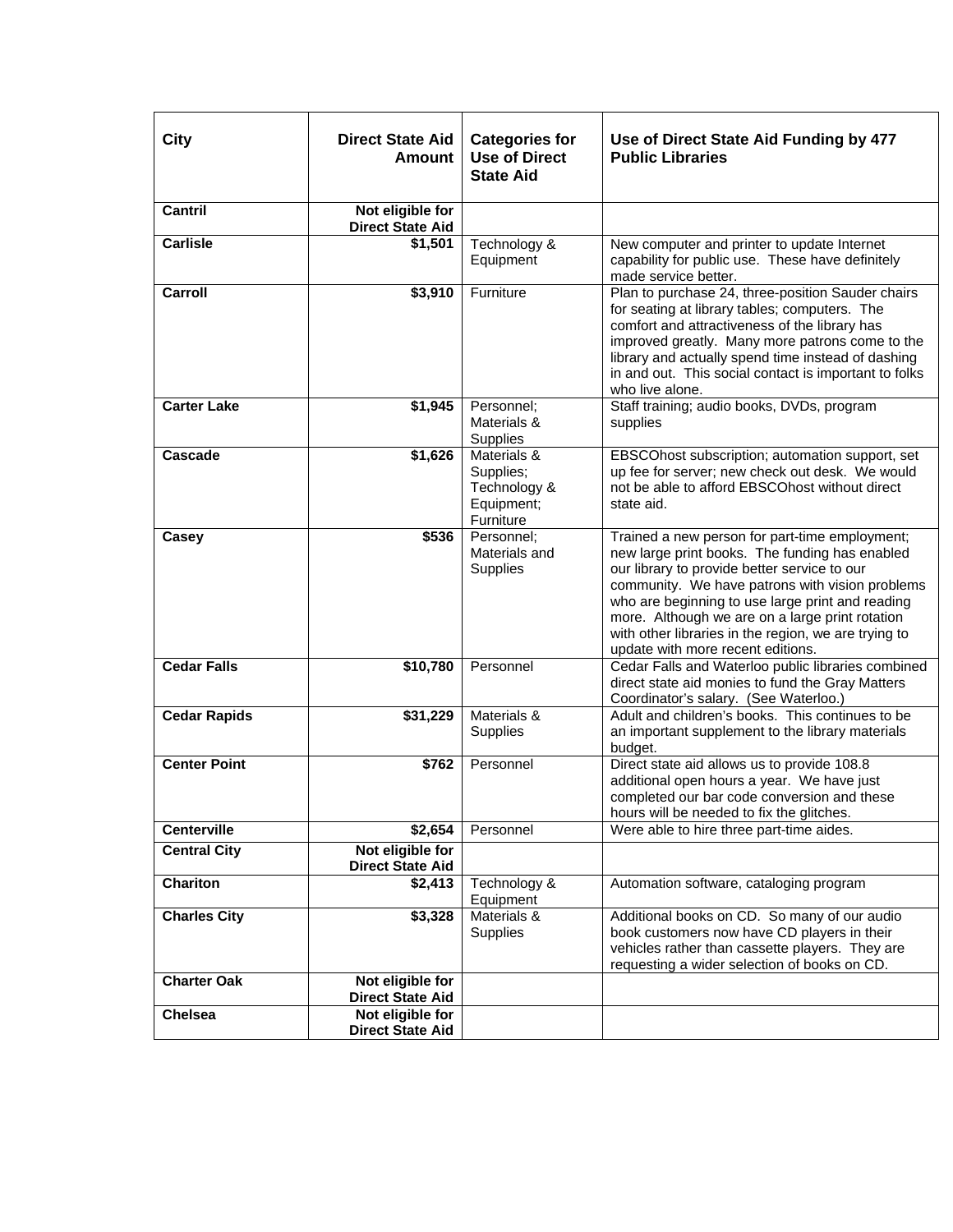| City                | <b>Direct State Aid</b><br>Amount           | <b>Categories for</b><br><b>Use of Direct</b><br><b>State Aid</b>   | Use of Direct State Aid Funding by 477<br><b>Public Libraries</b>                                                                                                                                                                                                                                                                                                                                       |
|---------------------|---------------------------------------------|---------------------------------------------------------------------|---------------------------------------------------------------------------------------------------------------------------------------------------------------------------------------------------------------------------------------------------------------------------------------------------------------------------------------------------------------------------------------------------------|
| <b>Cantril</b>      | Not eligible for<br><b>Direct State Aid</b> |                                                                     |                                                                                                                                                                                                                                                                                                                                                                                                         |
| <b>Carlisle</b>     | \$1,501                                     | Technology &<br>Equipment                                           | New computer and printer to update Internet<br>capability for public use. These have definitely<br>made service better.                                                                                                                                                                                                                                                                                 |
| Carroll             | \$3,910                                     | Furniture                                                           | Plan to purchase 24, three-position Sauder chairs<br>for seating at library tables; computers. The<br>comfort and attractiveness of the library has<br>improved greatly. Many more patrons come to the<br>library and actually spend time instead of dashing<br>in and out. This social contact is important to folks<br>who live alone.                                                                |
| <b>Carter Lake</b>  | \$1,945                                     | Personnel;<br>Materials &<br>Supplies                               | Staff training; audio books, DVDs, program<br>supplies                                                                                                                                                                                                                                                                                                                                                  |
| <b>Cascade</b>      | \$1,626                                     | Materials &<br>Supplies;<br>Technology &<br>Equipment;<br>Furniture | EBSCOhost subscription; automation support, set<br>up fee for server; new check out desk. We would<br>not be able to afford EBSCOhost without direct<br>state aid.                                                                                                                                                                                                                                      |
| Casey               | \$536                                       | Personnel:<br>Materials and<br>Supplies                             | Trained a new person for part-time employment;<br>new large print books. The funding has enabled<br>our library to provide better service to our<br>community. We have patrons with vision problems<br>who are beginning to use large print and reading<br>more. Although we are on a large print rotation<br>with other libraries in the region, we are trying to<br>update with more recent editions. |
| <b>Cedar Falls</b>  | \$10,780                                    | Personnel                                                           | Cedar Falls and Waterloo public libraries combined<br>direct state aid monies to fund the Gray Matters<br>Coordinator's salary. (See Waterloo.)                                                                                                                                                                                                                                                         |
| <b>Cedar Rapids</b> | \$31,229                                    | Materials &<br>Supplies                                             | Adult and children's books. This continues to be<br>an important supplement to the library materials<br>budget.                                                                                                                                                                                                                                                                                         |
| <b>Center Point</b> | \$762                                       | Personnel                                                           | Direct state aid allows us to provide 108.8<br>additional open hours a year. We have just<br>completed our bar code conversion and these<br>hours will be needed to fix the glitches.                                                                                                                                                                                                                   |
| <b>Centerville</b>  | \$2,654                                     | Personnel                                                           | Were able to hire three part-time aides.                                                                                                                                                                                                                                                                                                                                                                |
| <b>Central City</b> | Not eligible for<br><b>Direct State Aid</b> |                                                                     |                                                                                                                                                                                                                                                                                                                                                                                                         |
| <b>Chariton</b>     | \$2,413                                     | Technology &<br>Equipment                                           | Automation software, cataloging program                                                                                                                                                                                                                                                                                                                                                                 |
| <b>Charles City</b> | \$3,328                                     | Materials &<br><b>Supplies</b>                                      | Additional books on CD. So many of our audio<br>book customers now have CD players in their<br>vehicles rather than cassette players. They are<br>requesting a wider selection of books on CD.                                                                                                                                                                                                          |
| <b>Charter Oak</b>  | Not eligible for<br><b>Direct State Aid</b> |                                                                     |                                                                                                                                                                                                                                                                                                                                                                                                         |
| <b>Chelsea</b>      | Not eligible for<br><b>Direct State Aid</b> |                                                                     |                                                                                                                                                                                                                                                                                                                                                                                                         |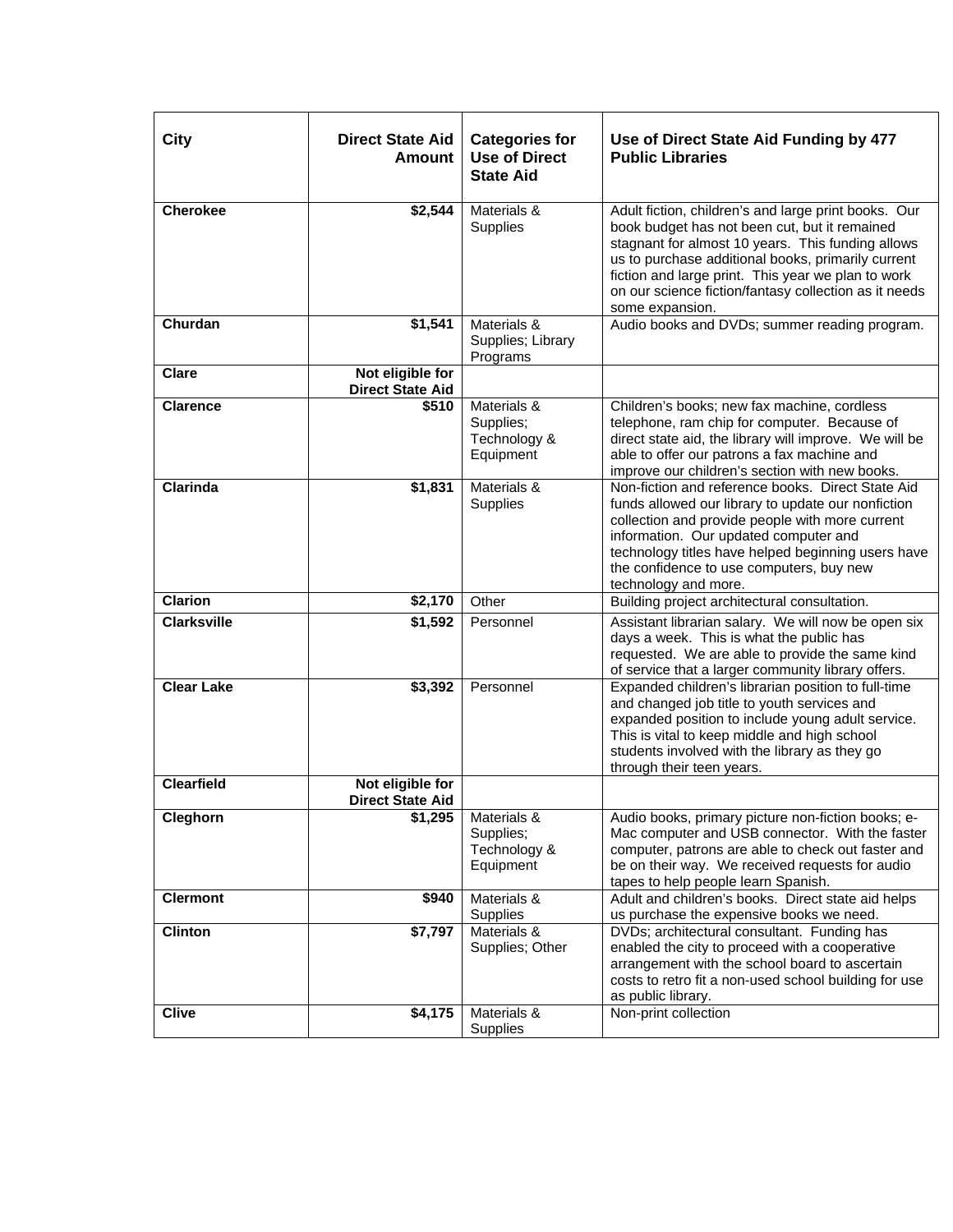| <b>City</b>        | <b>Direct State Aid</b><br>Amount           | <b>Categories for</b><br><b>Use of Direct</b><br><b>State Aid</b> | Use of Direct State Aid Funding by 477<br><b>Public Libraries</b>                                                                                                                                                                                                                                                                                  |
|--------------------|---------------------------------------------|-------------------------------------------------------------------|----------------------------------------------------------------------------------------------------------------------------------------------------------------------------------------------------------------------------------------------------------------------------------------------------------------------------------------------------|
| <b>Cherokee</b>    | \$2,544                                     | Materials &<br>Supplies                                           | Adult fiction, children's and large print books. Our<br>book budget has not been cut, but it remained<br>stagnant for almost 10 years. This funding allows<br>us to purchase additional books, primarily current<br>fiction and large print. This year we plan to work<br>on our science fiction/fantasy collection as it needs<br>some expansion. |
| Churdan            | \$1,541                                     | Materials &<br>Supplies; Library<br>Programs                      | Audio books and DVDs; summer reading program.                                                                                                                                                                                                                                                                                                      |
| <b>Clare</b>       | Not eligible for<br><b>Direct State Aid</b> |                                                                   |                                                                                                                                                                                                                                                                                                                                                    |
| <b>Clarence</b>    | \$510                                       | Materials &<br>Supplies;<br>Technology &<br>Equipment             | Children's books; new fax machine, cordless<br>telephone, ram chip for computer. Because of<br>direct state aid, the library will improve. We will be<br>able to offer our patrons a fax machine and<br>improve our children's section with new books.                                                                                             |
| <b>Clarinda</b>    | \$1,831                                     | Materials &<br>Supplies                                           | Non-fiction and reference books. Direct State Aid<br>funds allowed our library to update our nonfiction<br>collection and provide people with more current<br>information. Our updated computer and<br>technology titles have helped beginning users have<br>the confidence to use computers, buy new<br>technology and more.                      |
| <b>Clarion</b>     | \$2,170                                     | Other                                                             | Building project architectural consultation.                                                                                                                                                                                                                                                                                                       |
| <b>Clarksville</b> | \$1,592                                     | Personnel                                                         | Assistant librarian salary. We will now be open six<br>days a week. This is what the public has<br>requested. We are able to provide the same kind<br>of service that a larger community library offers.                                                                                                                                           |
| <b>Clear Lake</b>  | \$3,392                                     | Personnel                                                         | Expanded children's librarian position to full-time<br>and changed job title to youth services and<br>expanded position to include young adult service.<br>This is vital to keep middle and high school<br>students involved with the library as they go<br>through their teen years.                                                              |
| <b>Clearfield</b>  | Not eligible for<br><b>Direct State Aid</b> |                                                                   |                                                                                                                                                                                                                                                                                                                                                    |
| Cleghorn           | \$1,295                                     | Materials &<br>Supplies;<br>Technology &<br>Equipment             | Audio books, primary picture non-fiction books; e-<br>Mac computer and USB connector. With the faster<br>computer, patrons are able to check out faster and<br>be on their way. We received requests for audio<br>tapes to help people learn Spanish.                                                                                              |
| <b>Clermont</b>    | \$940                                       | Materials &<br>Supplies                                           | Adult and children's books. Direct state aid helps<br>us purchase the expensive books we need.                                                                                                                                                                                                                                                     |
| <b>Clinton</b>     | \$7,797                                     | Materials &<br>Supplies; Other                                    | DVDs; architectural consultant. Funding has<br>enabled the city to proceed with a cooperative<br>arrangement with the school board to ascertain<br>costs to retro fit a non-used school building for use<br>as public library.                                                                                                                     |
| <b>Clive</b>       | \$4,175                                     | Materials &<br>Supplies                                           | Non-print collection                                                                                                                                                                                                                                                                                                                               |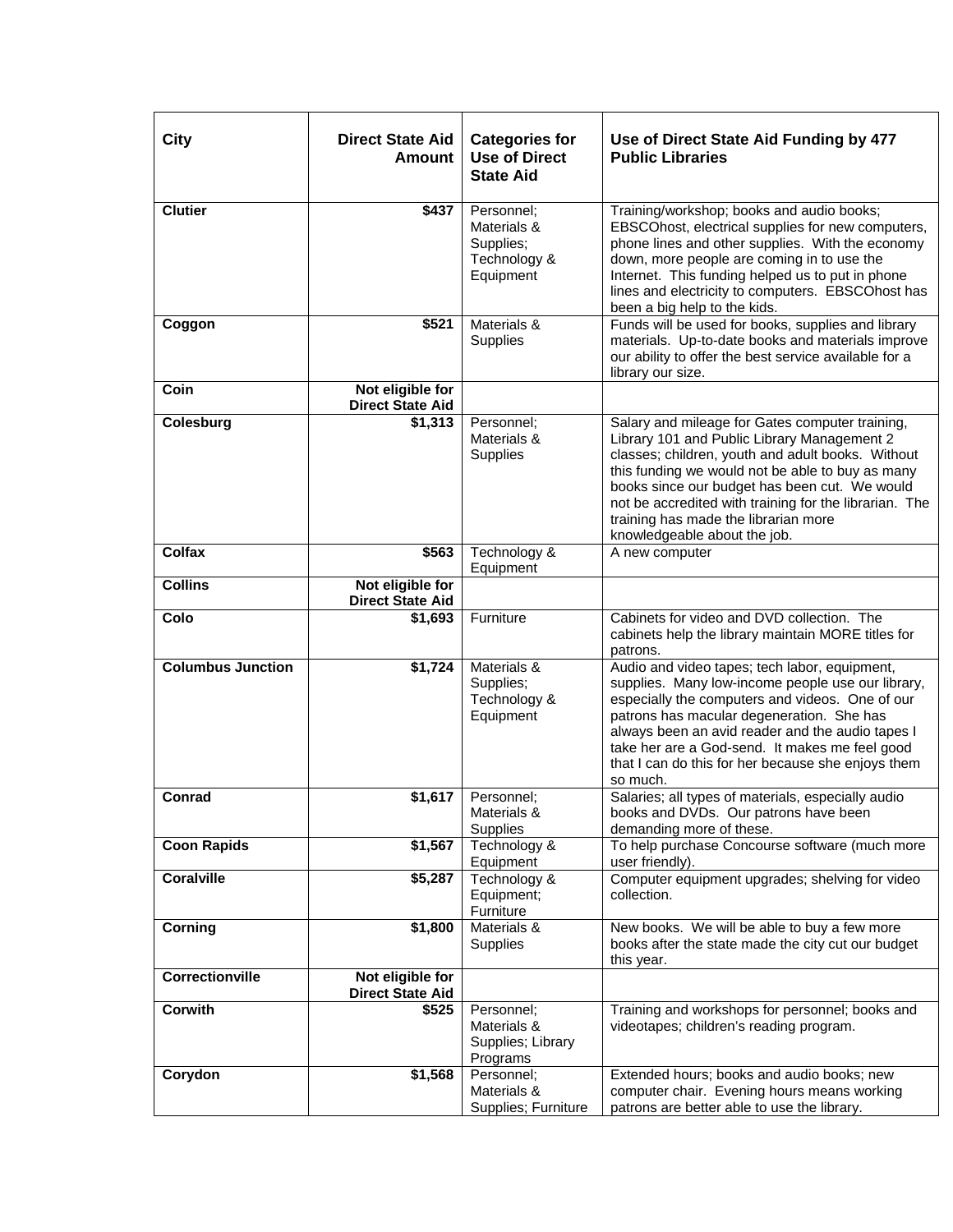| City                     | <b>Direct State Aid</b><br><b>Amount</b>    | <b>Categories for</b><br><b>Use of Direct</b><br><b>State Aid</b>   | Use of Direct State Aid Funding by 477<br><b>Public Libraries</b>                                                                                                                                                                                                                                                                                                                          |
|--------------------------|---------------------------------------------|---------------------------------------------------------------------|--------------------------------------------------------------------------------------------------------------------------------------------------------------------------------------------------------------------------------------------------------------------------------------------------------------------------------------------------------------------------------------------|
| <b>Clutier</b>           | \$437                                       | Personnel;<br>Materials &<br>Supplies;<br>Technology &<br>Equipment | Training/workshop; books and audio books;<br>EBSCOhost, electrical supplies for new computers,<br>phone lines and other supplies. With the economy<br>down, more people are coming in to use the<br>Internet. This funding helped us to put in phone<br>lines and electricity to computers. EBSCOhost has<br>been a big help to the kids.                                                  |
| Coggon                   | \$521                                       | Materials &<br>Supplies                                             | Funds will be used for books, supplies and library<br>materials. Up-to-date books and materials improve<br>our ability to offer the best service available for a<br>library our size.                                                                                                                                                                                                      |
| Coin                     | Not eligible for<br><b>Direct State Aid</b> |                                                                     |                                                                                                                                                                                                                                                                                                                                                                                            |
| Colesburg                | \$1,313                                     | Personnel;<br>Materials &<br>Supplies                               | Salary and mileage for Gates computer training,<br>Library 101 and Public Library Management 2<br>classes; children, youth and adult books. Without<br>this funding we would not be able to buy as many<br>books since our budget has been cut. We would<br>not be accredited with training for the librarian. The<br>training has made the librarian more<br>knowledgeable about the job. |
| <b>Colfax</b>            | \$563                                       | Technology &<br>Equipment                                           | A new computer                                                                                                                                                                                                                                                                                                                                                                             |
| <b>Collins</b>           | Not eligible for<br><b>Direct State Aid</b> |                                                                     |                                                                                                                                                                                                                                                                                                                                                                                            |
| Colo                     | \$1,693                                     | Furniture                                                           | Cabinets for video and DVD collection. The<br>cabinets help the library maintain MORE titles for<br>patrons.                                                                                                                                                                                                                                                                               |
| <b>Columbus Junction</b> | \$1,724                                     | Materials &<br>Supplies;<br>Technology &<br>Equipment               | Audio and video tapes; tech labor, equipment,<br>supplies. Many low-income people use our library,<br>especially the computers and videos. One of our<br>patrons has macular degeneration. She has<br>always been an avid reader and the audio tapes I<br>take her are a God-send. It makes me feel good<br>that I can do this for her because she enjoys them<br>so much.                 |
| Conrad                   | \$1,617                                     | Personnel:<br>Materials &<br><b>Supplies</b>                        | Salaries; all types of materials, especially audio<br>books and DVDs. Our patrons have been<br>demanding more of these.                                                                                                                                                                                                                                                                    |
| <b>Coon Rapids</b>       | \$1,567                                     | Technology &<br>Equipment                                           | To help purchase Concourse software (much more<br>user friendly).                                                                                                                                                                                                                                                                                                                          |
| <b>Coralville</b>        | \$5,287                                     | Technology &<br>Equipment;<br>Furniture                             | Computer equipment upgrades; shelving for video<br>collection.                                                                                                                                                                                                                                                                                                                             |
| Corning                  | \$1,800                                     | Materials &<br>Supplies                                             | New books. We will be able to buy a few more<br>books after the state made the city cut our budget<br>this year.                                                                                                                                                                                                                                                                           |
| Correctionville          | Not eligible for<br><b>Direct State Aid</b> |                                                                     |                                                                                                                                                                                                                                                                                                                                                                                            |
| Corwith                  | \$525                                       | Personnel;<br>Materials &<br>Supplies; Library<br>Programs          | Training and workshops for personnel; books and<br>videotapes; children's reading program.                                                                                                                                                                                                                                                                                                 |
| Corydon                  | \$1,568                                     | Personnel;<br>Materials &<br>Supplies; Furniture                    | Extended hours; books and audio books; new<br>computer chair. Evening hours means working<br>patrons are better able to use the library.                                                                                                                                                                                                                                                   |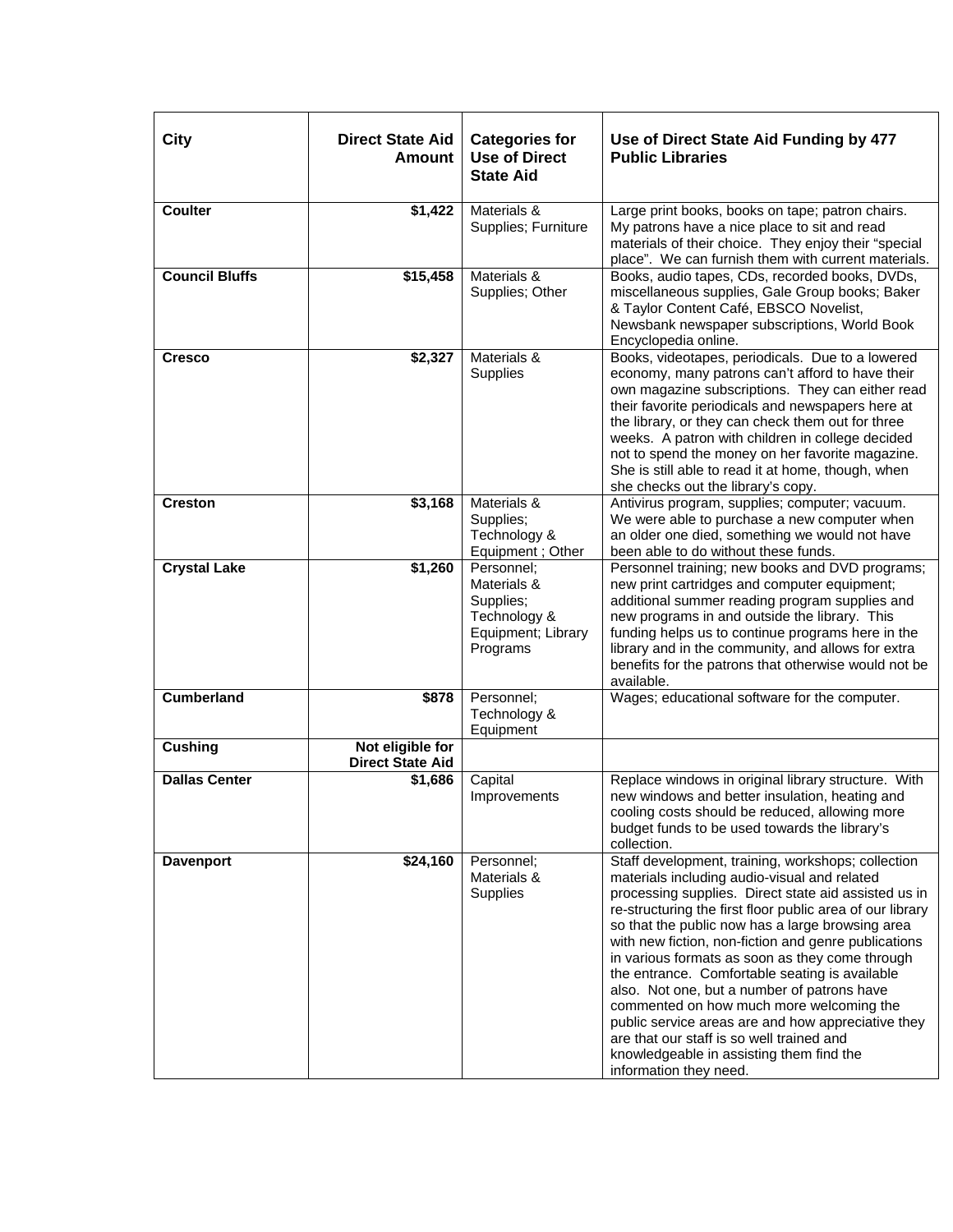| City                  | <b>Direct State Aid</b><br><b>Amount</b>    | <b>Categories for</b><br><b>Use of Direct</b><br><b>State Aid</b>                        | Use of Direct State Aid Funding by 477<br><b>Public Libraries</b>                                                                                                                                                                                                                                                                                                                                                                                                                                                                                                                                                                                                                                            |
|-----------------------|---------------------------------------------|------------------------------------------------------------------------------------------|--------------------------------------------------------------------------------------------------------------------------------------------------------------------------------------------------------------------------------------------------------------------------------------------------------------------------------------------------------------------------------------------------------------------------------------------------------------------------------------------------------------------------------------------------------------------------------------------------------------------------------------------------------------------------------------------------------------|
| <b>Coulter</b>        | \$1,422                                     | Materials &<br>Supplies; Furniture                                                       | Large print books, books on tape; patron chairs.<br>My patrons have a nice place to sit and read<br>materials of their choice. They enjoy their "special<br>place". We can furnish them with current materials.                                                                                                                                                                                                                                                                                                                                                                                                                                                                                              |
| <b>Council Bluffs</b> | \$15,458                                    | Materials &<br>Supplies; Other                                                           | Books, audio tapes, CDs, recorded books, DVDs,<br>miscellaneous supplies, Gale Group books; Baker<br>& Taylor Content Café, EBSCO Novelist,<br>Newsbank newspaper subscriptions, World Book<br>Encyclopedia online.                                                                                                                                                                                                                                                                                                                                                                                                                                                                                          |
| <b>Cresco</b>         | \$2,327                                     | Materials &<br>Supplies                                                                  | Books, videotapes, periodicals. Due to a lowered<br>economy, many patrons can't afford to have their<br>own magazine subscriptions. They can either read<br>their favorite periodicals and newspapers here at<br>the library, or they can check them out for three<br>weeks. A patron with children in college decided<br>not to spend the money on her favorite magazine.<br>She is still able to read it at home, though, when<br>she checks out the library's copy.                                                                                                                                                                                                                                       |
| <b>Creston</b>        | \$3,168                                     | Materials &<br>Supplies;<br>Technology &<br>Equipment; Other                             | Antivirus program, supplies; computer; vacuum.<br>We were able to purchase a new computer when<br>an older one died, something we would not have<br>been able to do without these funds.                                                                                                                                                                                                                                                                                                                                                                                                                                                                                                                     |
| <b>Crystal Lake</b>   | \$1,260                                     | Personnel:<br>Materials &<br>Supplies;<br>Technology &<br>Equipment; Library<br>Programs | Personnel training; new books and DVD programs;<br>new print cartridges and computer equipment;<br>additional summer reading program supplies and<br>new programs in and outside the library. This<br>funding helps us to continue programs here in the<br>library and in the community, and allows for extra<br>benefits for the patrons that otherwise would not be<br>available.                                                                                                                                                                                                                                                                                                                          |
| <b>Cumberland</b>     | \$878                                       | Personnel;<br>Technology &<br>Equipment                                                  | Wages; educational software for the computer.                                                                                                                                                                                                                                                                                                                                                                                                                                                                                                                                                                                                                                                                |
| <b>Cushing</b>        | Not eligible for<br><b>Direct State Aid</b> |                                                                                          |                                                                                                                                                                                                                                                                                                                                                                                                                                                                                                                                                                                                                                                                                                              |
| <b>Dallas Center</b>  | $\overline{$}1,686$                         | Capital<br>Improvements                                                                  | Replace windows in original library structure. With<br>new windows and better insulation, heating and<br>cooling costs should be reduced, allowing more<br>budget funds to be used towards the library's<br>collection.                                                                                                                                                                                                                                                                                                                                                                                                                                                                                      |
| <b>Davenport</b>      | \$24,160                                    | Personnel:<br>Materials &<br>Supplies                                                    | Staff development, training, workshops; collection<br>materials including audio-visual and related<br>processing supplies. Direct state aid assisted us in<br>re-structuring the first floor public area of our library<br>so that the public now has a large browsing area<br>with new fiction, non-fiction and genre publications<br>in various formats as soon as they come through<br>the entrance. Comfortable seating is available<br>also. Not one, but a number of patrons have<br>commented on how much more welcoming the<br>public service areas are and how appreciative they<br>are that our staff is so well trained and<br>knowledgeable in assisting them find the<br>information they need. |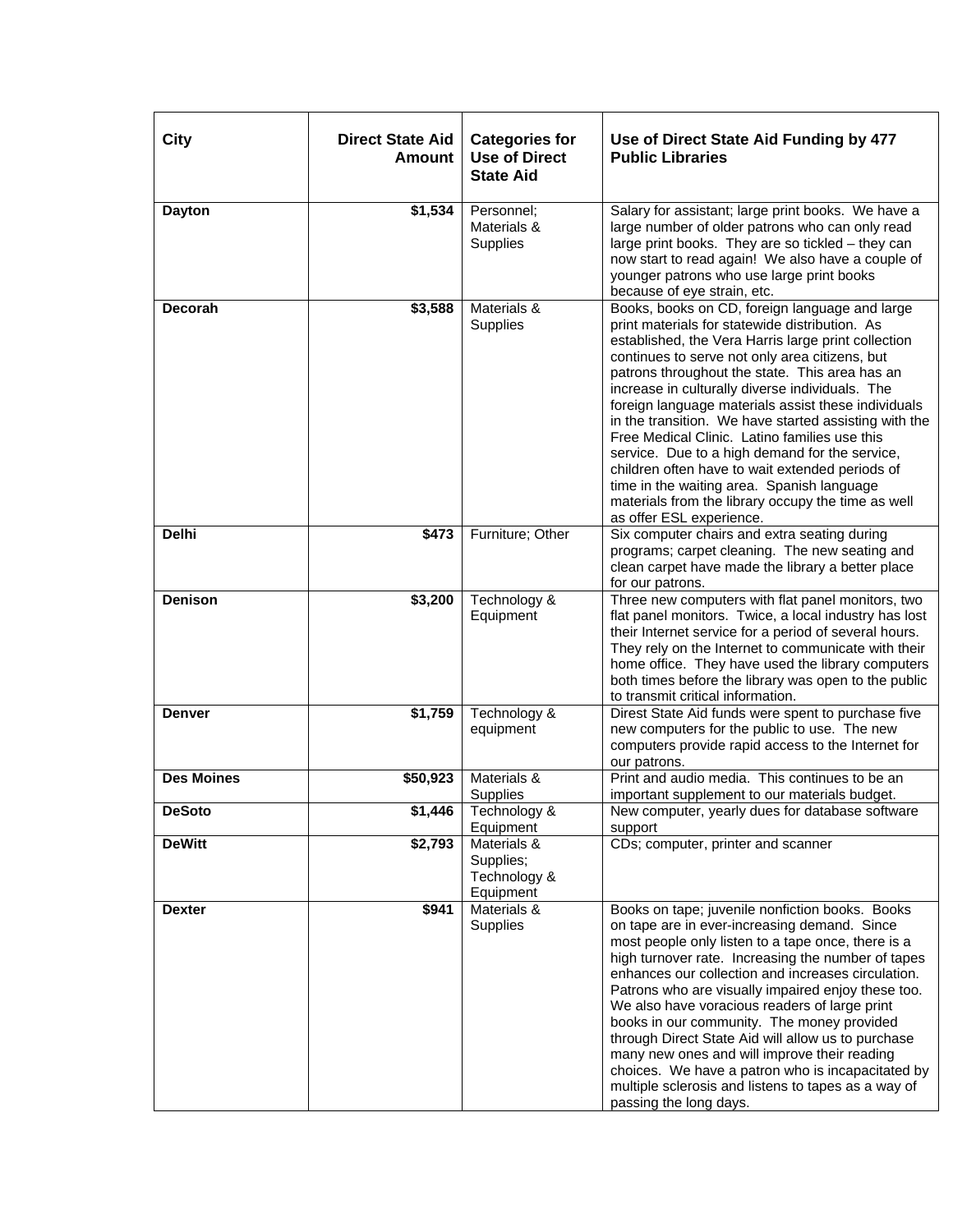| <b>City</b>       | <b>Direct State Aid</b><br><b>Amount</b> | <b>Categories for</b><br><b>Use of Direct</b><br><b>State Aid</b> | Use of Direct State Aid Funding by 477<br><b>Public Libraries</b>                                                                                                                                                                                                                                                                                                                                                                                                                                                                                                                                                                                                                                                    |
|-------------------|------------------------------------------|-------------------------------------------------------------------|----------------------------------------------------------------------------------------------------------------------------------------------------------------------------------------------------------------------------------------------------------------------------------------------------------------------------------------------------------------------------------------------------------------------------------------------------------------------------------------------------------------------------------------------------------------------------------------------------------------------------------------------------------------------------------------------------------------------|
| <b>Dayton</b>     | \$1,534                                  | Personnel:<br>Materials &<br>Supplies                             | Salary for assistant; large print books. We have a<br>large number of older patrons who can only read<br>large print books. They are so tickled - they can<br>now start to read again! We also have a couple of<br>younger patrons who use large print books<br>because of eye strain, etc.                                                                                                                                                                                                                                                                                                                                                                                                                          |
| <b>Decorah</b>    | \$3,588                                  | Materials &<br>Supplies                                           | Books, books on CD, foreign language and large<br>print materials for statewide distribution. As<br>established, the Vera Harris large print collection<br>continues to serve not only area citizens, but<br>patrons throughout the state. This area has an<br>increase in culturally diverse individuals. The<br>foreign language materials assist these individuals<br>in the transition. We have started assisting with the<br>Free Medical Clinic. Latino families use this<br>service. Due to a high demand for the service,<br>children often have to wait extended periods of<br>time in the waiting area. Spanish language<br>materials from the library occupy the time as well<br>as offer ESL experience. |
| <b>Delhi</b>      | \$473                                    | Furniture; Other                                                  | Six computer chairs and extra seating during<br>programs; carpet cleaning. The new seating and<br>clean carpet have made the library a better place<br>for our patrons.                                                                                                                                                                                                                                                                                                                                                                                                                                                                                                                                              |
| <b>Denison</b>    | \$3,200                                  | Technology &<br>Equipment                                         | Three new computers with flat panel monitors, two<br>flat panel monitors. Twice, a local industry has lost<br>their Internet service for a period of several hours.<br>They rely on the Internet to communicate with their<br>home office. They have used the library computers<br>both times before the library was open to the public<br>to transmit critical information.                                                                                                                                                                                                                                                                                                                                         |
| <b>Denver</b>     | \$1,759                                  | Technology &<br>equipment                                         | Direst State Aid funds were spent to purchase five<br>new computers for the public to use. The new<br>computers provide rapid access to the Internet for<br>our patrons.                                                                                                                                                                                                                                                                                                                                                                                                                                                                                                                                             |
| <b>Des Moines</b> | \$50,923                                 | Materials &<br><b>Supplies</b>                                    | Print and audio media. This continues to be an<br>important supplement to our materials budget.                                                                                                                                                                                                                                                                                                                                                                                                                                                                                                                                                                                                                      |
| <b>DeSoto</b>     |                                          | $$1,446$ Technology &<br>Equipment                                | New computer, yearly dues for database software<br>support                                                                                                                                                                                                                                                                                                                                                                                                                                                                                                                                                                                                                                                           |
| <b>DeWitt</b>     | \$2,793                                  | Materials &<br>Supplies;<br>Technology &<br>Equipment             | CDs; computer, printer and scanner                                                                                                                                                                                                                                                                                                                                                                                                                                                                                                                                                                                                                                                                                   |
| <b>Dexter</b>     | \$941                                    | Materials &<br>Supplies                                           | Books on tape; juvenile nonfiction books. Books<br>on tape are in ever-increasing demand. Since<br>most people only listen to a tape once, there is a<br>high turnover rate. Increasing the number of tapes<br>enhances our collection and increases circulation.<br>Patrons who are visually impaired enjoy these too.<br>We also have voracious readers of large print<br>books in our community. The money provided<br>through Direct State Aid will allow us to purchase<br>many new ones and will improve their reading<br>choices. We have a patron who is incapacitated by<br>multiple sclerosis and listens to tapes as a way of<br>passing the long days.                                                   |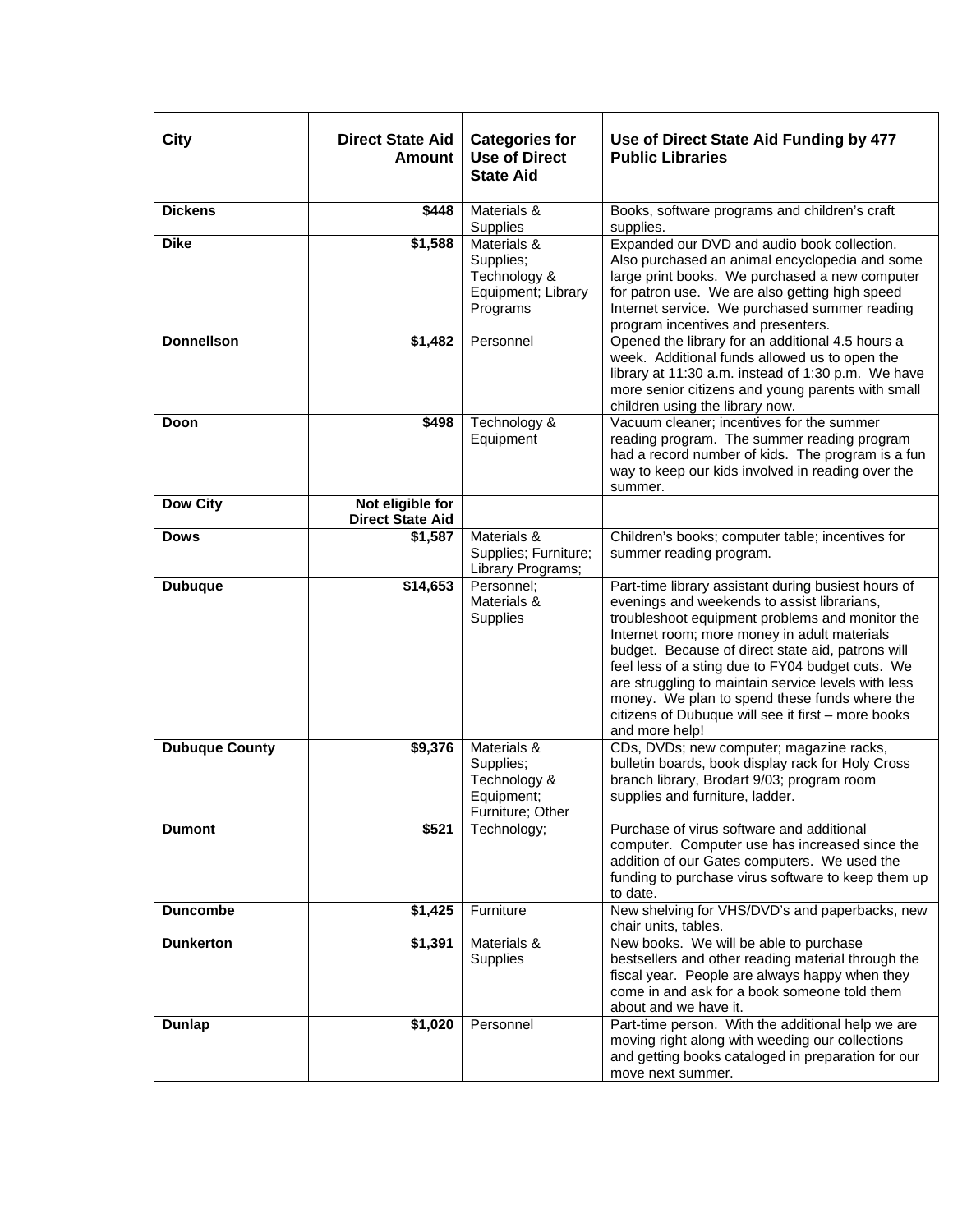| City                  | <b>Direct State Aid</b><br><b>Amount</b>    | <b>Categories for</b><br><b>Use of Direct</b><br><b>State Aid</b>          | Use of Direct State Aid Funding by 477<br><b>Public Libraries</b>                                                                                                                                                                                                                                                                                                                                                                                                                              |
|-----------------------|---------------------------------------------|----------------------------------------------------------------------------|------------------------------------------------------------------------------------------------------------------------------------------------------------------------------------------------------------------------------------------------------------------------------------------------------------------------------------------------------------------------------------------------------------------------------------------------------------------------------------------------|
| <b>Dickens</b>        | \$448                                       | Materials &<br>Supplies                                                    | Books, software programs and children's craft<br>supplies.                                                                                                                                                                                                                                                                                                                                                                                                                                     |
| <b>Dike</b>           | \$1,588                                     | Materials &<br>Supplies;<br>Technology &<br>Equipment; Library<br>Programs | Expanded our DVD and audio book collection.<br>Also purchased an animal encyclopedia and some<br>large print books. We purchased a new computer<br>for patron use. We are also getting high speed<br>Internet service. We purchased summer reading<br>program incentives and presenters.                                                                                                                                                                                                       |
| <b>Donnellson</b>     | \$1,482                                     | Personnel                                                                  | Opened the library for an additional 4.5 hours a<br>week. Additional funds allowed us to open the<br>library at 11:30 a.m. instead of 1:30 p.m. We have<br>more senior citizens and young parents with small<br>children using the library now.                                                                                                                                                                                                                                                |
| Doon                  | \$498                                       | Technology &<br>Equipment                                                  | Vacuum cleaner; incentives for the summer<br>reading program. The summer reading program<br>had a record number of kids. The program is a fun<br>way to keep our kids involved in reading over the<br>summer.                                                                                                                                                                                                                                                                                  |
| <b>Dow City</b>       | Not eligible for<br><b>Direct State Aid</b> |                                                                            |                                                                                                                                                                                                                                                                                                                                                                                                                                                                                                |
| <b>Dows</b>           | \$1,587                                     | Materials &<br>Supplies; Furniture;<br>Library Programs;                   | Children's books; computer table; incentives for<br>summer reading program.                                                                                                                                                                                                                                                                                                                                                                                                                    |
| <b>Dubuque</b>        | \$14,653                                    | Personnel:<br>Materials &<br>Supplies                                      | Part-time library assistant during busiest hours of<br>evenings and weekends to assist librarians,<br>troubleshoot equipment problems and monitor the<br>Internet room; more money in adult materials<br>budget. Because of direct state aid, patrons will<br>feel less of a sting due to FY04 budget cuts. We<br>are struggling to maintain service levels with less<br>money. We plan to spend these funds where the<br>citizens of Dubuque will see it first - more books<br>and more help! |
| <b>Dubuque County</b> | \$9,376                                     | Materials &<br>Supplies;<br>Technology &<br>Equipment;<br>Furniture; Other | CDs, DVDs; new computer; magazine racks,<br>bulletin boards, book display rack for Holy Cross<br>branch library, Brodart 9/03; program room<br>supplies and furniture, ladder.                                                                                                                                                                                                                                                                                                                 |
| <b>Dumont</b>         | \$521                                       | Technology;                                                                | Purchase of virus software and additional<br>computer. Computer use has increased since the<br>addition of our Gates computers. We used the<br>funding to purchase virus software to keep them up<br>to date.                                                                                                                                                                                                                                                                                  |
| <b>Duncombe</b>       | \$1,425                                     | Furniture                                                                  | New shelving for VHS/DVD's and paperbacks, new<br>chair units, tables.                                                                                                                                                                                                                                                                                                                                                                                                                         |
| <b>Dunkerton</b>      | \$1,391                                     | Materials &<br><b>Supplies</b>                                             | New books. We will be able to purchase<br>bestsellers and other reading material through the<br>fiscal year. People are always happy when they<br>come in and ask for a book someone told them<br>about and we have it.                                                                                                                                                                                                                                                                        |
| Dunlap                | \$1,020                                     | Personnel                                                                  | Part-time person. With the additional help we are<br>moving right along with weeding our collections<br>and getting books cataloged in preparation for our<br>move next summer.                                                                                                                                                                                                                                                                                                                |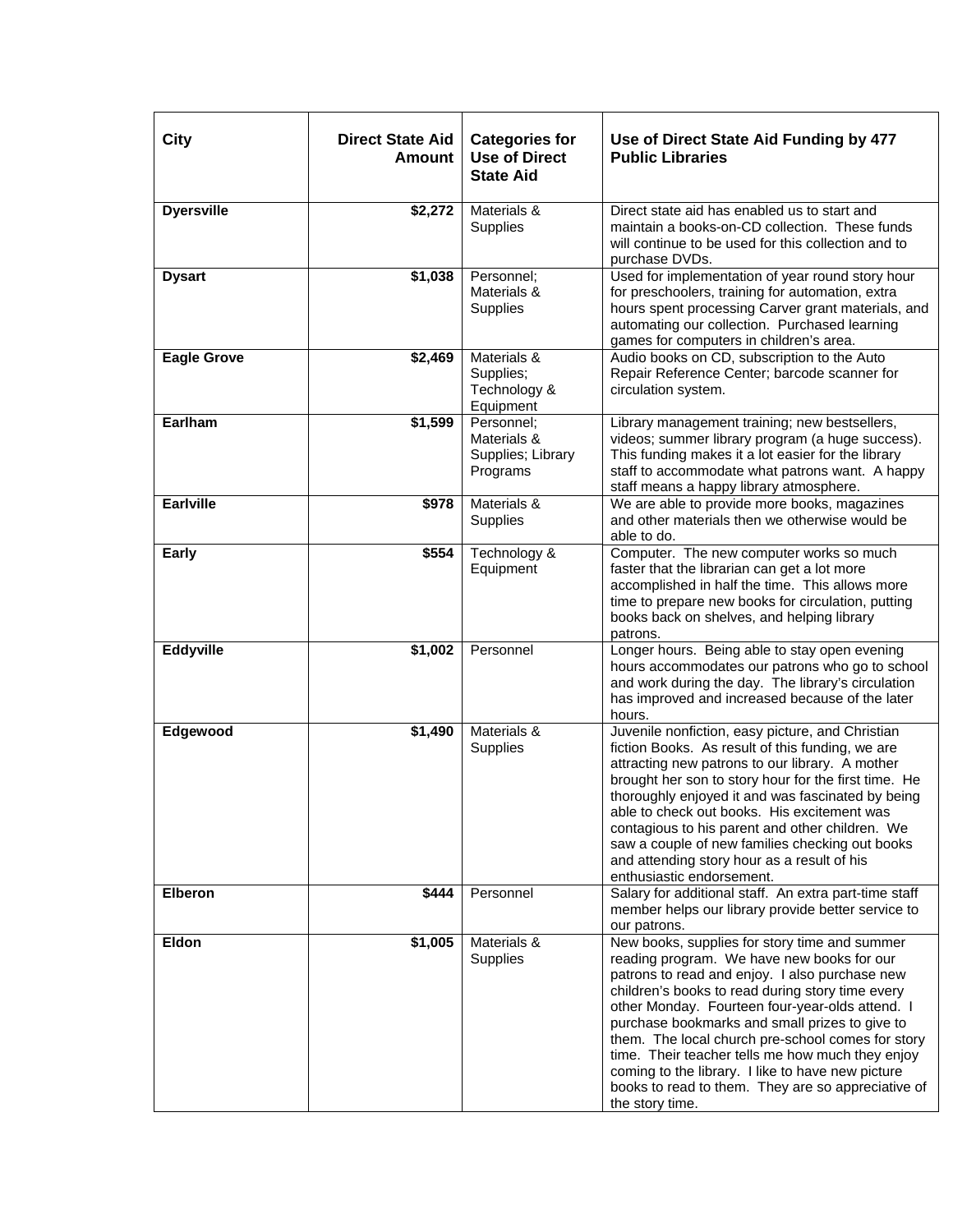| City               | <b>Direct State Aid</b><br><b>Amount</b> | <b>Categories for</b><br><b>Use of Direct</b><br><b>State Aid</b> | Use of Direct State Aid Funding by 477<br><b>Public Libraries</b>                                                                                                                                                                                                                                                                                                                                                                                                                                                                             |
|--------------------|------------------------------------------|-------------------------------------------------------------------|-----------------------------------------------------------------------------------------------------------------------------------------------------------------------------------------------------------------------------------------------------------------------------------------------------------------------------------------------------------------------------------------------------------------------------------------------------------------------------------------------------------------------------------------------|
| <b>Dyersville</b>  | \$2,272                                  | Materials &<br>Supplies                                           | Direct state aid has enabled us to start and<br>maintain a books-on-CD collection. These funds<br>will continue to be used for this collection and to<br>purchase DVDs.                                                                                                                                                                                                                                                                                                                                                                       |
| <b>Dysart</b>      | \$1,038                                  | Personnel;<br>Materials &<br><b>Supplies</b>                      | Used for implementation of year round story hour<br>for preschoolers, training for automation, extra<br>hours spent processing Carver grant materials, and<br>automating our collection. Purchased learning<br>games for computers in children's area.                                                                                                                                                                                                                                                                                        |
| <b>Eagle Grove</b> | \$2,469                                  | Materials &<br>Supplies;<br>Technology &<br>Equipment             | Audio books on CD, subscription to the Auto<br>Repair Reference Center; barcode scanner for<br>circulation system.                                                                                                                                                                                                                                                                                                                                                                                                                            |
| Earlham            | \$1,599                                  | Personnel;<br>Materials &<br>Supplies; Library<br>Programs        | Library management training; new bestsellers,<br>videos; summer library program (a huge success).<br>This funding makes it a lot easier for the library<br>staff to accommodate what patrons want. A happy<br>staff means a happy library atmosphere.                                                                                                                                                                                                                                                                                         |
| <b>Earlville</b>   | \$978                                    | Materials &<br>Supplies                                           | We are able to provide more books, magazines<br>and other materials then we otherwise would be<br>able to do.                                                                                                                                                                                                                                                                                                                                                                                                                                 |
| Early              | \$554                                    | Technology &<br>Equipment                                         | Computer. The new computer works so much<br>faster that the librarian can get a lot more<br>accomplished in half the time. This allows more<br>time to prepare new books for circulation, putting<br>books back on shelves, and helping library<br>patrons.                                                                                                                                                                                                                                                                                   |
| Eddyville          | \$1,002                                  | Personnel                                                         | Longer hours. Being able to stay open evening<br>hours accommodates our patrons who go to school<br>and work during the day. The library's circulation<br>has improved and increased because of the later<br>hours.                                                                                                                                                                                                                                                                                                                           |
| Edgewood           | \$1,490                                  | Materials &<br>Supplies                                           | Juvenile nonfiction, easy picture, and Christian<br>fiction Books. As result of this funding, we are<br>attracting new patrons to our library. A mother<br>brought her son to story hour for the first time. He<br>thoroughly enjoyed it and was fascinated by being<br>able to check out books. His excitement was<br>contagious to his parent and other children. We<br>saw a couple of new families checking out books<br>and attending story hour as a result of his<br>enthusiastic endorsement.                                         |
| <b>Elberon</b>     | \$444                                    | Personnel                                                         | Salary for additional staff. An extra part-time staff<br>member helps our library provide better service to<br>our patrons.                                                                                                                                                                                                                                                                                                                                                                                                                   |
| Eldon              | \$1,005                                  | Materials &<br>Supplies                                           | New books, supplies for story time and summer<br>reading program. We have new books for our<br>patrons to read and enjoy. I also purchase new<br>children's books to read during story time every<br>other Monday. Fourteen four-year-olds attend. I<br>purchase bookmarks and small prizes to give to<br>them. The local church pre-school comes for story<br>time. Their teacher tells me how much they enjoy<br>coming to the library. I like to have new picture<br>books to read to them. They are so appreciative of<br>the story time. |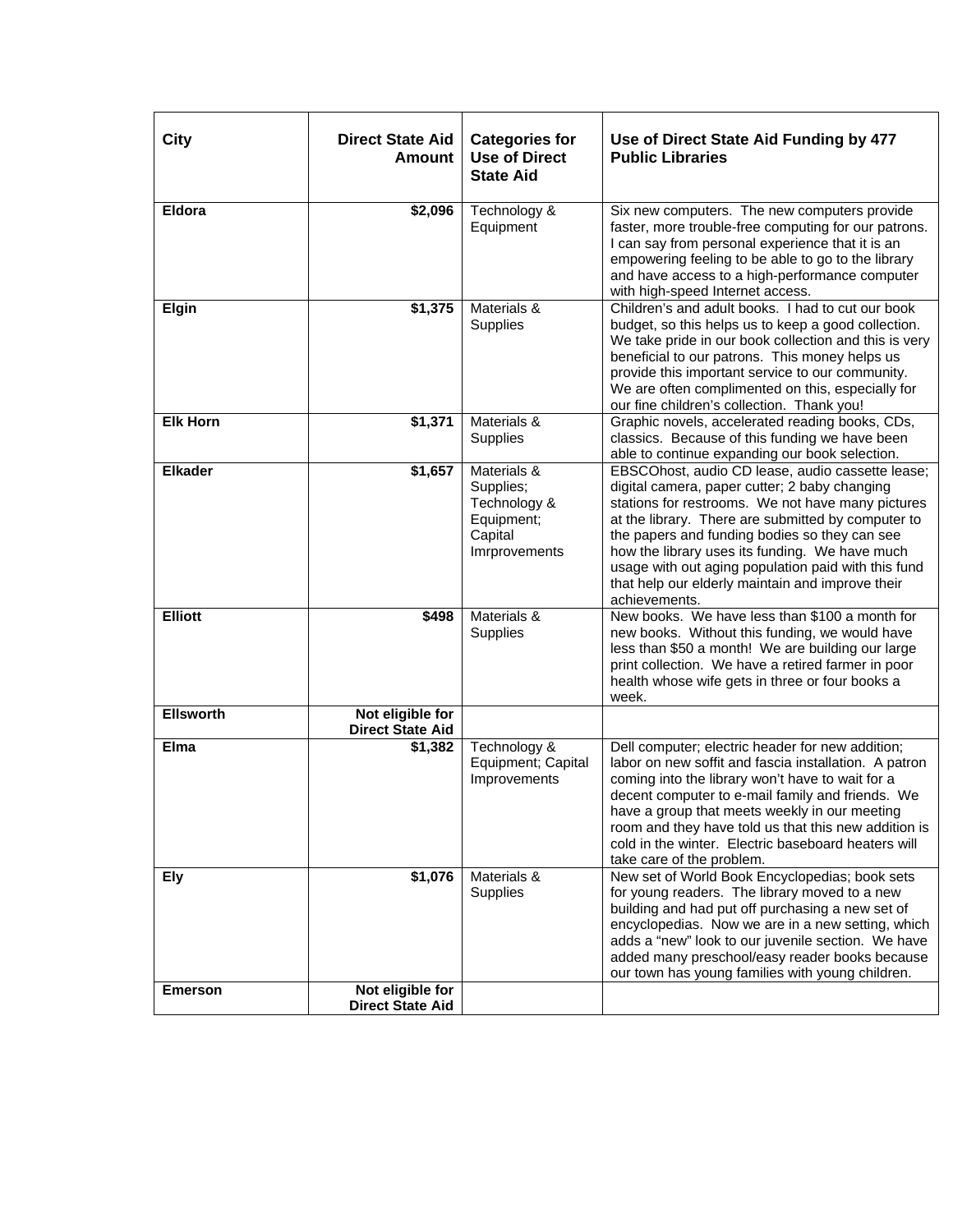| City             | <b>Direct State Aid</b><br><b>Amount</b>    | <b>Categories for</b><br><b>Use of Direct</b><br><b>State Aid</b>                  | Use of Direct State Aid Funding by 477<br><b>Public Libraries</b>                                                                                                                                                                                                                                                                                                                                                                           |
|------------------|---------------------------------------------|------------------------------------------------------------------------------------|---------------------------------------------------------------------------------------------------------------------------------------------------------------------------------------------------------------------------------------------------------------------------------------------------------------------------------------------------------------------------------------------------------------------------------------------|
| Eldora           | \$2,096                                     | Technology &<br>Equipment                                                          | Six new computers. The new computers provide<br>faster, more trouble-free computing for our patrons.<br>I can say from personal experience that it is an<br>empowering feeling to be able to go to the library<br>and have access to a high-performance computer<br>with high-speed Internet access.                                                                                                                                        |
| Elgin            | \$1,375                                     | Materials &<br>Supplies                                                            | Children's and adult books. I had to cut our book<br>budget, so this helps us to keep a good collection.<br>We take pride in our book collection and this is very<br>beneficial to our patrons. This money helps us<br>provide this important service to our community.<br>We are often complimented on this, especially for<br>our fine children's collection. Thank you!                                                                  |
| <b>Elk Horn</b>  | \$1,371                                     | Materials &<br>Supplies                                                            | Graphic novels, accelerated reading books, CDs,<br>classics. Because of this funding we have been<br>able to continue expanding our book selection.                                                                                                                                                                                                                                                                                         |
| <b>Elkader</b>   | \$1,657                                     | Materials &<br>Supplies;<br>Technology &<br>Equipment;<br>Capital<br>Imrprovements | EBSCOhost, audio CD lease, audio cassette lease;<br>digital camera, paper cutter; 2 baby changing<br>stations for restrooms. We not have many pictures<br>at the library. There are submitted by computer to<br>the papers and funding bodies so they can see<br>how the library uses its funding. We have much<br>usage with out aging population paid with this fund<br>that help our elderly maintain and improve their<br>achievements. |
| <b>Elliott</b>   | \$498                                       | Materials &<br>Supplies                                                            | New books. We have less than \$100 a month for<br>new books. Without this funding, we would have<br>less than \$50 a month! We are building our large<br>print collection. We have a retired farmer in poor<br>health whose wife gets in three or four books a<br>week.                                                                                                                                                                     |
| <b>Ellsworth</b> | Not eligible for<br><b>Direct State Aid</b> |                                                                                    |                                                                                                                                                                                                                                                                                                                                                                                                                                             |
| Elma             | \$1,382                                     | Technology &<br>Equipment; Capital<br>Improvements                                 | Dell computer; electric header for new addition;<br>labor on new soffit and fascia installation. A patron<br>coming into the library won't have to wait for a<br>decent computer to e-mail family and friends. We<br>have a group that meets weekly in our meeting<br>room and they have told us that this new addition is<br>cold in the winter. Electric baseboard heaters will<br>take care of the problem.                              |
| Ely              | \$1,076                                     | Materials &<br>Supplies                                                            | New set of World Book Encyclopedias; book sets<br>for young readers. The library moved to a new<br>building and had put off purchasing a new set of<br>encyclopedias. Now we are in a new setting, which<br>adds a "new" look to our juvenile section. We have<br>added many preschool/easy reader books because<br>our town has young families with young children.                                                                        |
| <b>Emerson</b>   | Not eligible for<br><b>Direct State Aid</b> |                                                                                    |                                                                                                                                                                                                                                                                                                                                                                                                                                             |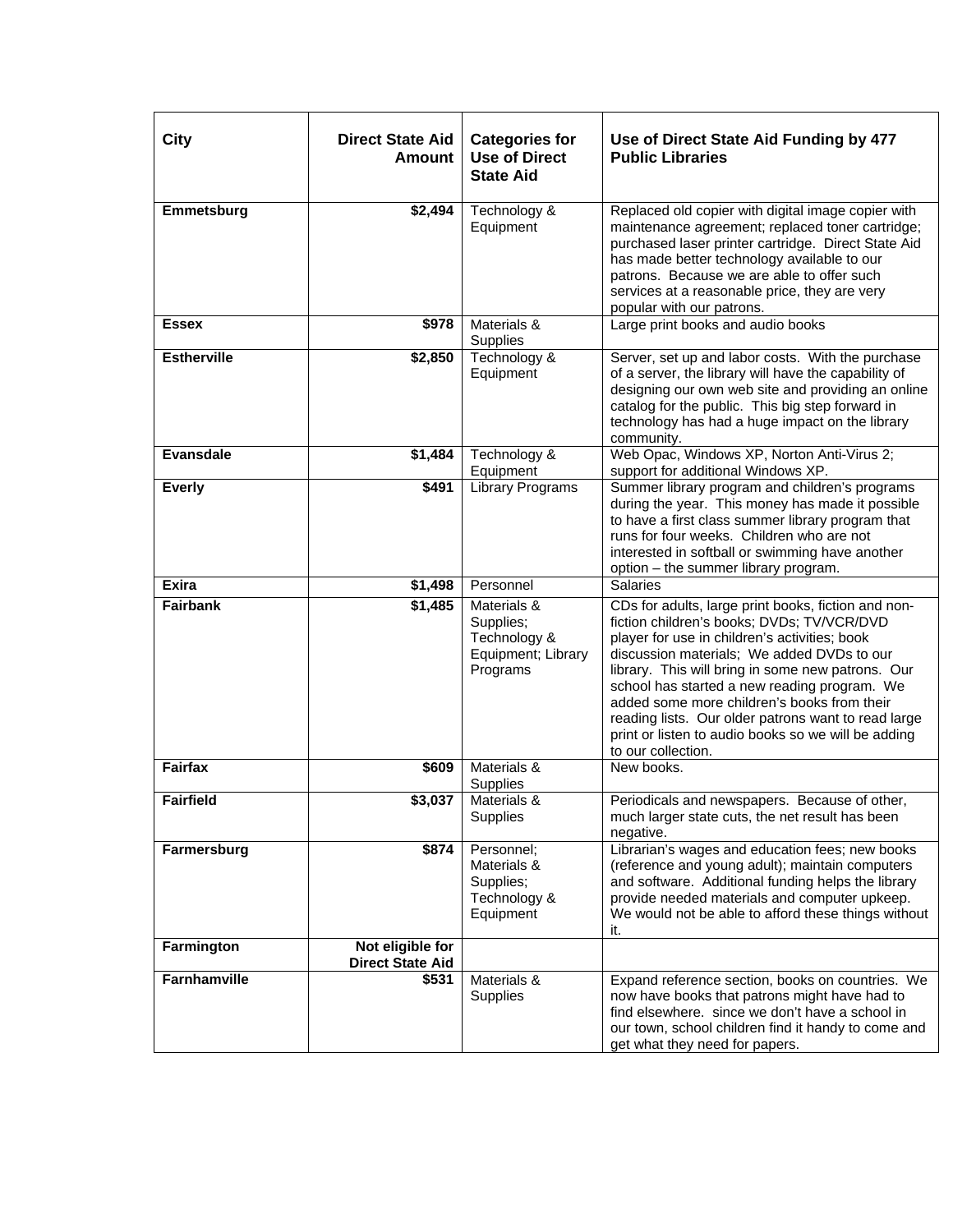| <b>City</b>        | <b>Direct State Aid</b><br><b>Amount</b>    | <b>Categories for</b><br><b>Use of Direct</b><br><b>State Aid</b>          | Use of Direct State Aid Funding by 477<br><b>Public Libraries</b>                                                                                                                                                                                                                                                                                                                                                                                                                        |
|--------------------|---------------------------------------------|----------------------------------------------------------------------------|------------------------------------------------------------------------------------------------------------------------------------------------------------------------------------------------------------------------------------------------------------------------------------------------------------------------------------------------------------------------------------------------------------------------------------------------------------------------------------------|
| Emmetsburg         | \$2,494                                     | Technology &<br>Equipment                                                  | Replaced old copier with digital image copier with<br>maintenance agreement; replaced toner cartridge;<br>purchased laser printer cartridge. Direct State Aid<br>has made better technology available to our<br>patrons. Because we are able to offer such<br>services at a reasonable price, they are very<br>popular with our patrons.                                                                                                                                                 |
| <b>Essex</b>       | \$978                                       | Materials &<br>Supplies                                                    | Large print books and audio books                                                                                                                                                                                                                                                                                                                                                                                                                                                        |
| <b>Estherville</b> | \$2,850                                     | Technology &<br>Equipment                                                  | Server, set up and labor costs. With the purchase<br>of a server, the library will have the capability of<br>designing our own web site and providing an online<br>catalog for the public. This big step forward in<br>technology has had a huge impact on the library<br>community.                                                                                                                                                                                                     |
| <b>Evansdale</b>   | \$1,484                                     | Technology &<br>Equipment                                                  | Web Opac, Windows XP, Norton Anti-Virus 2;<br>support for additional Windows XP.                                                                                                                                                                                                                                                                                                                                                                                                         |
| <b>Everly</b>      | \$491                                       | <b>Library Programs</b>                                                    | Summer library program and children's programs<br>during the year. This money has made it possible<br>to have a first class summer library program that<br>runs for four weeks. Children who are not<br>interested in softball or swimming have another<br>option - the summer library program.                                                                                                                                                                                          |
| <b>Exira</b>       | \$1,498                                     | Personnel                                                                  | <b>Salaries</b>                                                                                                                                                                                                                                                                                                                                                                                                                                                                          |
| <b>Fairbank</b>    | \$1,485                                     | Materials &<br>Supplies;<br>Technology &<br>Equipment; Library<br>Programs | CDs for adults, large print books, fiction and non-<br>fiction children's books; DVDs; TV/VCR/DVD<br>player for use in children's activities; book<br>discussion materials; We added DVDs to our<br>library. This will bring in some new patrons. Our<br>school has started a new reading program. We<br>added some more children's books from their<br>reading lists. Our older patrons want to read large<br>print or listen to audio books so we will be adding<br>to our collection. |
| <b>Fairfax</b>     | \$609                                       | Materials &<br>Supplies                                                    | New books.                                                                                                                                                                                                                                                                                                                                                                                                                                                                               |
| <b>Fairfield</b>   | \$3,037                                     | Materials &<br>Supplies                                                    | Periodicals and newspapers. Because of other,<br>much larger state cuts, the net result has been<br>negative.                                                                                                                                                                                                                                                                                                                                                                            |
| Farmersburg        | \$874                                       | Personnel:<br>Materials &<br>Supplies;<br>Technology &<br>Equipment        | Librarian's wages and education fees; new books<br>(reference and young adult); maintain computers<br>and software. Additional funding helps the library<br>provide needed materials and computer upkeep.<br>We would not be able to afford these things without<br>it.                                                                                                                                                                                                                  |
| Farmington         | Not eligible for<br><b>Direct State Aid</b> |                                                                            |                                                                                                                                                                                                                                                                                                                                                                                                                                                                                          |
| Farnhamville       | \$531                                       | Materials &<br>Supplies                                                    | Expand reference section, books on countries. We<br>now have books that patrons might have had to<br>find elsewhere. since we don't have a school in<br>our town, school children find it handy to come and<br>get what they need for papers.                                                                                                                                                                                                                                            |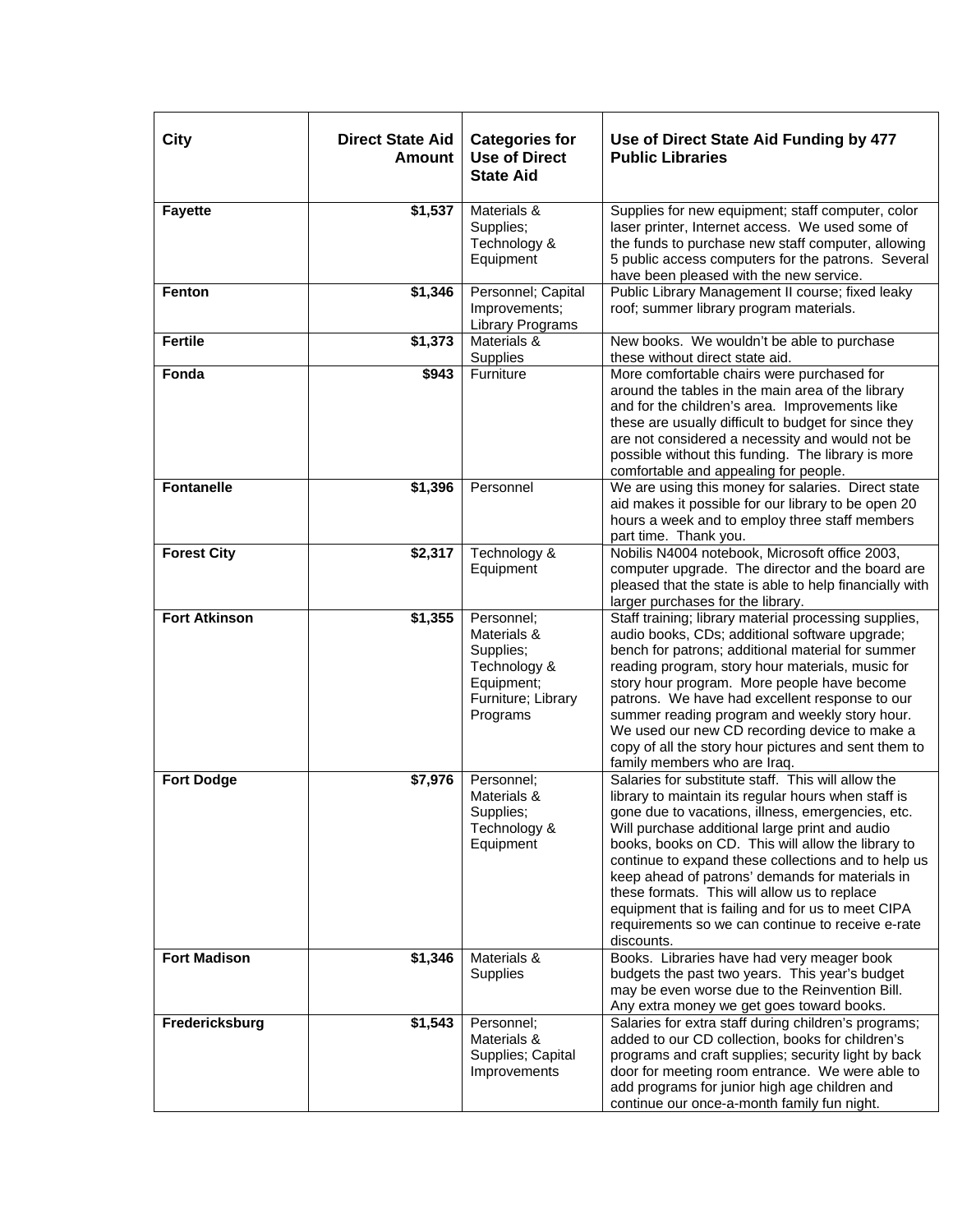| <b>City</b>          | <b>Direct State Aid</b><br><b>Amount</b> | <b>Categories for</b><br><b>Use of Direct</b><br><b>State Aid</b>                                      | Use of Direct State Aid Funding by 477<br><b>Public Libraries</b>                                                                                                                                                                                                                                                                                                                                                                                                                                                                                        |
|----------------------|------------------------------------------|--------------------------------------------------------------------------------------------------------|----------------------------------------------------------------------------------------------------------------------------------------------------------------------------------------------------------------------------------------------------------------------------------------------------------------------------------------------------------------------------------------------------------------------------------------------------------------------------------------------------------------------------------------------------------|
| <b>Fayette</b>       | \$1,537                                  | Materials &<br>Supplies;<br>Technology &<br>Equipment                                                  | Supplies for new equipment; staff computer, color<br>laser printer, Internet access. We used some of<br>the funds to purchase new staff computer, allowing<br>5 public access computers for the patrons. Several<br>have been pleased with the new service.                                                                                                                                                                                                                                                                                              |
| Fenton               | \$1,346                                  | Personnel; Capital<br>Improvements;<br>Library Programs                                                | Public Library Management II course; fixed leaky<br>roof; summer library program materials.                                                                                                                                                                                                                                                                                                                                                                                                                                                              |
| <b>Fertile</b>       | \$1,373                                  | Materials &<br>Supplies                                                                                | New books. We wouldn't be able to purchase<br>these without direct state aid.                                                                                                                                                                                                                                                                                                                                                                                                                                                                            |
| Fonda                | \$943                                    | Furniture                                                                                              | More comfortable chairs were purchased for<br>around the tables in the main area of the library<br>and for the children's area. Improvements like<br>these are usually difficult to budget for since they<br>are not considered a necessity and would not be<br>possible without this funding. The library is more<br>comfortable and appealing for people.                                                                                                                                                                                              |
| <b>Fontanelle</b>    | \$1,396                                  | Personnel                                                                                              | We are using this money for salaries. Direct state<br>aid makes it possible for our library to be open 20<br>hours a week and to employ three staff members<br>part time. Thank you.                                                                                                                                                                                                                                                                                                                                                                     |
| <b>Forest City</b>   | \$2,317                                  | Technology &<br>Equipment                                                                              | Nobilis N4004 notebook, Microsoft office 2003,<br>computer upgrade. The director and the board are<br>pleased that the state is able to help financially with<br>larger purchases for the library.                                                                                                                                                                                                                                                                                                                                                       |
| <b>Fort Atkinson</b> | \$1,355                                  | Personnel;<br>Materials &<br>Supplies;<br>Technology &<br>Equipment;<br>Furniture; Library<br>Programs | Staff training; library material processing supplies,<br>audio books, CDs; additional software upgrade;<br>bench for patrons; additional material for summer<br>reading program, story hour materials, music for<br>story hour program. More people have become<br>patrons. We have had excellent response to our<br>summer reading program and weekly story hour.<br>We used our new CD recording device to make a<br>copy of all the story hour pictures and sent them to<br>family members who are Iraq.                                              |
| <b>Fort Dodge</b>    | \$7,976                                  | Personnel;<br>Materials &<br>Supplies;<br>Technology &<br>Equipment                                    | Salaries for substitute staff. This will allow the<br>library to maintain its regular hours when staff is<br>gone due to vacations, illness, emergencies, etc.<br>Will purchase additional large print and audio<br>books, books on CD. This will allow the library to<br>continue to expand these collections and to help us<br>keep ahead of patrons' demands for materials in<br>these formats. This will allow us to replace<br>equipment that is failing and for us to meet CIPA<br>requirements so we can continue to receive e-rate<br>discounts. |
| <b>Fort Madison</b>  | \$1,346                                  | Materials &<br>Supplies                                                                                | Books. Libraries have had very meager book<br>budgets the past two years. This year's budget<br>may be even worse due to the Reinvention Bill.<br>Any extra money we get goes toward books.                                                                                                                                                                                                                                                                                                                                                              |
| Fredericksburg       | \$1,543                                  | Personnel;<br>Materials &<br>Supplies; Capital<br>Improvements                                         | Salaries for extra staff during children's programs;<br>added to our CD collection, books for children's<br>programs and craft supplies; security light by back<br>door for meeting room entrance. We were able to<br>add programs for junior high age children and<br>continue our once-a-month family fun night.                                                                                                                                                                                                                                       |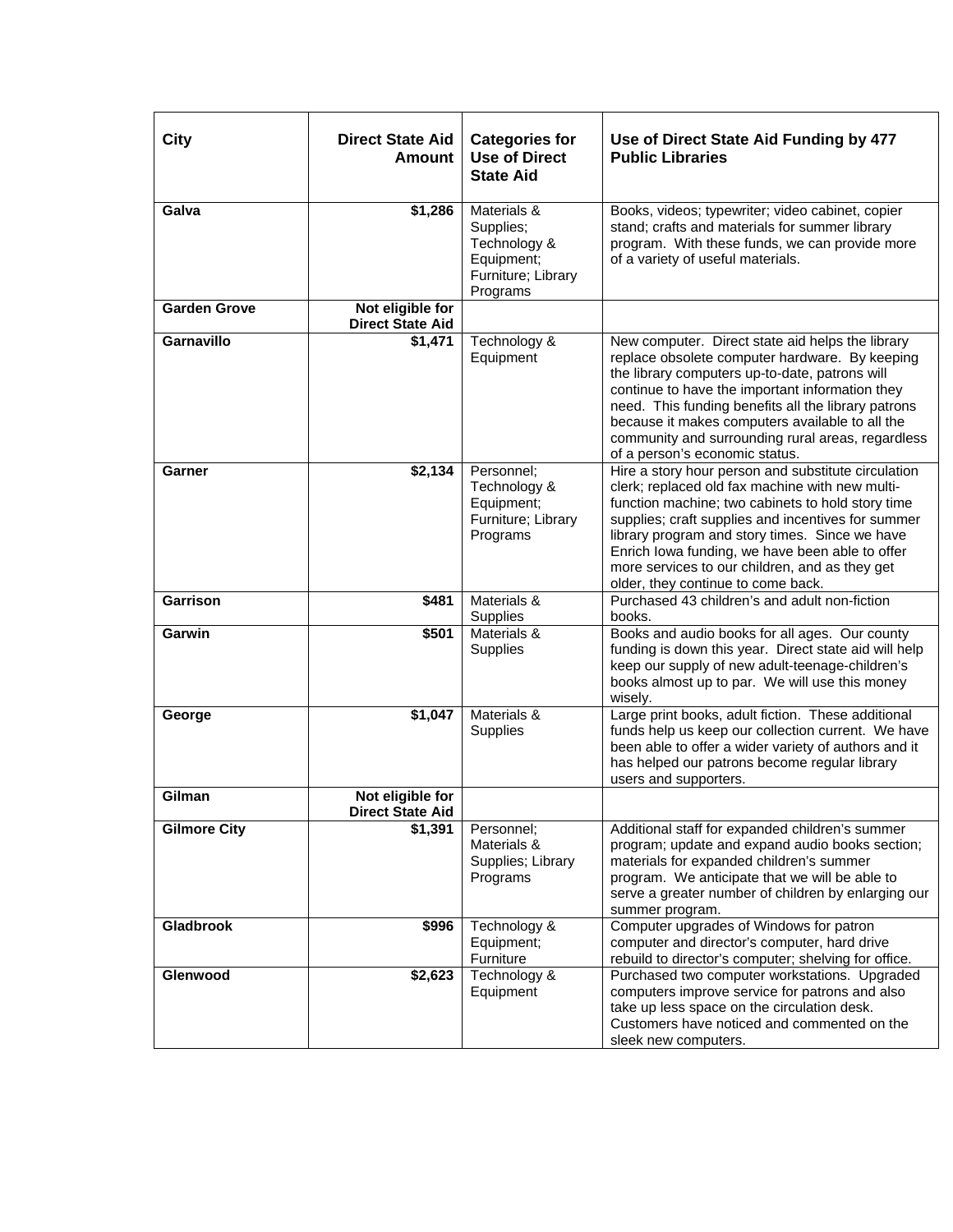| City                | <b>Direct State Aid</b><br><b>Amount</b>    | <b>Categories for</b><br><b>Use of Direct</b><br><b>State Aid</b>                        | Use of Direct State Aid Funding by 477<br><b>Public Libraries</b>                                                                                                                                                                                                                                                                                                                                              |
|---------------------|---------------------------------------------|------------------------------------------------------------------------------------------|----------------------------------------------------------------------------------------------------------------------------------------------------------------------------------------------------------------------------------------------------------------------------------------------------------------------------------------------------------------------------------------------------------------|
| Galva               | \$1,286                                     | Materials &<br>Supplies;<br>Technology &<br>Equipment;<br>Furniture; Library<br>Programs | Books, videos; typewriter; video cabinet, copier<br>stand; crafts and materials for summer library<br>program. With these funds, we can provide more<br>of a variety of useful materials.                                                                                                                                                                                                                      |
| <b>Garden Grove</b> | Not eligible for<br><b>Direct State Aid</b> |                                                                                          |                                                                                                                                                                                                                                                                                                                                                                                                                |
| <b>Garnavillo</b>   | \$1,471                                     | Technology &<br>Equipment                                                                | New computer. Direct state aid helps the library<br>replace obsolete computer hardware. By keeping<br>the library computers up-to-date, patrons will<br>continue to have the important information they<br>need. This funding benefits all the library patrons<br>because it makes computers available to all the<br>community and surrounding rural areas, regardless<br>of a person's economic status.       |
| Garner              | \$2,134                                     | Personnel;<br>Technology &<br>Equipment;<br>Furniture; Library<br>Programs               | Hire a story hour person and substitute circulation<br>clerk; replaced old fax machine with new multi-<br>function machine; two cabinets to hold story time<br>supplies; craft supplies and incentives for summer<br>library program and story times. Since we have<br>Enrich lowa funding, we have been able to offer<br>more services to our children, and as they get<br>older, they continue to come back. |
| <b>Garrison</b>     | \$481                                       | Materials &<br>Supplies                                                                  | Purchased 43 children's and adult non-fiction<br>books.                                                                                                                                                                                                                                                                                                                                                        |
| Garwin              | \$501                                       | Materials &<br>Supplies                                                                  | Books and audio books for all ages. Our county<br>funding is down this year. Direct state aid will help<br>keep our supply of new adult-teenage-children's<br>books almost up to par. We will use this money<br>wisely.                                                                                                                                                                                        |
| George              | \$1,047                                     | Materials &<br>Supplies                                                                  | Large print books, adult fiction. These additional<br>funds help us keep our collection current. We have<br>been able to offer a wider variety of authors and it<br>has helped our patrons become regular library<br>users and supporters.                                                                                                                                                                     |
| Gilman              | Not eligible for<br><b>Direct State Aid</b> |                                                                                          |                                                                                                                                                                                                                                                                                                                                                                                                                |
| <b>Gilmore City</b> | \$1,391                                     | Personnel;<br>Materials &<br>Supplies; Library<br>Programs                               | Additional staff for expanded children's summer<br>program; update and expand audio books section;<br>materials for expanded children's summer<br>program. We anticipate that we will be able to<br>serve a greater number of children by enlarging our<br>summer program.                                                                                                                                     |
| Gladbrook           | \$996                                       | Technology &<br>Equipment;<br>Furniture                                                  | Computer upgrades of Windows for patron<br>computer and director's computer, hard drive<br>rebuild to director's computer; shelving for office.                                                                                                                                                                                                                                                                |
| Glenwood            | \$2,623                                     | Technology &<br>Equipment                                                                | Purchased two computer workstations. Upgraded<br>computers improve service for patrons and also<br>take up less space on the circulation desk.<br>Customers have noticed and commented on the<br>sleek new computers.                                                                                                                                                                                          |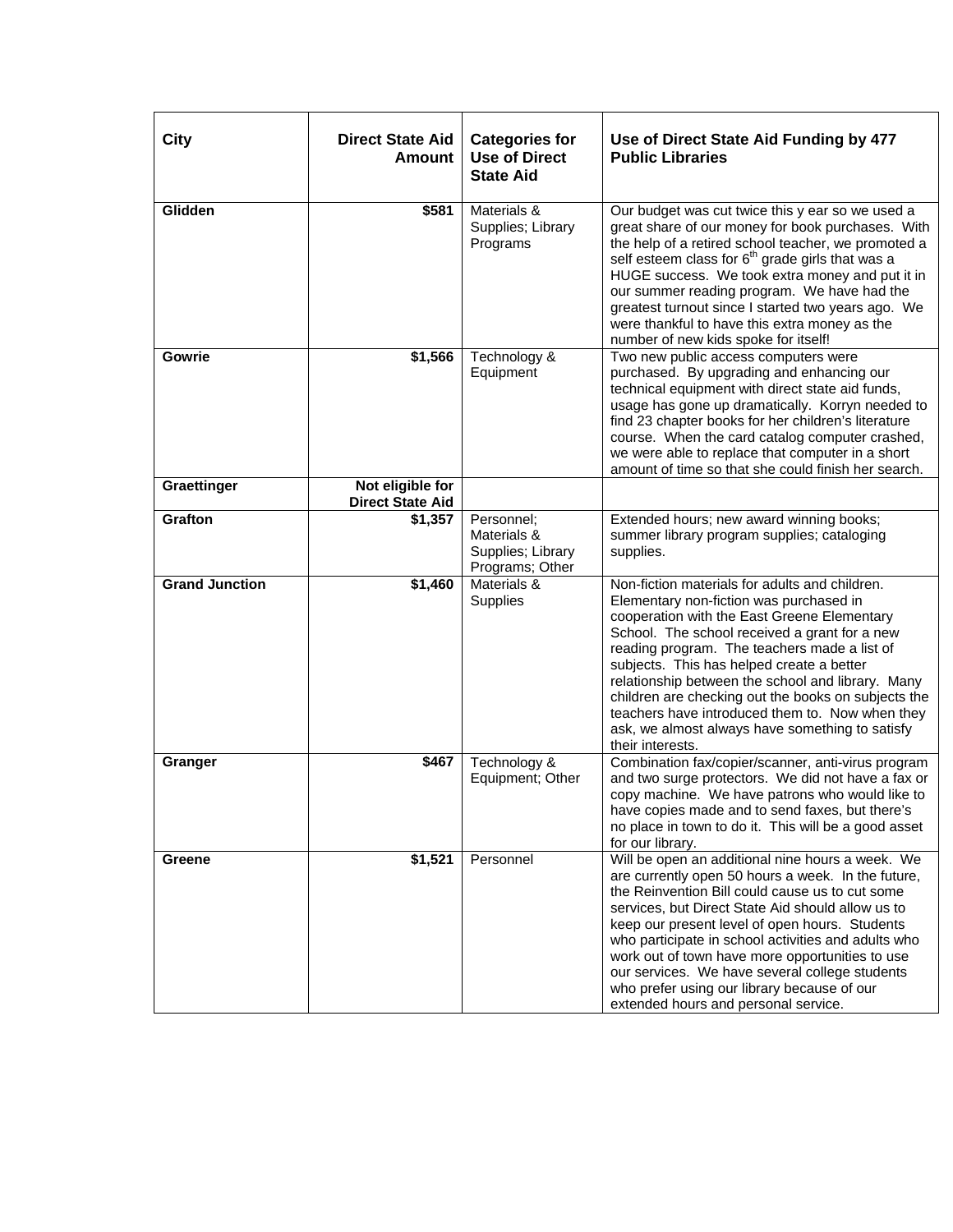| City                  | <b>Direct State Aid</b><br><b>Amount</b>    | <b>Categories for</b><br><b>Use of Direct</b><br><b>State Aid</b> | Use of Direct State Aid Funding by 477<br><b>Public Libraries</b>                                                                                                                                                                                                                                                                                                                                                                                                                                                            |
|-----------------------|---------------------------------------------|-------------------------------------------------------------------|------------------------------------------------------------------------------------------------------------------------------------------------------------------------------------------------------------------------------------------------------------------------------------------------------------------------------------------------------------------------------------------------------------------------------------------------------------------------------------------------------------------------------|
| Glidden               | \$581                                       | Materials &<br>Supplies; Library<br>Programs                      | Our budget was cut twice this y ear so we used a<br>great share of our money for book purchases. With<br>the help of a retired school teacher, we promoted a<br>self esteem class for 6 <sup>th</sup> grade girls that was a<br>HUGE success. We took extra money and put it in<br>our summer reading program. We have had the<br>greatest turnout since I started two years ago. We<br>were thankful to have this extra money as the<br>number of new kids spoke for itself!                                                |
| Gowrie                | \$1,566                                     | Technology &<br>Equipment                                         | Two new public access computers were<br>purchased. By upgrading and enhancing our<br>technical equipment with direct state aid funds,<br>usage has gone up dramatically. Korryn needed to<br>find 23 chapter books for her children's literature<br>course. When the card catalog computer crashed,<br>we were able to replace that computer in a short<br>amount of time so that she could finish her search.                                                                                                               |
| Graettinger           | Not eligible for<br><b>Direct State Aid</b> |                                                                   |                                                                                                                                                                                                                                                                                                                                                                                                                                                                                                                              |
| <b>Grafton</b>        | $\overline{$}1,357$                         | Personnel;<br>Materials &<br>Supplies; Library<br>Programs; Other | Extended hours; new award winning books;<br>summer library program supplies; cataloging<br>supplies.                                                                                                                                                                                                                                                                                                                                                                                                                         |
| <b>Grand Junction</b> | \$1,460                                     | Materials &<br>Supplies                                           | Non-fiction materials for adults and children.<br>Elementary non-fiction was purchased in<br>cooperation with the East Greene Elementary<br>School. The school received a grant for a new<br>reading program. The teachers made a list of<br>subjects. This has helped create a better<br>relationship between the school and library. Many<br>children are checking out the books on subjects the<br>teachers have introduced them to. Now when they<br>ask, we almost always have something to satisfy<br>their interests. |
| Granger               | \$467                                       | Technology &<br>Equipment; Other                                  | Combination fax/copier/scanner, anti-virus program<br>and two surge protectors. We did not have a fax or<br>copy machine. We have patrons who would like to<br>have copies made and to send faxes, but there's<br>no place in town to do it. This will be a good asset<br>for our library.                                                                                                                                                                                                                                   |
| Greene                | \$1,521                                     | Personnel                                                         | Will be open an additional nine hours a week. We<br>are currently open 50 hours a week. In the future,<br>the Reinvention Bill could cause us to cut some<br>services, but Direct State Aid should allow us to<br>keep our present level of open hours. Students<br>who participate in school activities and adults who<br>work out of town have more opportunities to use<br>our services. We have several college students<br>who prefer using our library because of our<br>extended hours and personal service.          |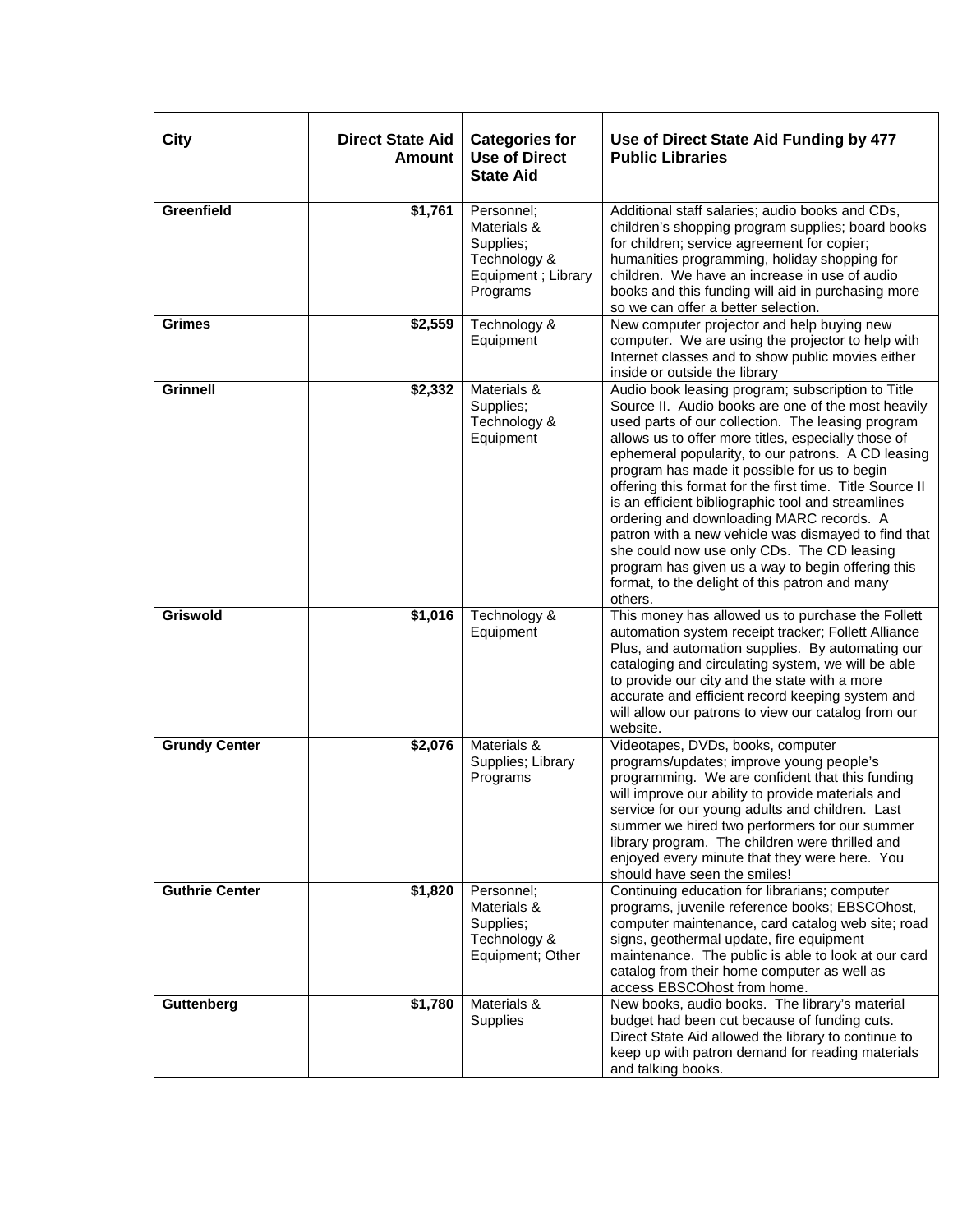| City                  | <b>Direct State Aid</b><br><b>Amount</b> | <b>Categories for</b><br><b>Use of Direct</b><br><b>State Aid</b>                         | Use of Direct State Aid Funding by 477<br><b>Public Libraries</b>                                                                                                                                                                                                                                                                                                                                                                                                                                                                                                                                                                                                                                              |
|-----------------------|------------------------------------------|-------------------------------------------------------------------------------------------|----------------------------------------------------------------------------------------------------------------------------------------------------------------------------------------------------------------------------------------------------------------------------------------------------------------------------------------------------------------------------------------------------------------------------------------------------------------------------------------------------------------------------------------------------------------------------------------------------------------------------------------------------------------------------------------------------------------|
| Greenfield            | \$1,761                                  | Personnel;<br>Materials &<br>Supplies;<br>Technology &<br>Equipment ; Library<br>Programs | Additional staff salaries; audio books and CDs,<br>children's shopping program supplies; board books<br>for children; service agreement for copier;<br>humanities programming, holiday shopping for<br>children. We have an increase in use of audio<br>books and this funding will aid in purchasing more<br>so we can offer a better selection.                                                                                                                                                                                                                                                                                                                                                              |
| <b>Grimes</b>         | \$2,559                                  | Technology &<br>Equipment                                                                 | New computer projector and help buying new<br>computer. We are using the projector to help with<br>Internet classes and to show public movies either<br>inside or outside the library                                                                                                                                                                                                                                                                                                                                                                                                                                                                                                                          |
| <b>Grinnell</b>       | \$2,332                                  | Materials &<br>Supplies;<br>Technology &<br>Equipment                                     | Audio book leasing program; subscription to Title<br>Source II. Audio books are one of the most heavily<br>used parts of our collection. The leasing program<br>allows us to offer more titles, especially those of<br>ephemeral popularity, to our patrons. A CD leasing<br>program has made it possible for us to begin<br>offering this format for the first time. Title Source II<br>is an efficient bibliographic tool and streamlines<br>ordering and downloading MARC records. A<br>patron with a new vehicle was dismayed to find that<br>she could now use only CDs. The CD leasing<br>program has given us a way to begin offering this<br>format, to the delight of this patron and many<br>others. |
| <b>Griswold</b>       | \$1,016                                  | Technology &<br>Equipment                                                                 | This money has allowed us to purchase the Follett<br>automation system receipt tracker; Follett Alliance<br>Plus, and automation supplies. By automating our<br>cataloging and circulating system, we will be able<br>to provide our city and the state with a more<br>accurate and efficient record keeping system and<br>will allow our patrons to view our catalog from our<br>website.                                                                                                                                                                                                                                                                                                                     |
| <b>Grundy Center</b>  | \$2,076                                  | Materials &<br>Supplies; Library<br>Programs                                              | Videotapes, DVDs, books, computer<br>programs/updates; improve young people's<br>programming. We are confident that this funding<br>will improve our ability to provide materials and<br>service for our young adults and children. Last<br>summer we hired two performers for our summer<br>library program. The children were thrilled and<br>enjoyed every minute that they were here. You<br>should have seen the smiles!                                                                                                                                                                                                                                                                                  |
| <b>Guthrie Center</b> | \$1,820                                  | Personnel;<br>Materials &<br>Supplies;<br>Technology &<br>Equipment; Other                | Continuing education for librarians; computer<br>programs, juvenile reference books; EBSCOhost,<br>computer maintenance, card catalog web site; road<br>signs, geothermal update, fire equipment<br>maintenance. The public is able to look at our card<br>catalog from their home computer as well as<br>access EBSCOhost from home.                                                                                                                                                                                                                                                                                                                                                                          |
| Guttenberg            | \$1,780                                  | Materials &<br>Supplies                                                                   | New books, audio books. The library's material<br>budget had been cut because of funding cuts.<br>Direct State Aid allowed the library to continue to<br>keep up with patron demand for reading materials<br>and talking books.                                                                                                                                                                                                                                                                                                                                                                                                                                                                                |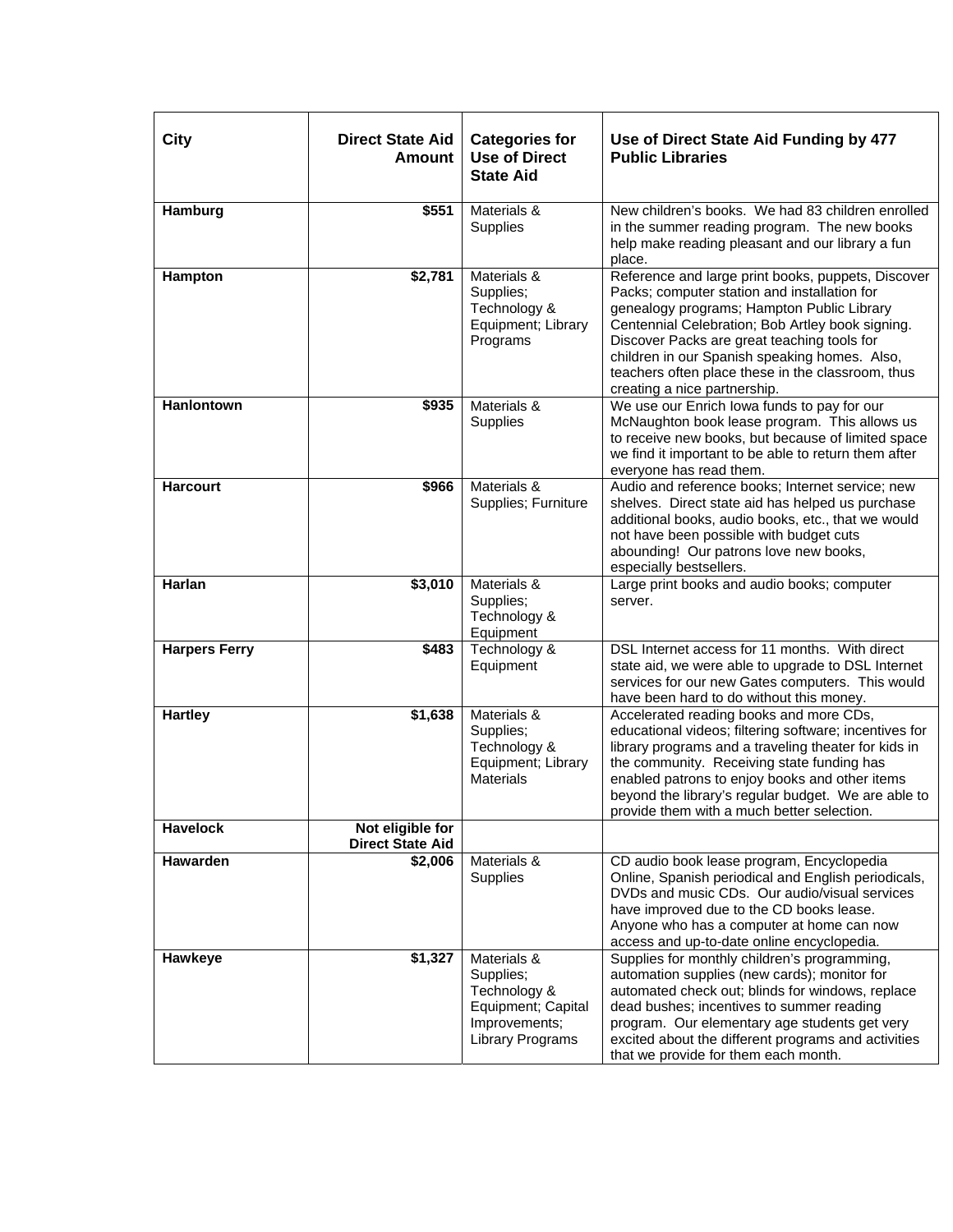| City                 | <b>Direct State Aid</b><br><b>Amount</b>    | <b>Categories for</b><br><b>Use of Direct</b><br><b>State Aid</b>                                   | Use of Direct State Aid Funding by 477<br><b>Public Libraries</b>                                                                                                                                                                                                                                                                                                                         |
|----------------------|---------------------------------------------|-----------------------------------------------------------------------------------------------------|-------------------------------------------------------------------------------------------------------------------------------------------------------------------------------------------------------------------------------------------------------------------------------------------------------------------------------------------------------------------------------------------|
| Hamburg              | \$551                                       | Materials &<br>Supplies                                                                             | New children's books. We had 83 children enrolled<br>in the summer reading program. The new books<br>help make reading pleasant and our library a fun<br>place.                                                                                                                                                                                                                           |
| Hampton              | \$2,781                                     | Materials &<br>Supplies;<br>Technology &<br>Equipment; Library<br>Programs                          | Reference and large print books, puppets, Discover<br>Packs; computer station and installation for<br>genealogy programs; Hampton Public Library<br>Centennial Celebration; Bob Artley book signing.<br>Discover Packs are great teaching tools for<br>children in our Spanish speaking homes. Also,<br>teachers often place these in the classroom, thus<br>creating a nice partnership. |
| Hanlontown           | \$935                                       | Materials &<br>Supplies                                                                             | We use our Enrich lowa funds to pay for our<br>McNaughton book lease program. This allows us<br>to receive new books, but because of limited space<br>we find it important to be able to return them after<br>everyone has read them.                                                                                                                                                     |
| <b>Harcourt</b>      | \$966                                       | Materials &<br>Supplies; Furniture                                                                  | Audio and reference books; Internet service; new<br>shelves. Direct state aid has helped us purchase<br>additional books, audio books, etc., that we would<br>not have been possible with budget cuts<br>abounding! Our patrons love new books,<br>especially bestsellers.                                                                                                                |
| Harlan               | \$3,010                                     | Materials &<br>Supplies;<br>Technology &<br>Equipment                                               | Large print books and audio books; computer<br>server.                                                                                                                                                                                                                                                                                                                                    |
| <b>Harpers Ferry</b> | \$483                                       | Technology &<br>Equipment                                                                           | DSL Internet access for 11 months. With direct<br>state aid, we were able to upgrade to DSL Internet<br>services for our new Gates computers. This would<br>have been hard to do without this money.                                                                                                                                                                                      |
| <b>Hartley</b>       | \$1,638                                     | Materials &<br>Supplies;<br>Technology &<br>Equipment; Library<br><b>Materials</b>                  | Accelerated reading books and more CDs,<br>educational videos; filtering software; incentives for<br>library programs and a traveling theater for kids in<br>the community. Receiving state funding has<br>enabled patrons to enjoy books and other items<br>beyond the library's regular budget. We are able to<br>provide them with a much better selection.                            |
| <b>Havelock</b>      | Not eligible for<br><b>Direct State Aid</b> |                                                                                                     |                                                                                                                                                                                                                                                                                                                                                                                           |
| Hawarden             | \$2,006                                     | Materials &<br>Supplies                                                                             | CD audio book lease program, Encyclopedia<br>Online, Spanish periodical and English periodicals,<br>DVDs and music CDs. Our audio/visual services<br>have improved due to the CD books lease.<br>Anyone who has a computer at home can now<br>access and up-to-date online encyclopedia.                                                                                                  |
| Hawkeye              | \$1,327                                     | Materials &<br>Supplies;<br>Technology &<br>Equipment; Capital<br>Improvements;<br>Library Programs | Supplies for monthly children's programming,<br>automation supplies (new cards); monitor for<br>automated check out; blinds for windows, replace<br>dead bushes; incentives to summer reading<br>program. Our elementary age students get very<br>excited about the different programs and activities<br>that we provide for them each month.                                             |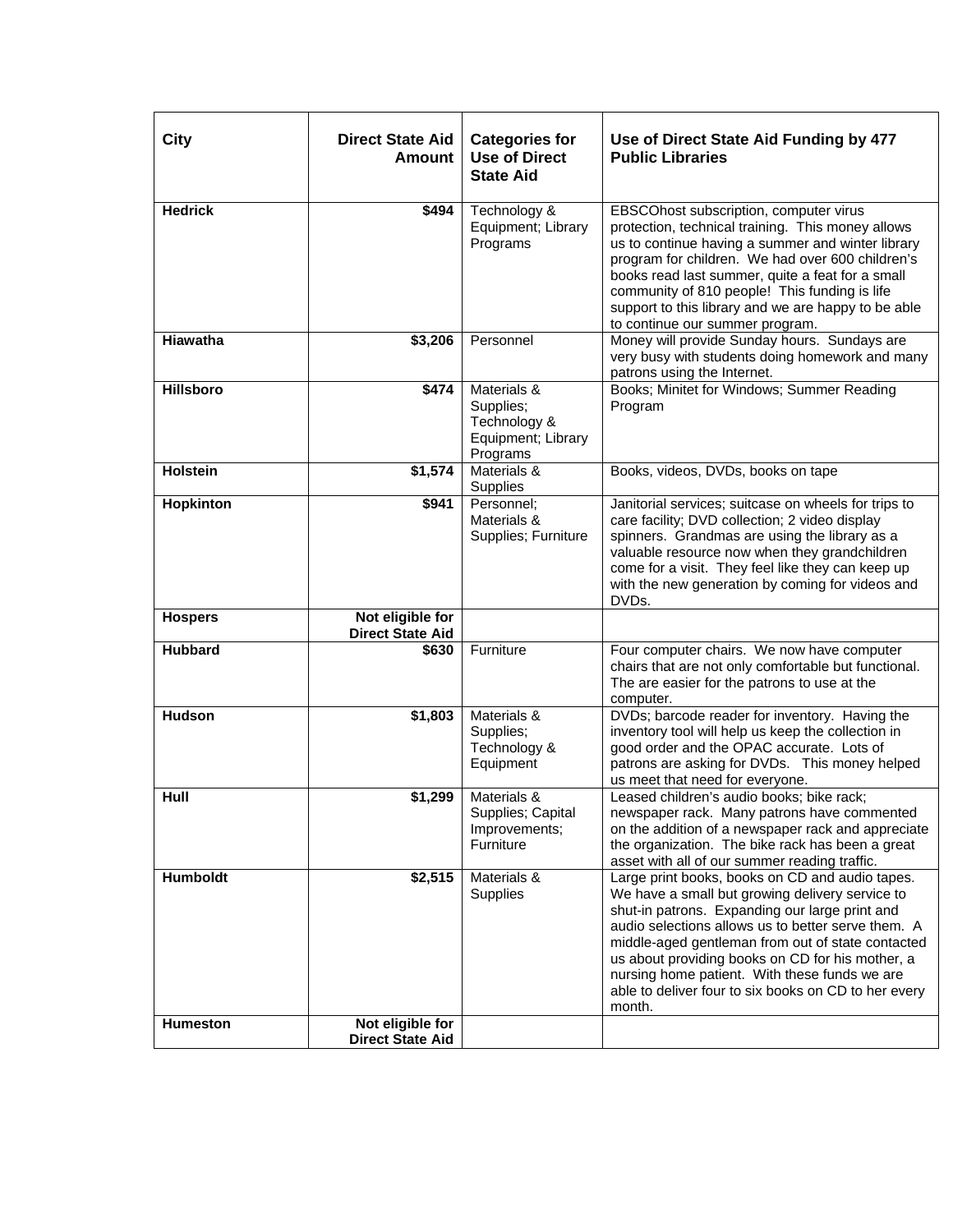| <b>City</b>                 | <b>Direct State Aid</b><br><b>Amount</b>    | <b>Categories for</b><br><b>Use of Direct</b><br><b>State Aid</b>          | Use of Direct State Aid Funding by 477<br><b>Public Libraries</b>                                                                                                                                                                                                                                                                                                                                                                      |
|-----------------------------|---------------------------------------------|----------------------------------------------------------------------------|----------------------------------------------------------------------------------------------------------------------------------------------------------------------------------------------------------------------------------------------------------------------------------------------------------------------------------------------------------------------------------------------------------------------------------------|
| <b>Hedrick</b>              | \$494                                       | Technology &<br>Equipment; Library<br>Programs                             | EBSCOhost subscription, computer virus<br>protection, technical training. This money allows<br>us to continue having a summer and winter library<br>program for children. We had over 600 children's<br>books read last summer, quite a feat for a small<br>community of 810 people! This funding is life<br>support to this library and we are happy to be able<br>to continue our summer program.                                    |
| Hiawatha                    | \$3,206                                     | Personnel                                                                  | Money will provide Sunday hours. Sundays are<br>very busy with students doing homework and many<br>patrons using the Internet.                                                                                                                                                                                                                                                                                                         |
| <b>Hillsboro</b>            | \$474                                       | Materials &<br>Supplies;<br>Technology &<br>Equipment; Library<br>Programs | Books; Minitet for Windows; Summer Reading<br>Program                                                                                                                                                                                                                                                                                                                                                                                  |
| <b>Holstein</b>             | \$1,574                                     | Materials &<br>Supplies                                                    | Books, videos, DVDs, books on tape                                                                                                                                                                                                                                                                                                                                                                                                     |
| Hopkinton                   | \$941                                       | Personnel;<br>Materials &<br>Supplies; Furniture                           | Janitorial services; suitcase on wheels for trips to<br>care facility; DVD collection; 2 video display<br>spinners. Grandmas are using the library as a<br>valuable resource now when they grandchildren<br>come for a visit. They feel like they can keep up<br>with the new generation by coming for videos and<br>DVDs.                                                                                                             |
| <b>Hospers</b>              | Not eligible for<br><b>Direct State Aid</b> |                                                                            |                                                                                                                                                                                                                                                                                                                                                                                                                                        |
| <b>Hubbard</b>              | \$630                                       | Furniture                                                                  | Four computer chairs. We now have computer<br>chairs that are not only comfortable but functional.<br>The are easier for the patrons to use at the<br>computer.                                                                                                                                                                                                                                                                        |
| <b>Hudson</b>               | \$1,803                                     | Materials &<br>Supplies;<br>Technology &<br>Equipment                      | DVDs; barcode reader for inventory. Having the<br>inventory tool will help us keep the collection in<br>good order and the OPAC accurate. Lots of<br>patrons are asking for DVDs. This money helped<br>us meet that need for everyone.                                                                                                                                                                                                 |
| Hull                        | \$1,299                                     | Materials &<br>Supplies; Capital<br>Improvements;<br>Furniture             | Leased children's audio books; bike rack;<br>newspaper rack. Many patrons have commented<br>on the addition of a newspaper rack and appreciate<br>the organization. The bike rack has been a great<br>asset with all of our summer reading traffic.                                                                                                                                                                                    |
| Humboldt<br><b>Humeston</b> | \$2,515<br>Not eligible for                 | Materials &<br>Supplies                                                    | Large print books, books on CD and audio tapes.<br>We have a small but growing delivery service to<br>shut-in patrons. Expanding our large print and<br>audio selections allows us to better serve them. A<br>middle-aged gentleman from out of state contacted<br>us about providing books on CD for his mother, a<br>nursing home patient. With these funds we are<br>able to deliver four to six books on CD to her every<br>month. |
|                             | <b>Direct State Aid</b>                     |                                                                            |                                                                                                                                                                                                                                                                                                                                                                                                                                        |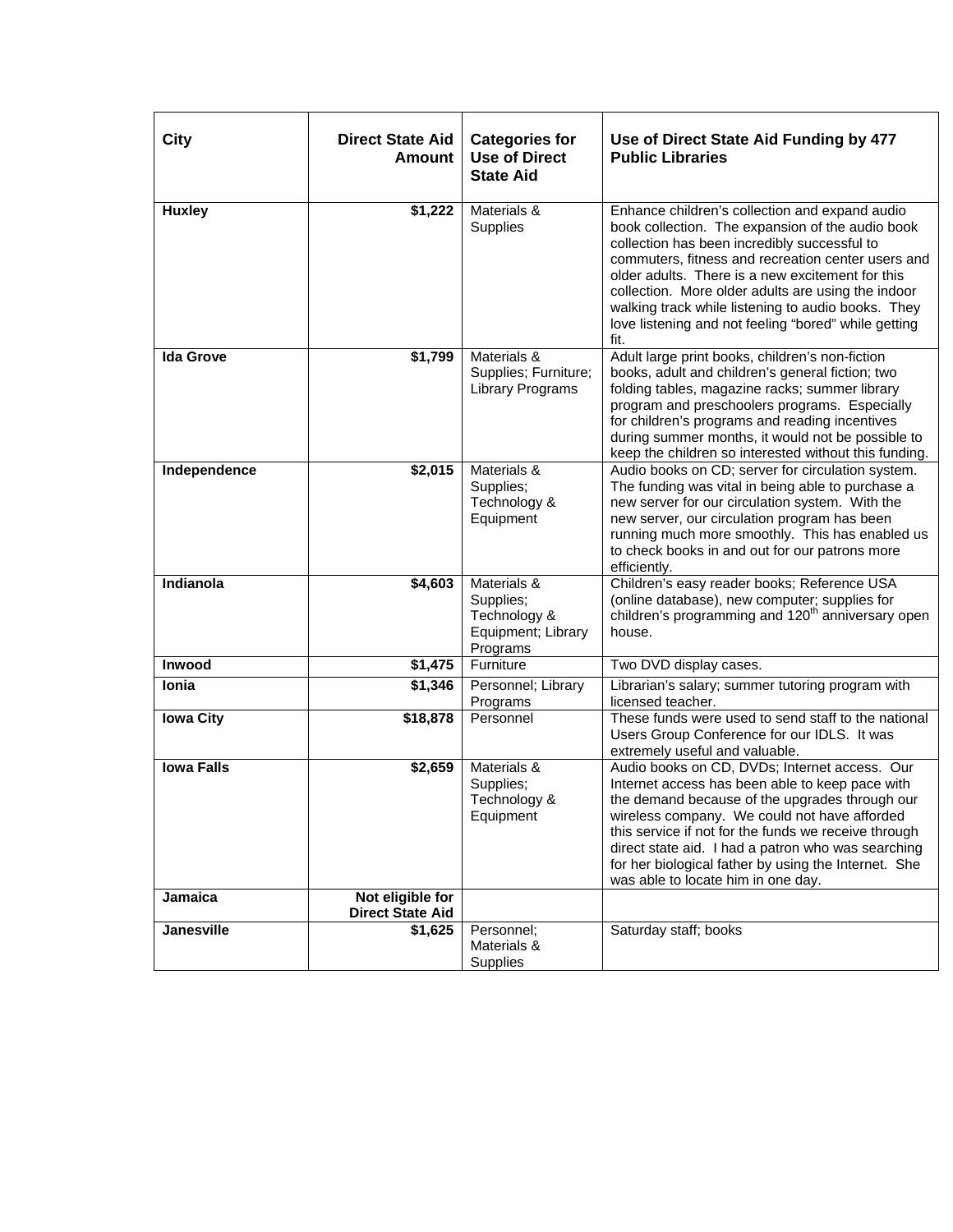| <b>City</b>       | <b>Direct State Aid</b><br><b>Amount</b>    | <b>Categories for</b><br><b>Use of Direct</b><br><b>State Aid</b>          | Use of Direct State Aid Funding by 477<br><b>Public Libraries</b>                                                                                                                                                                                                                                                                                                                                                                        |
|-------------------|---------------------------------------------|----------------------------------------------------------------------------|------------------------------------------------------------------------------------------------------------------------------------------------------------------------------------------------------------------------------------------------------------------------------------------------------------------------------------------------------------------------------------------------------------------------------------------|
| <b>Huxley</b>     | \$1,222                                     | Materials &<br>Supplies                                                    | Enhance children's collection and expand audio<br>book collection. The expansion of the audio book<br>collection has been incredibly successful to<br>commuters, fitness and recreation center users and<br>older adults. There is a new excitement for this<br>collection. More older adults are using the indoor<br>walking track while listening to audio books. They<br>love listening and not feeling "bored" while getting<br>fit. |
| <b>Ida Grove</b>  | \$1,799                                     | Materials &<br>Supplies; Furniture;<br><b>Library Programs</b>             | Adult large print books, children's non-fiction<br>books, adult and children's general fiction; two<br>folding tables, magazine racks; summer library<br>program and preschoolers programs. Especially<br>for children's programs and reading incentives<br>during summer months, it would not be possible to<br>keep the children so interested without this funding.                                                                   |
| Independence      | \$2,015                                     | Materials &<br>Supplies;<br>Technology &<br>Equipment                      | Audio books on CD; server for circulation system.<br>The funding was vital in being able to purchase a<br>new server for our circulation system. With the<br>new server, our circulation program has been<br>running much more smoothly. This has enabled us<br>to check books in and out for our patrons more<br>efficiently.                                                                                                           |
| Indianola         | \$4,603                                     | Materials &<br>Supplies;<br>Technology &<br>Equipment; Library<br>Programs | Children's easy reader books; Reference USA<br>(online database), new computer; supplies for<br>children's programming and 120 <sup>th</sup> anniversary open<br>house.                                                                                                                                                                                                                                                                  |
| Inwood            | \$1,475                                     | Furniture                                                                  | Two DVD display cases.                                                                                                                                                                                                                                                                                                                                                                                                                   |
| Ionia             | \$1,346                                     | Personnel; Library<br>Programs                                             | Librarian's salary; summer tutoring program with<br>licensed teacher.                                                                                                                                                                                                                                                                                                                                                                    |
| <b>Iowa City</b>  | \$18,878                                    | Personnel                                                                  | These funds were used to send staff to the national<br>Users Group Conference for our IDLS. It was<br>extremely useful and valuable.                                                                                                                                                                                                                                                                                                     |
| <b>Iowa Falls</b> | \$2,659                                     | Materials &<br>Supplies;<br>Technology &<br>Equipment                      | Audio books on CD, DVDs; Internet access. Our<br>Internet access has been able to keep pace with<br>the demand because of the upgrades through our<br>wireless company. We could not have afforded<br>this service if not for the funds we receive through<br>direct state aid. I had a patron who was searching<br>for her biological father by using the Internet. She<br>was able to locate him in one day.                           |
| Jamaica           | Not eligible for<br><b>Direct State Aid</b> |                                                                            |                                                                                                                                                                                                                                                                                                                                                                                                                                          |
| <b>Janesville</b> | $\overline{$1,625}$                         | Personnel:<br>Materials &<br>Supplies                                      | Saturday staff; books                                                                                                                                                                                                                                                                                                                                                                                                                    |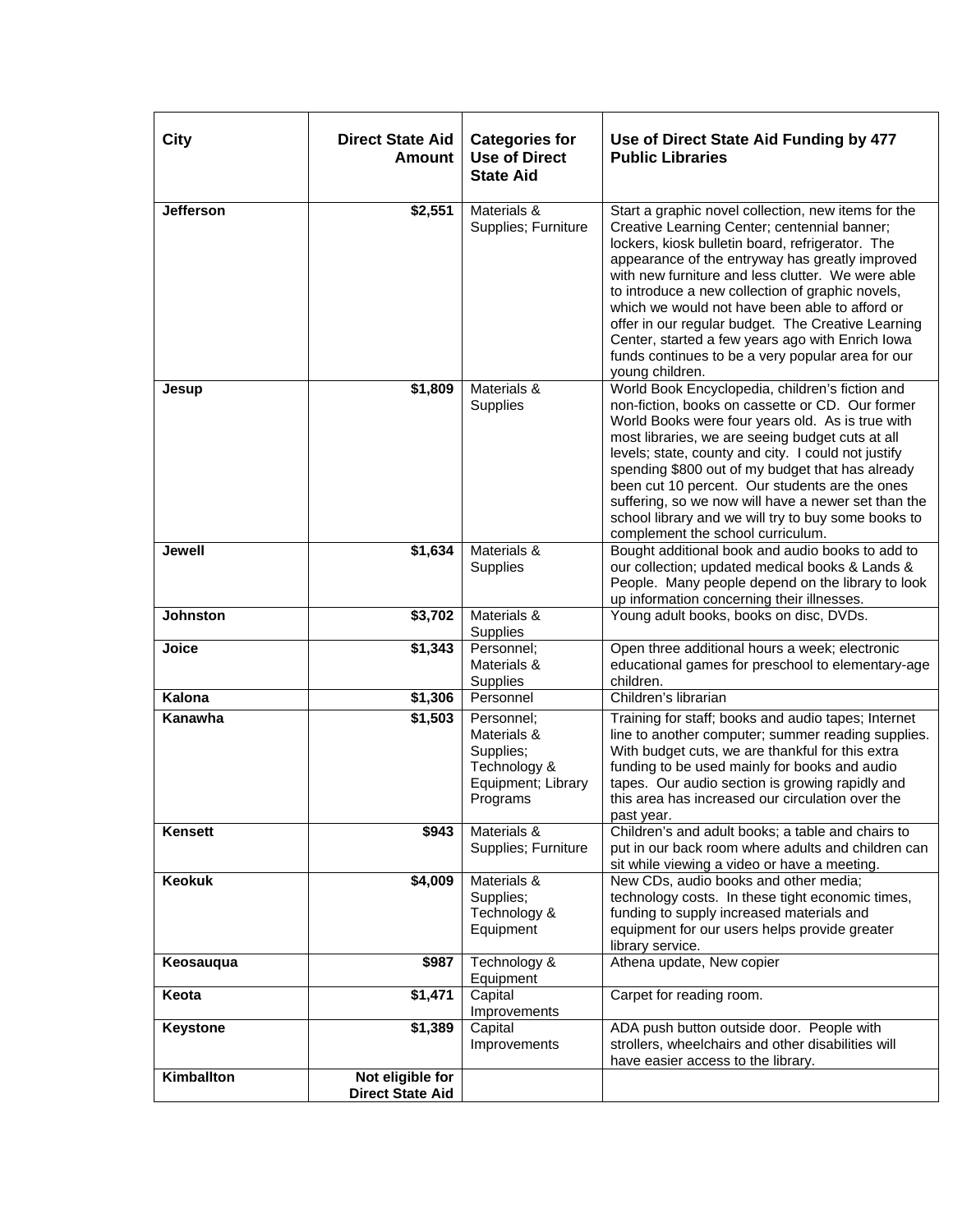| City             | <b>Direct State Aid</b><br>Amount           | <b>Categories for</b><br><b>Use of Direct</b><br><b>State Aid</b>                        | Use of Direct State Aid Funding by 477<br><b>Public Libraries</b>                                                                                                                                                                                                                                                                                                                                                                                                                                                                                       |
|------------------|---------------------------------------------|------------------------------------------------------------------------------------------|---------------------------------------------------------------------------------------------------------------------------------------------------------------------------------------------------------------------------------------------------------------------------------------------------------------------------------------------------------------------------------------------------------------------------------------------------------------------------------------------------------------------------------------------------------|
| <b>Jefferson</b> | \$2,551                                     | Materials &<br>Supplies; Furniture                                                       | Start a graphic novel collection, new items for the<br>Creative Learning Center; centennial banner;<br>lockers, kiosk bulletin board, refrigerator. The<br>appearance of the entryway has greatly improved<br>with new furniture and less clutter. We were able<br>to introduce a new collection of graphic novels,<br>which we would not have been able to afford or<br>offer in our regular budget. The Creative Learning<br>Center, started a few years ago with Enrich Iowa<br>funds continues to be a very popular area for our<br>young children. |
| Jesup            | \$1,809                                     | Materials &<br>Supplies                                                                  | World Book Encyclopedia, children's fiction and<br>non-fiction, books on cassette or CD. Our former<br>World Books were four years old. As is true with<br>most libraries, we are seeing budget cuts at all<br>levels; state, county and city. I could not justify<br>spending \$800 out of my budget that has already<br>been cut 10 percent. Our students are the ones<br>suffering, so we now will have a newer set than the<br>school library and we will try to buy some books to<br>complement the school curriculum.                             |
| <b>Jewell</b>    | $\overline{$1,634}$                         | Materials &<br>Supplies                                                                  | Bought additional book and audio books to add to<br>our collection; updated medical books & Lands &<br>People. Many people depend on the library to look<br>up information concerning their illnesses.                                                                                                                                                                                                                                                                                                                                                  |
| <b>Johnston</b>  | \$3,702                                     | Materials &<br>Supplies                                                                  | Young adult books, books on disc, DVDs.                                                                                                                                                                                                                                                                                                                                                                                                                                                                                                                 |
| Joice            | $\sqrt{$1,343}$                             | Personnel;<br>Materials &<br>Supplies                                                    | Open three additional hours a week; electronic<br>educational games for preschool to elementary-age<br>children.                                                                                                                                                                                                                                                                                                                                                                                                                                        |
| Kalona           | \$1,306                                     | Personnel                                                                                | Children's librarian                                                                                                                                                                                                                                                                                                                                                                                                                                                                                                                                    |
| Kanawha          | $\overline{$}1,503$                         | Personnel:<br>Materials &<br>Supplies;<br>Technology &<br>Equipment; Library<br>Programs | Training for staff; books and audio tapes; Internet<br>line to another computer; summer reading supplies.<br>With budget cuts, we are thankful for this extra<br>funding to be used mainly for books and audio<br>tapes. Our audio section is growing rapidly and<br>this area has increased our circulation over the<br>past year.                                                                                                                                                                                                                     |
| Kensett          | \$943                                       | Materials &<br>Supplies; Furniture                                                       | Children's and adult books; a table and chairs to<br>put in our back room where adults and children can<br>sit while viewing a video or have a meeting.                                                                                                                                                                                                                                                                                                                                                                                                 |
| <b>Keokuk</b>    | \$4,009                                     | Materials &<br>Supplies;<br>Technology &<br>Equipment                                    | New CDs, audio books and other media;<br>technology costs. In these tight economic times,<br>funding to supply increased materials and<br>equipment for our users helps provide greater<br>library service.                                                                                                                                                                                                                                                                                                                                             |
| Keosauqua        | \$987                                       | Technology &<br>Equipment                                                                | Athena update, New copier                                                                                                                                                                                                                                                                                                                                                                                                                                                                                                                               |
| Keota            | \$1,471                                     | Capital<br>Improvements                                                                  | Carpet for reading room.                                                                                                                                                                                                                                                                                                                                                                                                                                                                                                                                |
| <b>Keystone</b>  | \$1,389                                     | Capital<br>Improvements                                                                  | ADA push button outside door. People with<br>strollers, wheelchairs and other disabilities will<br>have easier access to the library.                                                                                                                                                                                                                                                                                                                                                                                                                   |
| Kimballton       | Not eligible for<br><b>Direct State Aid</b> |                                                                                          |                                                                                                                                                                                                                                                                                                                                                                                                                                                                                                                                                         |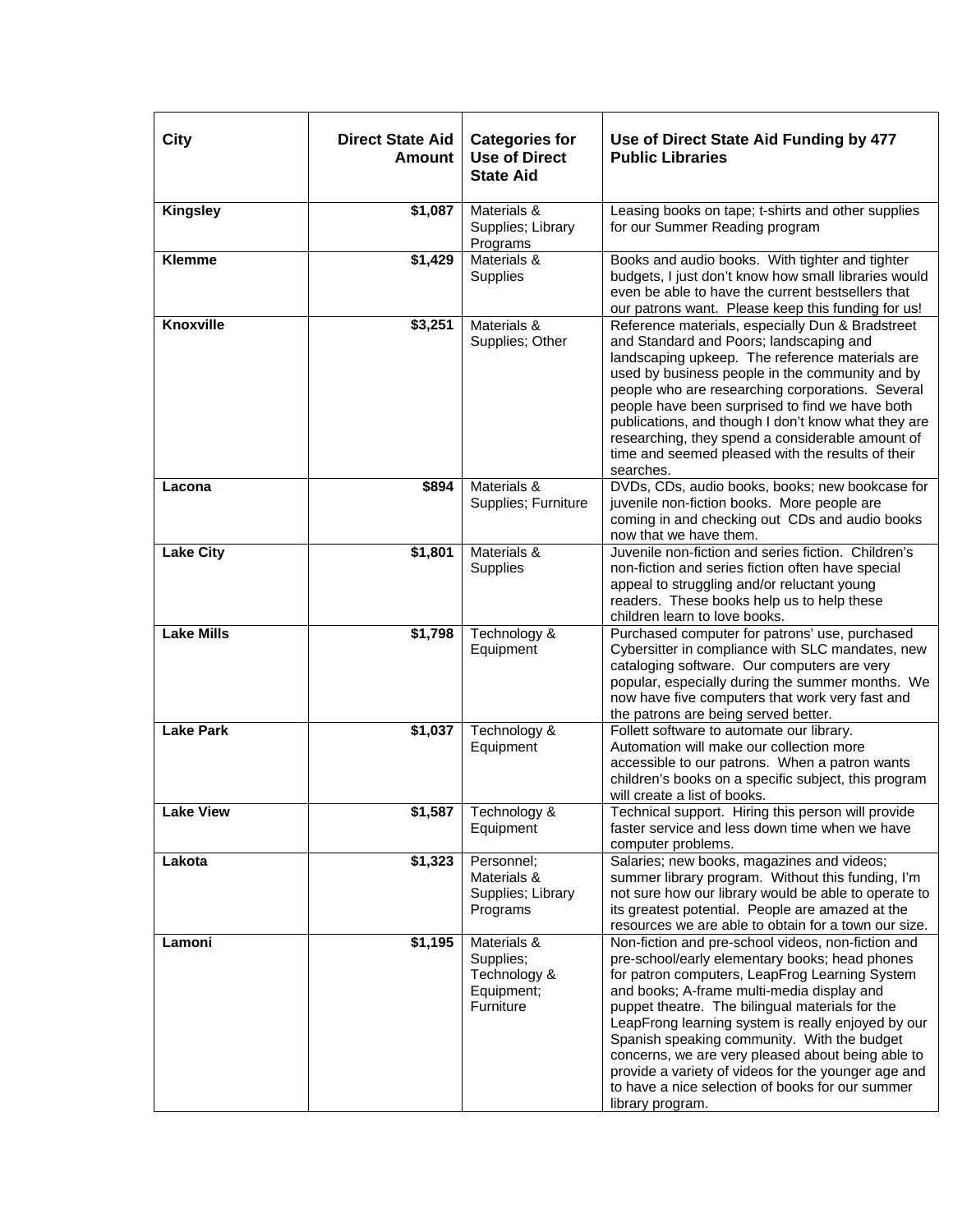| <b>City</b>       | <b>Direct State Aid</b><br><b>Amount</b> | <b>Categories for</b><br><b>Use of Direct</b><br><b>State Aid</b>   | Use of Direct State Aid Funding by 477<br><b>Public Libraries</b>                                                                                                                                                                                                                                                                                                                                                                                                                                                                                |
|-------------------|------------------------------------------|---------------------------------------------------------------------|--------------------------------------------------------------------------------------------------------------------------------------------------------------------------------------------------------------------------------------------------------------------------------------------------------------------------------------------------------------------------------------------------------------------------------------------------------------------------------------------------------------------------------------------------|
| <b>Kingsley</b>   | \$1,087                                  | Materials &<br>Supplies; Library<br>Programs                        | Leasing books on tape; t-shirts and other supplies<br>for our Summer Reading program                                                                                                                                                                                                                                                                                                                                                                                                                                                             |
| <b>Klemme</b>     | \$1,429                                  | Materials &<br>Supplies                                             | Books and audio books. With tighter and tighter<br>budgets, I just don't know how small libraries would<br>even be able to have the current bestsellers that<br>our patrons want. Please keep this funding for us!                                                                                                                                                                                                                                                                                                                               |
| <b>Knoxville</b>  | \$3,251                                  | Materials &<br>Supplies; Other                                      | Reference materials, especially Dun & Bradstreet<br>and Standard and Poors; landscaping and<br>landscaping upkeep. The reference materials are<br>used by business people in the community and by<br>people who are researching corporations. Several<br>people have been surprised to find we have both<br>publications, and though I don't know what they are<br>researching, they spend a considerable amount of<br>time and seemed pleased with the results of their<br>searches.                                                            |
| Lacona            | \$894                                    | Materials &<br>Supplies; Furniture                                  | DVDs, CDs, audio books, books; new bookcase for<br>juvenile non-fiction books. More people are<br>coming in and checking out CDs and audio books<br>now that we have them.                                                                                                                                                                                                                                                                                                                                                                       |
| <b>Lake City</b>  | \$1,801                                  | Materials &<br>Supplies                                             | Juvenile non-fiction and series fiction. Children's<br>non-fiction and series fiction often have special<br>appeal to struggling and/or reluctant young<br>readers. These books help us to help these<br>children learn to love books.                                                                                                                                                                                                                                                                                                           |
| <b>Lake Mills</b> | \$1,798                                  | Technology &<br>Equipment                                           | Purchased computer for patrons' use, purchased<br>Cybersitter in compliance with SLC mandates, new<br>cataloging software. Our computers are very<br>popular, especially during the summer months. We<br>now have five computers that work very fast and<br>the patrons are being served better.                                                                                                                                                                                                                                                 |
| <b>Lake Park</b>  | \$1,037                                  | Technology &<br>Equipment                                           | Follett software to automate our library.<br>Automation will make our collection more<br>accessible to our patrons. When a patron wants<br>children's books on a specific subject, this program<br>will create a list of books.                                                                                                                                                                                                                                                                                                                  |
| <b>Lake View</b>  |                                          | $$1,587$ Technology &<br>Equipment                                  | Technical support. Hiring this person will provide<br>faster service and less down time when we have<br>computer problems.                                                                                                                                                                                                                                                                                                                                                                                                                       |
| Lakota            | \$1,323                                  | Personnel:<br>Materials &<br>Supplies; Library<br>Programs          | Salaries; new books, magazines and videos;<br>summer library program. Without this funding, I'm<br>not sure how our library would be able to operate to<br>its greatest potential. People are amazed at the<br>resources we are able to obtain for a town our size.                                                                                                                                                                                                                                                                              |
| Lamoni            | \$1,195                                  | Materials &<br>Supplies;<br>Technology &<br>Equipment;<br>Furniture | Non-fiction and pre-school videos, non-fiction and<br>pre-school/early elementary books; head phones<br>for patron computers, LeapFrog Learning System<br>and books; A-frame multi-media display and<br>puppet theatre. The bilingual materials for the<br>LeapFrong learning system is really enjoyed by our<br>Spanish speaking community. With the budget<br>concerns, we are very pleased about being able to<br>provide a variety of videos for the younger age and<br>to have a nice selection of books for our summer<br>library program. |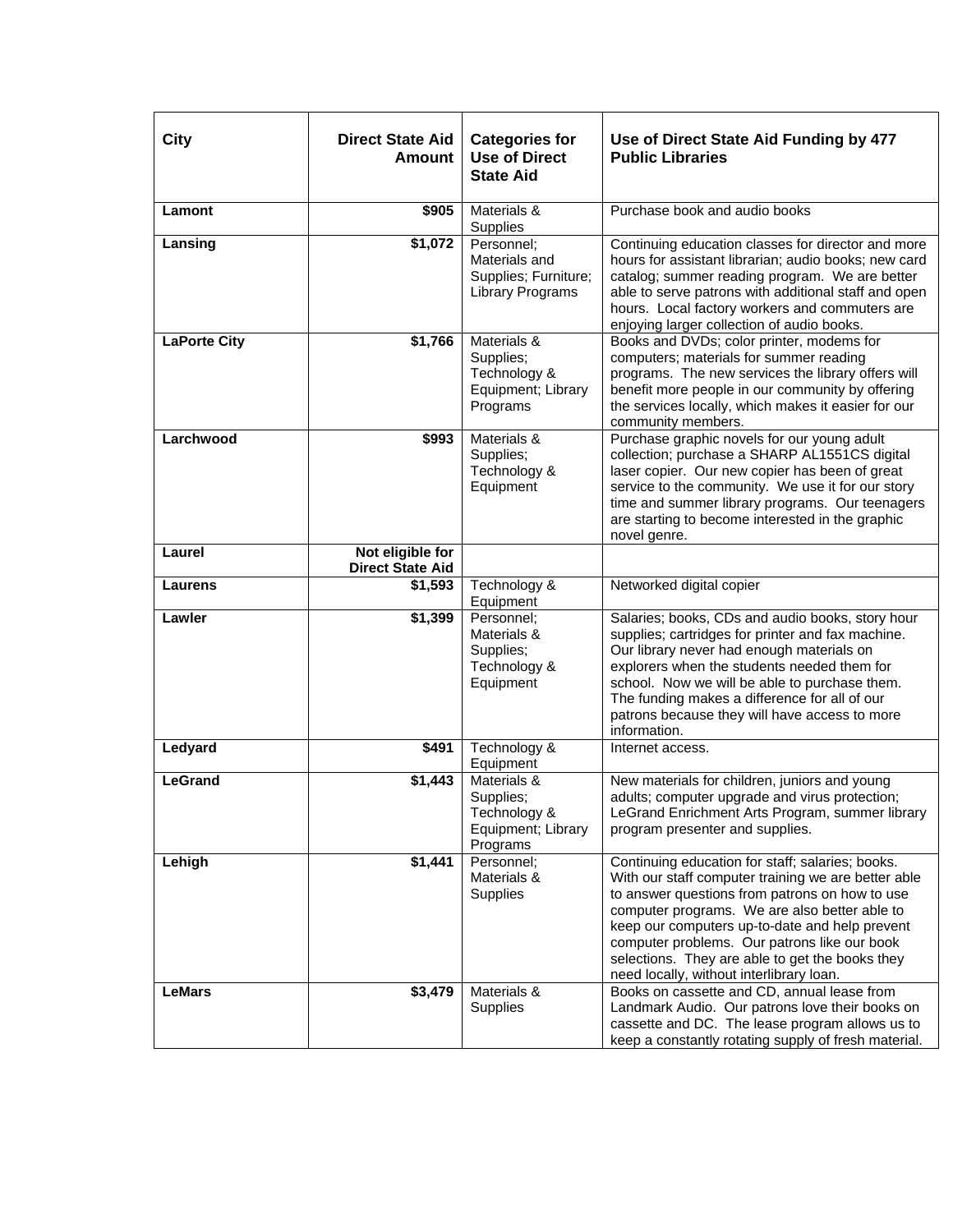| <b>City</b>         | <b>Direct State Aid</b><br>Amount           | <b>Categories for</b><br><b>Use of Direct</b><br><b>State Aid</b>              | Use of Direct State Aid Funding by 477<br><b>Public Libraries</b>                                                                                                                                                                                                                                                                                                                                           |
|---------------------|---------------------------------------------|--------------------------------------------------------------------------------|-------------------------------------------------------------------------------------------------------------------------------------------------------------------------------------------------------------------------------------------------------------------------------------------------------------------------------------------------------------------------------------------------------------|
| Lamont              | \$905                                       | Materials &<br>Supplies                                                        | Purchase book and audio books                                                                                                                                                                                                                                                                                                                                                                               |
| Lansing             | \$1,072                                     | Personnel;<br>Materials and<br>Supplies; Furniture;<br><b>Library Programs</b> | Continuing education classes for director and more<br>hours for assistant librarian; audio books; new card<br>catalog; summer reading program. We are better<br>able to serve patrons with additional staff and open<br>hours. Local factory workers and commuters are<br>enjoying larger collection of audio books.                                                                                        |
| <b>LaPorte City</b> | \$1,766                                     | Materials &<br>Supplies;<br>Technology &<br>Equipment; Library<br>Programs     | Books and DVDs; color printer, modems for<br>computers; materials for summer reading<br>programs. The new services the library offers will<br>benefit more people in our community by offering<br>the services locally, which makes it easier for our<br>community members.                                                                                                                                 |
| Larchwood           | \$993                                       | Materials &<br>Supplies;<br>Technology &<br>Equipment                          | Purchase graphic novels for our young adult<br>collection; purchase a SHARP AL1551CS digital<br>laser copier. Our new copier has been of great<br>service to the community. We use it for our story<br>time and summer library programs. Our teenagers<br>are starting to become interested in the graphic<br>novel genre.                                                                                  |
| Laurel              | Not eligible for<br><b>Direct State Aid</b> |                                                                                |                                                                                                                                                                                                                                                                                                                                                                                                             |
| Laurens             | \$1,593                                     | Technology &<br>Equipment                                                      | Networked digital copier                                                                                                                                                                                                                                                                                                                                                                                    |
| Lawler              | \$1,399                                     | Personnel;<br>Materials &<br>Supplies;<br>Technology &<br>Equipment            | Salaries; books, CDs and audio books, story hour<br>supplies; cartridges for printer and fax machine.<br>Our library never had enough materials on<br>explorers when the students needed them for<br>school. Now we will be able to purchase them.<br>The funding makes a difference for all of our<br>patrons because they will have access to more<br>information.                                        |
| Ledyard             | \$491                                       | Technology &<br>Equipment                                                      | Internet access.                                                                                                                                                                                                                                                                                                                                                                                            |
| <b>LeGrand</b>      | \$1,443                                     | Materials &<br>Supplies;<br>Technology &<br>Equipment; Library<br>Programs     | New materials for children, juniors and young<br>adults; computer upgrade and virus protection;<br>LeGrand Enrichment Arts Program, summer library<br>program presenter and supplies.                                                                                                                                                                                                                       |
| Lehigh              | \$1,441                                     | Personnel;<br>Materials &<br>Supplies                                          | Continuing education for staff; salaries; books.<br>With our staff computer training we are better able<br>to answer questions from patrons on how to use<br>computer programs. We are also better able to<br>keep our computers up-to-date and help prevent<br>computer problems. Our patrons like our book<br>selections. They are able to get the books they<br>need locally, without interlibrary loan. |
| <b>LeMars</b>       | \$3,479                                     | Materials &<br>Supplies                                                        | Books on cassette and CD, annual lease from<br>Landmark Audio. Our patrons love their books on<br>cassette and DC. The lease program allows us to<br>keep a constantly rotating supply of fresh material.                                                                                                                                                                                                   |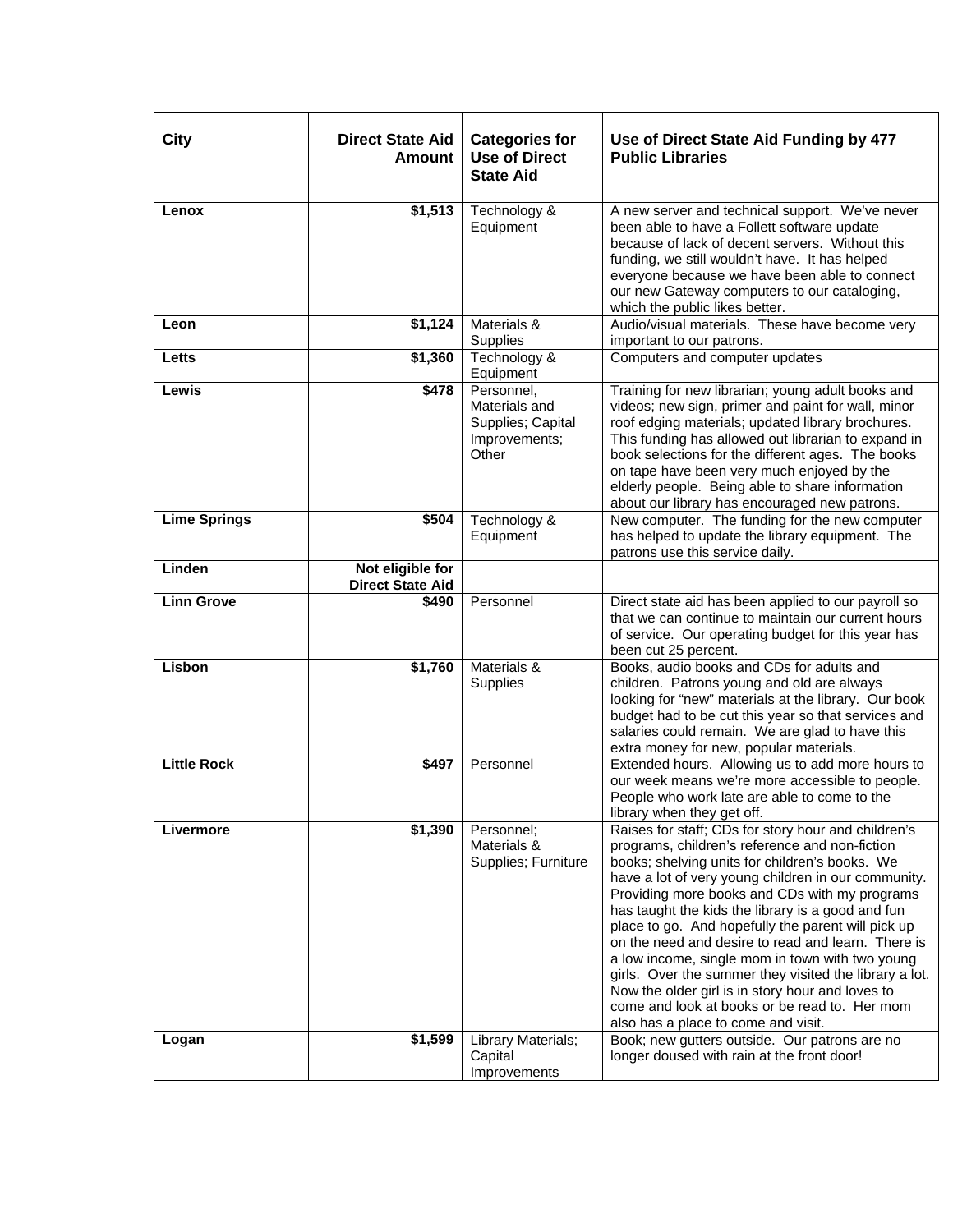| City                | <b>Direct State Aid</b><br>Amount           | <b>Categories for</b><br><b>Use of Direct</b><br><b>State Aid</b>          | Use of Direct State Aid Funding by 477<br><b>Public Libraries</b>                                                                                                                                                                                                                                                                                                                                                                                                                                                                                                                                                                                                                         |
|---------------------|---------------------------------------------|----------------------------------------------------------------------------|-------------------------------------------------------------------------------------------------------------------------------------------------------------------------------------------------------------------------------------------------------------------------------------------------------------------------------------------------------------------------------------------------------------------------------------------------------------------------------------------------------------------------------------------------------------------------------------------------------------------------------------------------------------------------------------------|
| Lenox               | $\overline{$1,513}$                         | Technology &<br>Equipment                                                  | A new server and technical support. We've never<br>been able to have a Follett software update<br>because of lack of decent servers. Without this<br>funding, we still wouldn't have. It has helped<br>everyone because we have been able to connect<br>our new Gateway computers to our cataloging,<br>which the public likes better.                                                                                                                                                                                                                                                                                                                                                    |
| Leon                | \$1,124                                     | Materials &<br>Supplies                                                    | Audio/visual materials. These have become very<br>important to our patrons.                                                                                                                                                                                                                                                                                                                                                                                                                                                                                                                                                                                                               |
| Letts               | \$1,360                                     | Technology &<br>Equipment                                                  | Computers and computer updates                                                                                                                                                                                                                                                                                                                                                                                                                                                                                                                                                                                                                                                            |
| Lewis               | \$478                                       | Personnel,<br>Materials and<br>Supplies; Capital<br>Improvements;<br>Other | Training for new librarian; young adult books and<br>videos; new sign, primer and paint for wall, minor<br>roof edging materials; updated library brochures.<br>This funding has allowed out librarian to expand in<br>book selections for the different ages. The books<br>on tape have been very much enjoyed by the<br>elderly people. Being able to share information<br>about our library has encouraged new patrons.                                                                                                                                                                                                                                                                |
| <b>Lime Springs</b> | \$504                                       | Technology &<br>Equipment                                                  | New computer. The funding for the new computer<br>has helped to update the library equipment. The<br>patrons use this service daily.                                                                                                                                                                                                                                                                                                                                                                                                                                                                                                                                                      |
| Linden              | Not eligible for<br><b>Direct State Aid</b> |                                                                            |                                                                                                                                                                                                                                                                                                                                                                                                                                                                                                                                                                                                                                                                                           |
| <b>Linn Grove</b>   | \$490                                       | Personnel                                                                  | Direct state aid has been applied to our payroll so<br>that we can continue to maintain our current hours<br>of service. Our operating budget for this year has<br>been cut 25 percent.                                                                                                                                                                                                                                                                                                                                                                                                                                                                                                   |
| Lisbon              | \$1,760                                     | Materials &<br>Supplies                                                    | Books, audio books and CDs for adults and<br>children. Patrons young and old are always<br>looking for "new" materials at the library. Our book<br>budget had to be cut this year so that services and<br>salaries could remain. We are glad to have this<br>extra money for new, popular materials.                                                                                                                                                                                                                                                                                                                                                                                      |
| <b>Little Rock</b>  | \$497                                       | Personnel                                                                  | Extended hours. Allowing us to add more hours to<br>our week means we're more accessible to people.<br>People who work late are able to come to the<br>library when they get off.                                                                                                                                                                                                                                                                                                                                                                                                                                                                                                         |
| Livermore           | \$1,390                                     | Personnel;<br>Materials &<br>Supplies; Furniture                           | Raises for staff; CDs for story hour and children's<br>programs, children's reference and non-fiction<br>books; shelving units for children's books. We<br>have a lot of very young children in our community.<br>Providing more books and CDs with my programs<br>has taught the kids the library is a good and fun<br>place to go. And hopefully the parent will pick up<br>on the need and desire to read and learn. There is<br>a low income, single mom in town with two young<br>girls. Over the summer they visited the library a lot.<br>Now the older girl is in story hour and loves to<br>come and look at books or be read to. Her mom<br>also has a place to come and visit. |
| Logan               | \$1,599                                     | Library Materials;<br>Capital<br>Improvements                              | Book; new gutters outside. Our patrons are no<br>longer doused with rain at the front door!                                                                                                                                                                                                                                                                                                                                                                                                                                                                                                                                                                                               |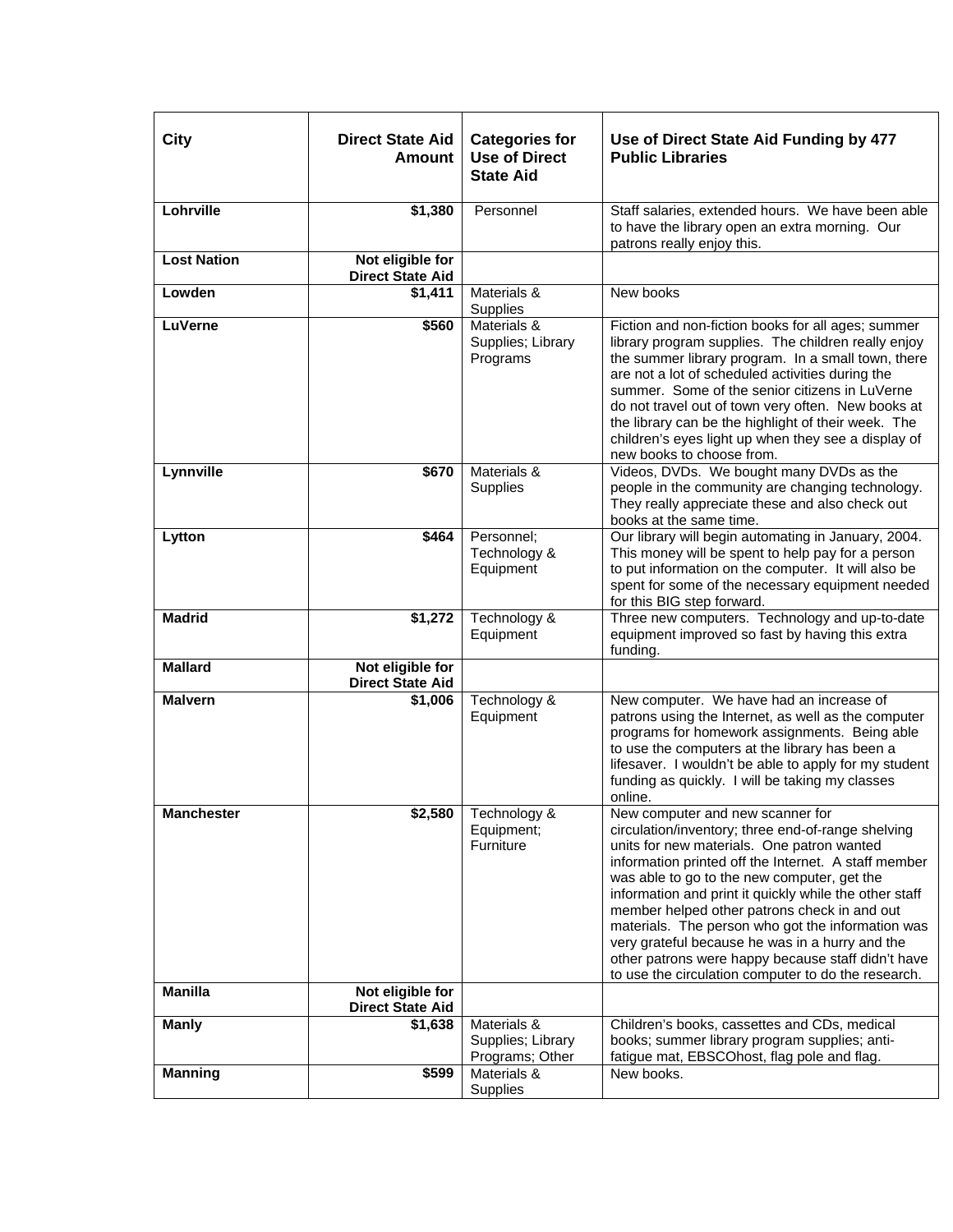| City               | <b>Direct State Aid</b><br>Amount           | <b>Categories for</b><br><b>Use of Direct</b><br><b>State Aid</b> | Use of Direct State Aid Funding by 477<br><b>Public Libraries</b>                                                                                                                                                                                                                                                                                                                                                                                                                                                                                                          |
|--------------------|---------------------------------------------|-------------------------------------------------------------------|----------------------------------------------------------------------------------------------------------------------------------------------------------------------------------------------------------------------------------------------------------------------------------------------------------------------------------------------------------------------------------------------------------------------------------------------------------------------------------------------------------------------------------------------------------------------------|
| Lohrville          | \$1,380                                     | Personnel                                                         | Staff salaries, extended hours. We have been able<br>to have the library open an extra morning. Our<br>patrons really enjoy this.                                                                                                                                                                                                                                                                                                                                                                                                                                          |
| <b>Lost Nation</b> | Not eligible for<br><b>Direct State Aid</b> |                                                                   |                                                                                                                                                                                                                                                                                                                                                                                                                                                                                                                                                                            |
| Lowden             | \$1,411                                     | Materials &<br>Supplies                                           | New books                                                                                                                                                                                                                                                                                                                                                                                                                                                                                                                                                                  |
| <b>LuVerne</b>     | \$560                                       | Materials &<br>Supplies; Library<br>Programs                      | Fiction and non-fiction books for all ages; summer<br>library program supplies. The children really enjoy<br>the summer library program. In a small town, there<br>are not a lot of scheduled activities during the<br>summer. Some of the senior citizens in LuVerne<br>do not travel out of town very often. New books at<br>the library can be the highlight of their week. The<br>children's eyes light up when they see a display of<br>new books to choose from.                                                                                                     |
| Lynnville          | \$670                                       | Materials &<br>Supplies                                           | Videos, DVDs. We bought many DVDs as the<br>people in the community are changing technology.<br>They really appreciate these and also check out<br>books at the same time.                                                                                                                                                                                                                                                                                                                                                                                                 |
| Lytton             | \$464                                       | Personnel;<br>Technology &<br>Equipment                           | Our library will begin automating in January, 2004.<br>This money will be spent to help pay for a person<br>to put information on the computer. It will also be<br>spent for some of the necessary equipment needed<br>for this BIG step forward.                                                                                                                                                                                                                                                                                                                          |
| <b>Madrid</b>      | \$1,272                                     | Technology &<br>Equipment                                         | Three new computers. Technology and up-to-date<br>equipment improved so fast by having this extra<br>funding.                                                                                                                                                                                                                                                                                                                                                                                                                                                              |
| <b>Mallard</b>     | Not eligible for<br><b>Direct State Aid</b> |                                                                   |                                                                                                                                                                                                                                                                                                                                                                                                                                                                                                                                                                            |
| <b>Malvern</b>     | \$1,006                                     | Technology &<br>Equipment                                         | New computer. We have had an increase of<br>patrons using the Internet, as well as the computer<br>programs for homework assignments. Being able<br>to use the computers at the library has been a<br>lifesaver. I wouldn't be able to apply for my student<br>funding as quickly. I will be taking my classes<br>online.                                                                                                                                                                                                                                                  |
| <b>Manchester</b>  | \$2,580                                     | Technology &<br>Equipment;<br>Furniture                           | New computer and new scanner for<br>circulation/inventory; three end-of-range shelving<br>units for new materials. One patron wanted<br>information printed off the Internet. A staff member<br>was able to go to the new computer, get the<br>information and print it quickly while the other staff<br>member helped other patrons check in and out<br>materials. The person who got the information was<br>very grateful because he was in a hurry and the<br>other patrons were happy because staff didn't have<br>to use the circulation computer to do the research. |
| <b>Manilla</b>     | Not eligible for<br><b>Direct State Aid</b> |                                                                   |                                                                                                                                                                                                                                                                                                                                                                                                                                                                                                                                                                            |
| <b>Manly</b>       | \$1,638                                     | Materials &<br>Supplies; Library<br>Programs; Other               | Children's books, cassettes and CDs, medical<br>books; summer library program supplies; anti-<br>fatigue mat, EBSCOhost, flag pole and flag.                                                                                                                                                                                                                                                                                                                                                                                                                               |
| <b>Manning</b>     | \$599                                       | Materials &<br>Supplies                                           | New books.                                                                                                                                                                                                                                                                                                                                                                                                                                                                                                                                                                 |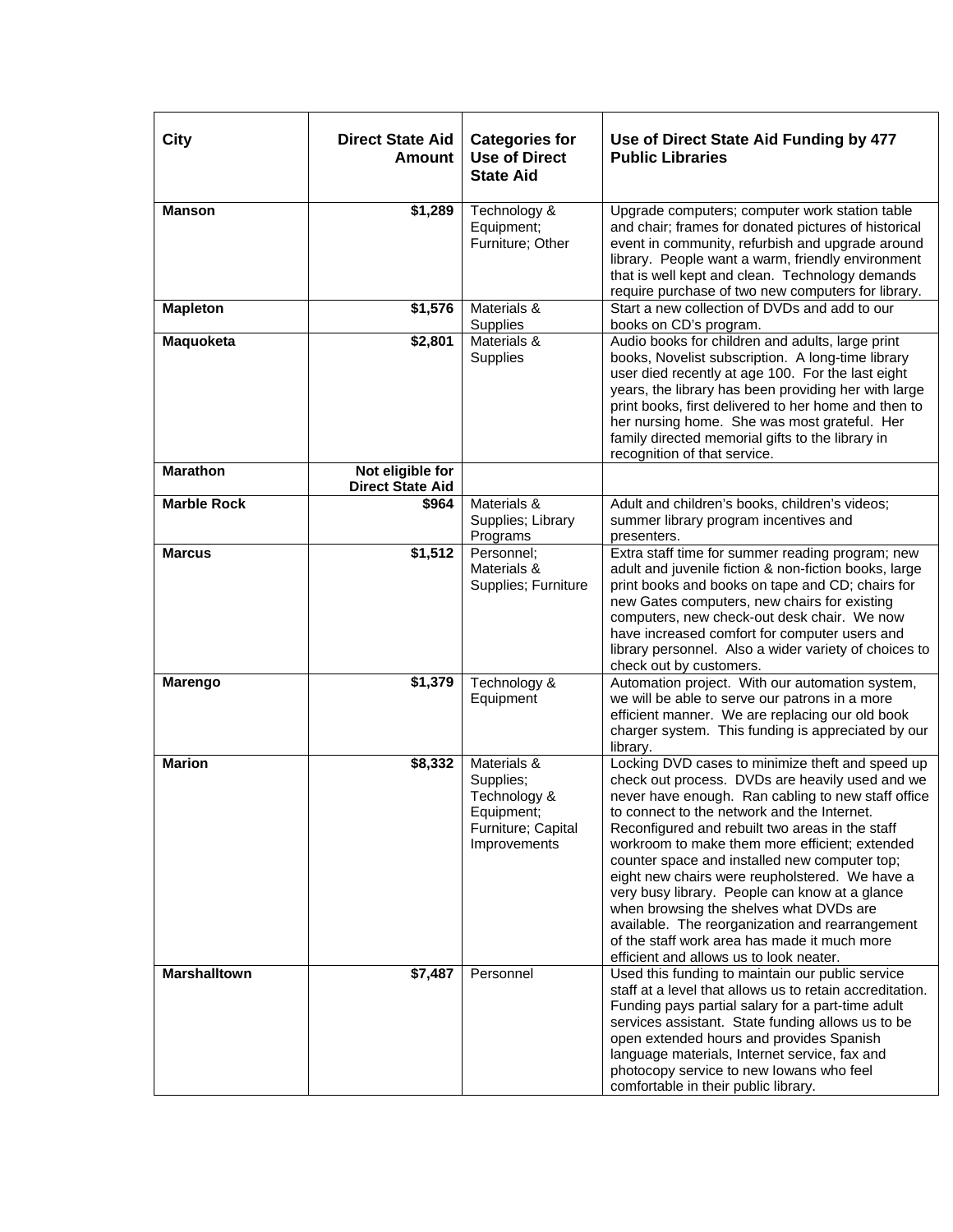| City                | <b>Direct State Aid</b><br><b>Amount</b>    | <b>Categories for</b><br><b>Use of Direct</b><br><b>State Aid</b>                            | Use of Direct State Aid Funding by 477<br><b>Public Libraries</b>                                                                                                                                                                                                                                                                                                                                                                                                                                                                                                                                                                                           |
|---------------------|---------------------------------------------|----------------------------------------------------------------------------------------------|-------------------------------------------------------------------------------------------------------------------------------------------------------------------------------------------------------------------------------------------------------------------------------------------------------------------------------------------------------------------------------------------------------------------------------------------------------------------------------------------------------------------------------------------------------------------------------------------------------------------------------------------------------------|
| <b>Manson</b>       | \$1,289                                     | Technology &<br>Equipment;<br>Furniture; Other                                               | Upgrade computers; computer work station table<br>and chair; frames for donated pictures of historical<br>event in community, refurbish and upgrade around<br>library. People want a warm, friendly environment<br>that is well kept and clean. Technology demands<br>require purchase of two new computers for library.                                                                                                                                                                                                                                                                                                                                    |
| <b>Mapleton</b>     | \$1,576                                     | Materials &<br>Supplies                                                                      | Start a new collection of DVDs and add to our<br>books on CD's program.                                                                                                                                                                                                                                                                                                                                                                                                                                                                                                                                                                                     |
| Maquoketa           | \$2,801                                     | Materials &<br>Supplies                                                                      | Audio books for children and adults, large print<br>books, Novelist subscription. A long-time library<br>user died recently at age 100. For the last eight<br>years, the library has been providing her with large<br>print books, first delivered to her home and then to<br>her nursing home. She was most grateful. Her<br>family directed memorial gifts to the library in<br>recognition of that service.                                                                                                                                                                                                                                              |
| <b>Marathon</b>     | Not eligible for<br><b>Direct State Aid</b> |                                                                                              |                                                                                                                                                                                                                                                                                                                                                                                                                                                                                                                                                                                                                                                             |
| <b>Marble Rock</b>  | \$964                                       | Materials &<br>Supplies; Library<br>Programs                                                 | Adult and children's books, children's videos;<br>summer library program incentives and<br>presenters.                                                                                                                                                                                                                                                                                                                                                                                                                                                                                                                                                      |
| <b>Marcus</b>       | \$1,512                                     | Personnel;<br>Materials &<br>Supplies; Furniture                                             | Extra staff time for summer reading program; new<br>adult and juvenile fiction & non-fiction books, large<br>print books and books on tape and CD; chairs for<br>new Gates computers, new chairs for existing<br>computers, new check-out desk chair. We now<br>have increased comfort for computer users and<br>library personnel. Also a wider variety of choices to<br>check out by customers.                                                                                                                                                                                                                                                           |
| <b>Marengo</b>      | \$1,379                                     | Technology &<br>Equipment                                                                    | Automation project. With our automation system,<br>we will be able to serve our patrons in a more<br>efficient manner. We are replacing our old book<br>charger system. This funding is appreciated by our<br>library.                                                                                                                                                                                                                                                                                                                                                                                                                                      |
| <b>Marion</b>       | \$8,332                                     | Materials &<br>Supplies;<br>Technology &<br>Equipment;<br>Furniture; Capital<br>Improvements | Locking DVD cases to minimize theft and speed up<br>check out process. DVDs are heavily used and we<br>never have enough. Ran cabling to new staff office<br>to connect to the network and the Internet.<br>Reconfigured and rebuilt two areas in the staff<br>workroom to make them more efficient; extended<br>counter space and installed new computer top;<br>eight new chairs were reupholstered. We have a<br>very busy library. People can know at a glance<br>when browsing the shelves what DVDs are<br>available. The reorganization and rearrangement<br>of the staff work area has made it much more<br>efficient and allows us to look neater. |
| <b>Marshalltown</b> | \$7,487                                     | Personnel                                                                                    | Used this funding to maintain our public service<br>staff at a level that allows us to retain accreditation.<br>Funding pays partial salary for a part-time adult<br>services assistant. State funding allows us to be<br>open extended hours and provides Spanish<br>language materials, Internet service, fax and<br>photocopy service to new lowans who feel<br>comfortable in their public library.                                                                                                                                                                                                                                                     |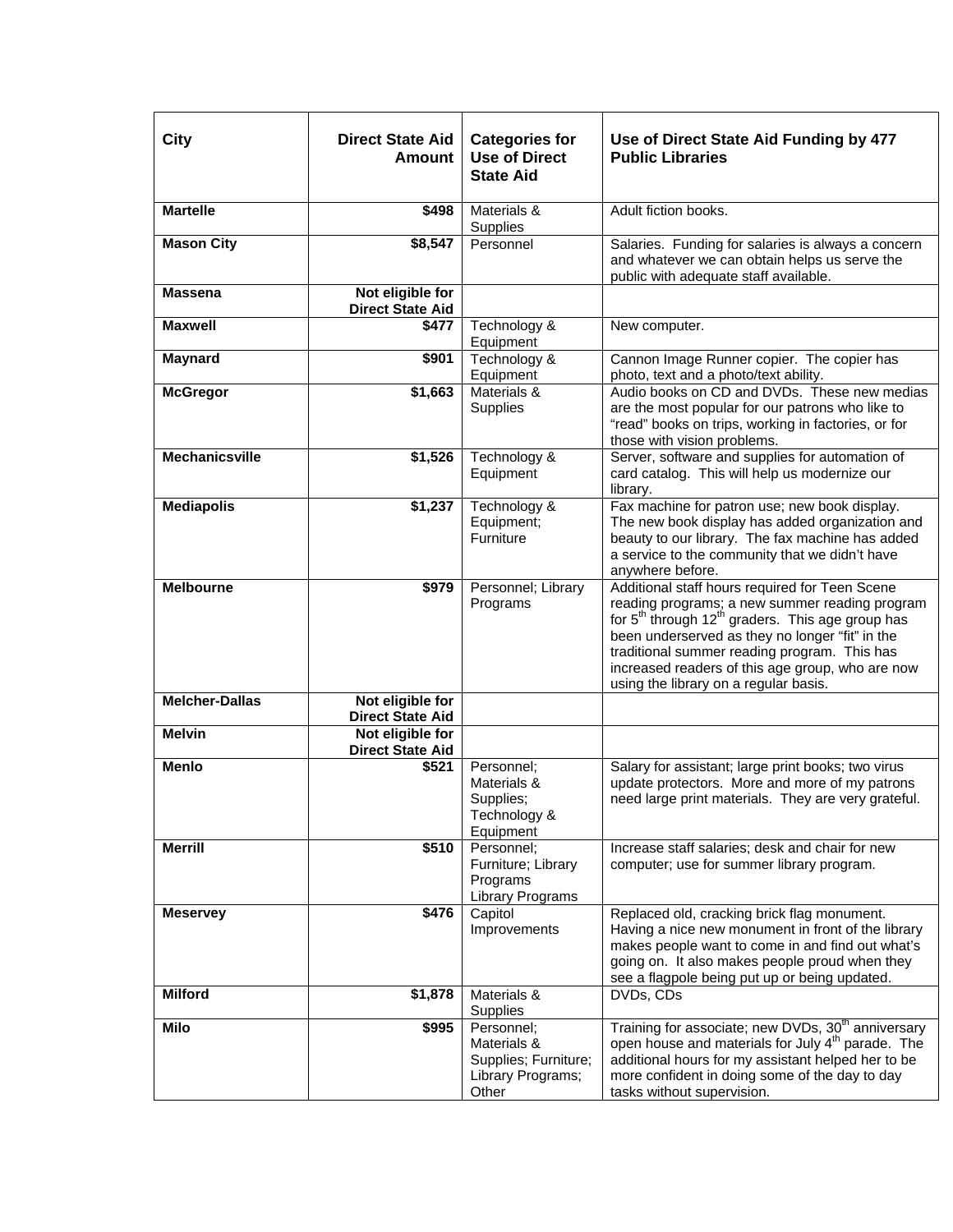| <b>City</b>           | <b>Direct State Aid</b><br>Amount           | <b>Categories for</b><br><b>Use of Direct</b><br><b>State Aid</b>               | Use of Direct State Aid Funding by 477<br><b>Public Libraries</b>                                                                                                                                                                                                                                                                                                            |
|-----------------------|---------------------------------------------|---------------------------------------------------------------------------------|------------------------------------------------------------------------------------------------------------------------------------------------------------------------------------------------------------------------------------------------------------------------------------------------------------------------------------------------------------------------------|
| <b>Martelle</b>       | \$498                                       | Materials &<br>Supplies                                                         | Adult fiction books.                                                                                                                                                                                                                                                                                                                                                         |
| <b>Mason City</b>     | \$8,547                                     | Personnel                                                                       | Salaries. Funding for salaries is always a concern<br>and whatever we can obtain helps us serve the<br>public with adequate staff available.                                                                                                                                                                                                                                 |
| <b>Massena</b>        | Not eligible for<br><b>Direct State Aid</b> |                                                                                 |                                                                                                                                                                                                                                                                                                                                                                              |
| <b>Maxwell</b>        | \$477                                       | Technology &<br>Equipment                                                       | New computer.                                                                                                                                                                                                                                                                                                                                                                |
| <b>Maynard</b>        | \$901                                       | Technology &<br>Equipment                                                       | Cannon Image Runner copier. The copier has<br>photo, text and a photo/text ability.                                                                                                                                                                                                                                                                                          |
| <b>McGregor</b>       | \$1,663                                     | Materials &<br>Supplies                                                         | Audio books on CD and DVDs. These new medias<br>are the most popular for our patrons who like to<br>"read" books on trips, working in factories, or for<br>those with vision problems.                                                                                                                                                                                       |
| <b>Mechanicsville</b> | \$1,526                                     | Technology &<br>Equipment                                                       | Server, software and supplies for automation of<br>card catalog. This will help us modernize our<br>library.                                                                                                                                                                                                                                                                 |
| <b>Mediapolis</b>     | \$1,237                                     | Technology &<br>Equipment;<br>Furniture                                         | Fax machine for patron use; new book display.<br>The new book display has added organization and<br>beauty to our library. The fax machine has added<br>a service to the community that we didn't have<br>anywhere before.                                                                                                                                                   |
| <b>Melbourne</b>      | $\sqrt{$979}$                               | Personnel; Library<br>Programs                                                  | Additional staff hours required for Teen Scene<br>reading programs; a new summer reading program<br>for 5 <sup>th</sup> through 12 <sup>th</sup> graders. This age group has<br>been underserved as they no longer "fit" in the<br>traditional summer reading program. This has<br>increased readers of this age group, who are now<br>using the library on a regular basis. |
| <b>Melcher-Dallas</b> | Not eligible for<br><b>Direct State Aid</b> |                                                                                 |                                                                                                                                                                                                                                                                                                                                                                              |
| <b>Melvin</b>         | Not eligible for<br><b>Direct State Aid</b> |                                                                                 |                                                                                                                                                                                                                                                                                                                                                                              |
| <b>Menlo</b>          | \$521                                       | Personnel;<br>Materials &<br>Supplies;<br>Technology &<br>Equipment             | Salary for assistant; large print books; two virus<br>update protectors. More and more of my patrons<br>need large print materials. They are very grateful.                                                                                                                                                                                                                  |
| <b>Merrill</b>        | \$510                                       | Personnel;<br>Furniture; Library<br>Programs<br>Library Programs                | Increase staff salaries; desk and chair for new<br>computer; use for summer library program.                                                                                                                                                                                                                                                                                 |
| <b>Meservey</b>       | \$476                                       | Capitol<br>Improvements                                                         | Replaced old, cracking brick flag monument.<br>Having a nice new monument in front of the library<br>makes people want to come in and find out what's<br>going on. It also makes people proud when they<br>see a flagpole being put up or being updated.                                                                                                                     |
| <b>Milford</b>        | \$1,878                                     | Materials &<br>Supplies                                                         | DVDs, CDs                                                                                                                                                                                                                                                                                                                                                                    |
| Milo                  | \$995                                       | Personnel;<br>Materials &<br>Supplies; Furniture;<br>Library Programs;<br>Other | Training for associate; new DVDs, 30 <sup>th</sup> anniversary<br>open house and materials for July 4 <sup>th</sup> parade. The<br>additional hours for my assistant helped her to be<br>more confident in doing some of the day to day<br>tasks without supervision.                                                                                                        |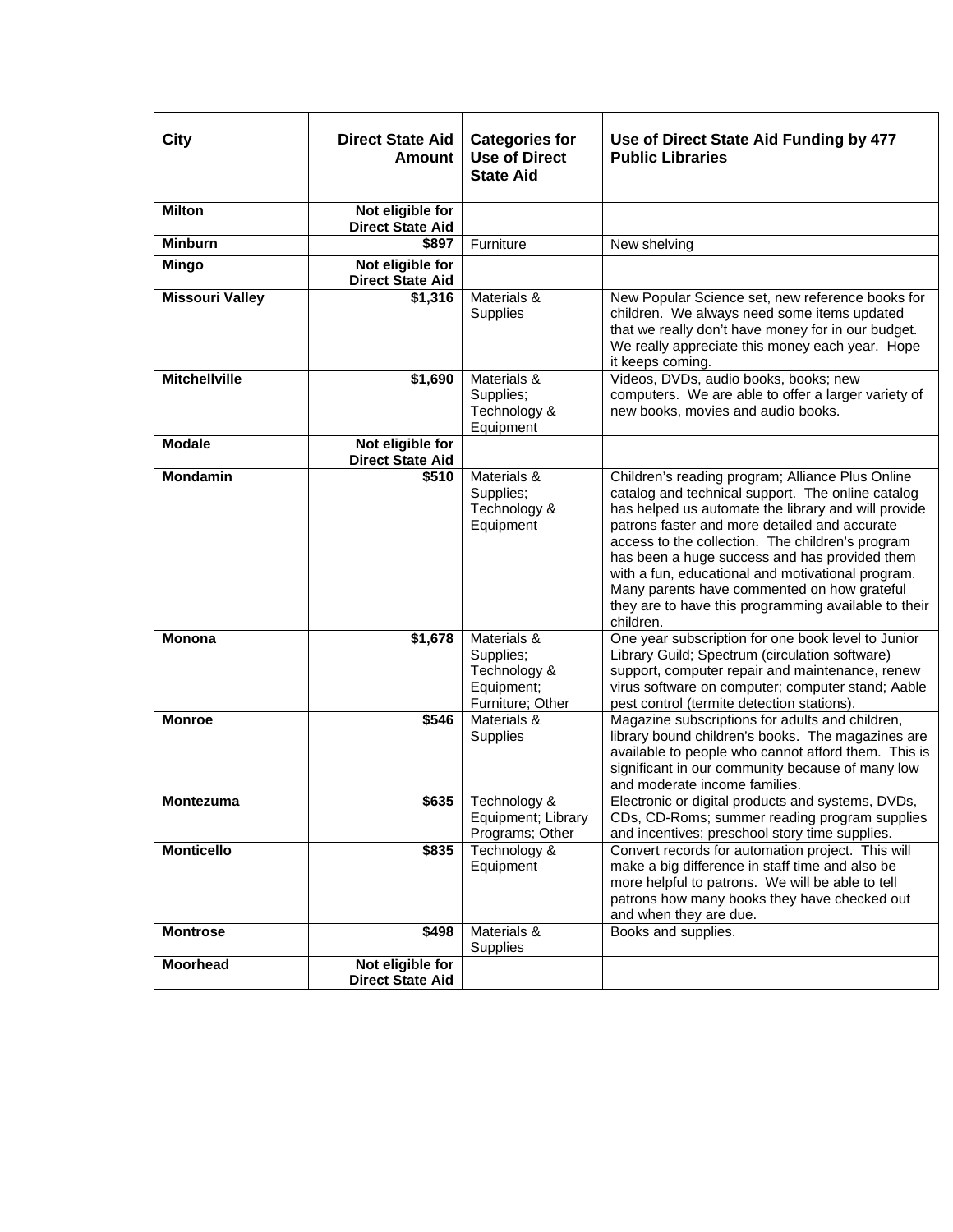| City                   | <b>Direct State Aid</b><br>Amount           | <b>Categories for</b><br><b>Use of Direct</b><br><b>State Aid</b>          | Use of Direct State Aid Funding by 477<br><b>Public Libraries</b>                                                                                                                                                                                                                                                                                                                                                                                                                           |
|------------------------|---------------------------------------------|----------------------------------------------------------------------------|---------------------------------------------------------------------------------------------------------------------------------------------------------------------------------------------------------------------------------------------------------------------------------------------------------------------------------------------------------------------------------------------------------------------------------------------------------------------------------------------|
| <b>Milton</b>          | Not eligible for<br><b>Direct State Aid</b> |                                                                            |                                                                                                                                                                                                                                                                                                                                                                                                                                                                                             |
| <b>Minburn</b>         | \$897                                       | Furniture                                                                  | New shelving                                                                                                                                                                                                                                                                                                                                                                                                                                                                                |
| <b>Mingo</b>           | Not eligible for<br><b>Direct State Aid</b> |                                                                            |                                                                                                                                                                                                                                                                                                                                                                                                                                                                                             |
| <b>Missouri Valley</b> | $\overline{$}1,316$                         | Materials &<br>Supplies                                                    | New Popular Science set, new reference books for<br>children. We always need some items updated<br>that we really don't have money for in our budget.<br>We really appreciate this money each year. Hope<br>it keeps coming.                                                                                                                                                                                                                                                                |
| <b>Mitchellville</b>   | \$1,690                                     | Materials &<br>Supplies;<br>Technology &<br>Equipment                      | Videos, DVDs, audio books, books; new<br>computers. We are able to offer a larger variety of<br>new books, movies and audio books.                                                                                                                                                                                                                                                                                                                                                          |
| <b>Modale</b>          | Not eligible for<br><b>Direct State Aid</b> |                                                                            |                                                                                                                                                                                                                                                                                                                                                                                                                                                                                             |
| <b>Mondamin</b>        | \$510                                       | Materials &<br>Supplies;<br>Technology &<br>Equipment                      | Children's reading program; Alliance Plus Online<br>catalog and technical support. The online catalog<br>has helped us automate the library and will provide<br>patrons faster and more detailed and accurate<br>access to the collection. The children's program<br>has been a huge success and has provided them<br>with a fun, educational and motivational program.<br>Many parents have commented on how grateful<br>they are to have this programming available to their<br>children. |
| <b>Monona</b>          | \$1,678                                     | Materials &<br>Supplies;<br>Technology &<br>Equipment;<br>Furniture; Other | One year subscription for one book level to Junior<br>Library Guild; Spectrum (circulation software)<br>support, computer repair and maintenance, renew<br>virus software on computer; computer stand; Aable<br>pest control (termite detection stations).                                                                                                                                                                                                                                  |
| <b>Monroe</b>          | \$546                                       | Materials &<br>Supplies                                                    | Magazine subscriptions for adults and children,<br>library bound children's books. The magazines are<br>available to people who cannot afford them. This is<br>significant in our community because of many low<br>and moderate income families.                                                                                                                                                                                                                                            |
| <b>Montezuma</b>       | \$635                                       | Technology &<br>Equipment; Library<br>Programs; Other                      | Electronic or digital products and systems, DVDs,<br>CDs, CD-Roms; summer reading program supplies<br>and incentives; preschool story time supplies.                                                                                                                                                                                                                                                                                                                                        |
| <b>Monticello</b>      | \$835                                       | Technology &<br>Equipment                                                  | Convert records for automation project. This will<br>make a big difference in staff time and also be<br>more helpful to patrons. We will be able to tell<br>patrons how many books they have checked out<br>and when they are due.                                                                                                                                                                                                                                                          |
| <b>Montrose</b>        | \$498                                       | Materials &<br><b>Supplies</b>                                             | Books and supplies.                                                                                                                                                                                                                                                                                                                                                                                                                                                                         |
| <b>Moorhead</b>        | Not eligible for<br><b>Direct State Aid</b> |                                                                            |                                                                                                                                                                                                                                                                                                                                                                                                                                                                                             |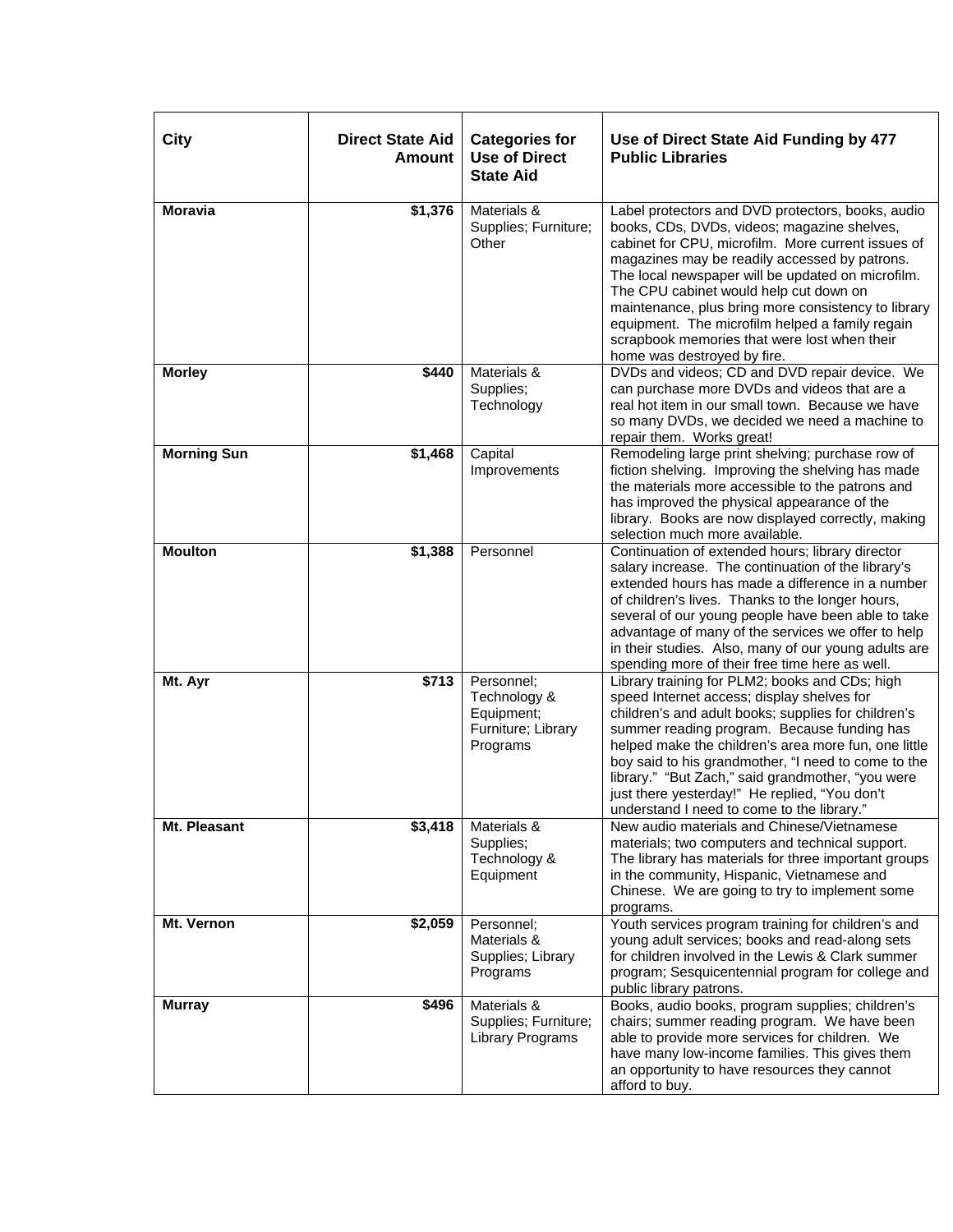| <b>City</b>        | <b>Direct State Aid</b><br><b>Amount</b> | <b>Categories for</b><br><b>Use of Direct</b><br><b>State Aid</b>          | Use of Direct State Aid Funding by 477<br><b>Public Libraries</b>                                                                                                                                                                                                                                                                                                                                                                                                                               |
|--------------------|------------------------------------------|----------------------------------------------------------------------------|-------------------------------------------------------------------------------------------------------------------------------------------------------------------------------------------------------------------------------------------------------------------------------------------------------------------------------------------------------------------------------------------------------------------------------------------------------------------------------------------------|
| <b>Moravia</b>     | \$1,376                                  | Materials &<br>Supplies; Furniture;<br>Other                               | Label protectors and DVD protectors, books, audio<br>books, CDs, DVDs, videos; magazine shelves,<br>cabinet for CPU, microfilm. More current issues of<br>magazines may be readily accessed by patrons.<br>The local newspaper will be updated on microfilm.<br>The CPU cabinet would help cut down on<br>maintenance, plus bring more consistency to library<br>equipment. The microfilm helped a family regain<br>scrapbook memories that were lost when their<br>home was destroyed by fire. |
| <b>Morley</b>      | \$440                                    | Materials &<br>Supplies;<br>Technology                                     | DVDs and videos; CD and DVD repair device. We<br>can purchase more DVDs and videos that are a<br>real hot item in our small town. Because we have<br>so many DVDs, we decided we need a machine to<br>repair them. Works great!                                                                                                                                                                                                                                                                 |
| <b>Morning Sun</b> | \$1,468                                  | Capital<br>Improvements                                                    | Remodeling large print shelving; purchase row of<br>fiction shelving. Improving the shelving has made<br>the materials more accessible to the patrons and<br>has improved the physical appearance of the<br>library. Books are now displayed correctly, making<br>selection much more available.                                                                                                                                                                                                |
| <b>Moulton</b>     | \$1,388                                  | Personnel                                                                  | Continuation of extended hours; library director<br>salary increase. The continuation of the library's<br>extended hours has made a difference in a number<br>of children's lives. Thanks to the longer hours,<br>several of our young people have been able to take<br>advantage of many of the services we offer to help<br>in their studies. Also, many of our young adults are<br>spending more of their free time here as well.                                                            |
| Mt. Ayr            | \$713                                    | Personnel;<br>Technology &<br>Equipment;<br>Furniture; Library<br>Programs | Library training for PLM2; books and CDs; high<br>speed Internet access; display shelves for<br>children's and adult books; supplies for children's<br>summer reading program. Because funding has<br>helped make the children's area more fun, one little<br>boy said to his grandmother, "I need to come to the<br>library." "But Zach," said grandmother, "you were<br>just there yesterday!" He replied, "You don't<br>understand I need to come to the library."                           |
| Mt. Pleasant       | \$3,418                                  | Materials &<br>Supplies;<br>Technology &<br>Equipment                      | New audio materials and Chinese/Vietnamese<br>materials; two computers and technical support.<br>The library has materials for three important groups<br>in the community, Hispanic, Vietnamese and<br>Chinese. We are going to try to implement some<br>programs.                                                                                                                                                                                                                              |
| Mt. Vernon         | \$2,059                                  | Personnel;<br>Materials &<br>Supplies; Library<br>Programs                 | Youth services program training for children's and<br>young adult services; books and read-along sets<br>for children involved in the Lewis & Clark summer<br>program; Sesquicentennial program for college and<br>public library patrons.                                                                                                                                                                                                                                                      |
| <b>Murray</b>      | \$496                                    | Materials &<br>Supplies; Furniture;<br>Library Programs                    | Books, audio books, program supplies; children's<br>chairs; summer reading program. We have been<br>able to provide more services for children. We<br>have many low-income families. This gives them<br>an opportunity to have resources they cannot<br>afford to buy.                                                                                                                                                                                                                          |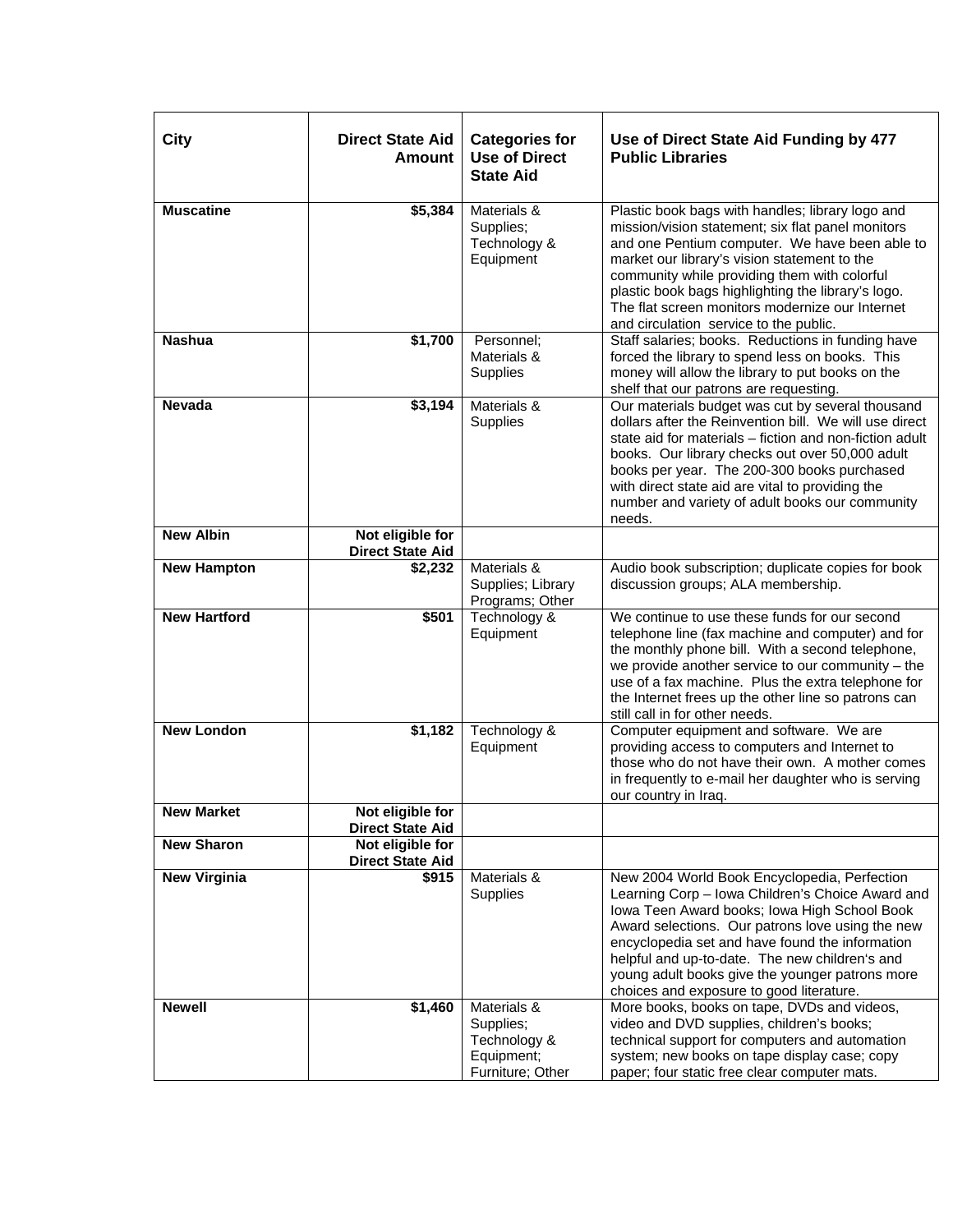| City                | <b>Direct State Aid</b><br>Amount           | <b>Categories for</b><br><b>Use of Direct</b><br><b>State Aid</b>          | Use of Direct State Aid Funding by 477<br><b>Public Libraries</b>                                                                                                                                                                                                                                                                                                                                          |
|---------------------|---------------------------------------------|----------------------------------------------------------------------------|------------------------------------------------------------------------------------------------------------------------------------------------------------------------------------------------------------------------------------------------------------------------------------------------------------------------------------------------------------------------------------------------------------|
| <b>Muscatine</b>    | \$5,384                                     | Materials &<br>Supplies;<br>Technology &<br>Equipment                      | Plastic book bags with handles; library logo and<br>mission/vision statement; six flat panel monitors<br>and one Pentium computer. We have been able to<br>market our library's vision statement to the<br>community while providing them with colorful<br>plastic book bags highlighting the library's logo.<br>The flat screen monitors modernize our Internet<br>and circulation service to the public. |
| <b>Nashua</b>       | \$1,700                                     | Personnel;<br>Materials &<br>Supplies                                      | Staff salaries; books. Reductions in funding have<br>forced the library to spend less on books. This<br>money will allow the library to put books on the<br>shelf that our patrons are requesting.                                                                                                                                                                                                         |
| <b>Nevada</b>       | \$3,194                                     | Materials &<br>Supplies                                                    | Our materials budget was cut by several thousand<br>dollars after the Reinvention bill. We will use direct<br>state aid for materials – fiction and non-fiction adult<br>books. Our library checks out over 50,000 adult<br>books per year. The 200-300 books purchased<br>with direct state aid are vital to providing the<br>number and variety of adult books our community<br>needs.                   |
| <b>New Albin</b>    | Not eligible for<br><b>Direct State Aid</b> |                                                                            |                                                                                                                                                                                                                                                                                                                                                                                                            |
| <b>New Hampton</b>  | \$2,232                                     | Materials &<br>Supplies; Library<br>Programs; Other                        | Audio book subscription; duplicate copies for book<br>discussion groups; ALA membership.                                                                                                                                                                                                                                                                                                                   |
| <b>New Hartford</b> | \$501                                       | Technology &<br>Equipment                                                  | We continue to use these funds for our second<br>telephone line (fax machine and computer) and for<br>the monthly phone bill. With a second telephone,<br>we provide another service to our community $-$ the<br>use of a fax machine. Plus the extra telephone for<br>the Internet frees up the other line so patrons can<br>still call in for other needs.                                               |
| <b>New London</b>   | \$1,182                                     | Technology &<br>Equipment                                                  | Computer equipment and software. We are<br>providing access to computers and Internet to<br>those who do not have their own. A mother comes<br>in frequently to e-mail her daughter who is serving<br>our country in Iraq.                                                                                                                                                                                 |
| <b>New Market</b>   | Not eligible for<br><b>Direct State Aid</b> |                                                                            |                                                                                                                                                                                                                                                                                                                                                                                                            |
| <b>New Sharon</b>   | Not eligible for<br><b>Direct State Aid</b> |                                                                            |                                                                                                                                                                                                                                                                                                                                                                                                            |
| <b>New Virginia</b> | \$915                                       | Materials &<br>Supplies                                                    | New 2004 World Book Encyclopedia, Perfection<br>Learning Corp - Iowa Children's Choice Award and<br>Iowa Teen Award books; Iowa High School Book<br>Award selections. Our patrons love using the new<br>encyclopedia set and have found the information<br>helpful and up-to-date. The new children's and<br>young adult books give the younger patrons more<br>choices and exposure to good literature.   |
| <b>Newell</b>       | \$1,460                                     | Materials &<br>Supplies;<br>Technology &<br>Equipment;<br>Furniture; Other | More books, books on tape, DVDs and videos,<br>video and DVD supplies, children's books;<br>technical support for computers and automation<br>system; new books on tape display case; copy<br>paper; four static free clear computer mats.                                                                                                                                                                 |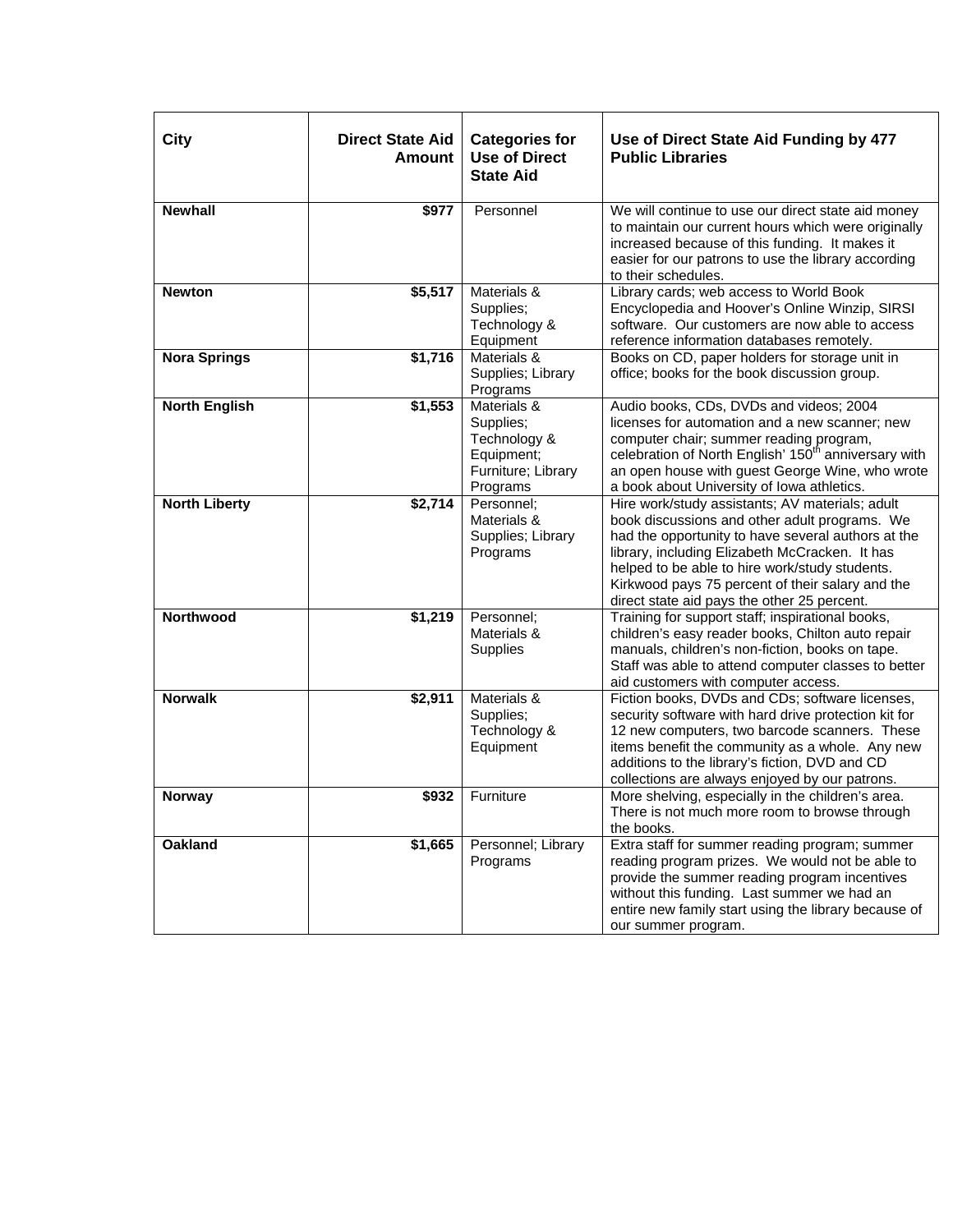| City                 | <b>Direct State Aid</b><br><b>Amount</b> | <b>Categories for</b><br><b>Use of Direct</b><br><b>State Aid</b>                        | Use of Direct State Aid Funding by 477<br><b>Public Libraries</b>                                                                                                                                                                                                                                                                                             |
|----------------------|------------------------------------------|------------------------------------------------------------------------------------------|---------------------------------------------------------------------------------------------------------------------------------------------------------------------------------------------------------------------------------------------------------------------------------------------------------------------------------------------------------------|
| <b>Newhall</b>       | \$977                                    | Personnel                                                                                | We will continue to use our direct state aid money<br>to maintain our current hours which were originally<br>increased because of this funding. It makes it<br>easier for our patrons to use the library according<br>to their schedules.                                                                                                                     |
| <b>Newton</b>        | \$5,517                                  | Materials &<br>Supplies;<br>Technology &<br>Equipment                                    | Library cards; web access to World Book<br>Encyclopedia and Hoover's Online Winzip, SIRSI<br>software. Our customers are now able to access<br>reference information databases remotely.                                                                                                                                                                      |
| <b>Nora Springs</b>  | \$1,716                                  | Materials &<br>Supplies; Library<br>Programs                                             | Books on CD, paper holders for storage unit in<br>office; books for the book discussion group.                                                                                                                                                                                                                                                                |
| <b>North English</b> | \$1,553                                  | Materials &<br>Supplies;<br>Technology &<br>Equipment;<br>Furniture; Library<br>Programs | Audio books, CDs, DVDs and videos; 2004<br>licenses for automation and a new scanner; new<br>computer chair; summer reading program,<br>celebration of North English' 150 <sup>th</sup> anniversary with<br>an open house with guest George Wine, who wrote<br>a book about University of Iowa athletics.                                                     |
| <b>North Liberty</b> | \$2,714                                  | Personnel;<br>Materials &<br>Supplies; Library<br>Programs                               | Hire work/study assistants; AV materials; adult<br>book discussions and other adult programs. We<br>had the opportunity to have several authors at the<br>library, including Elizabeth McCracken. It has<br>helped to be able to hire work/study students.<br>Kirkwood pays 75 percent of their salary and the<br>direct state aid pays the other 25 percent. |
| Northwood            | \$1,219                                  | Personnel:<br>Materials &<br>Supplies                                                    | Training for support staff; inspirational books,<br>children's easy reader books, Chilton auto repair<br>manuals, children's non-fiction, books on tape.<br>Staff was able to attend computer classes to better<br>aid customers with computer access.                                                                                                        |
| <b>Norwalk</b>       | \$2,911                                  | Materials &<br>Supplies;<br>Technology &<br>Equipment                                    | Fiction books, DVDs and CDs; software licenses,<br>security software with hard drive protection kit for<br>12 new computers, two barcode scanners. These<br>items benefit the community as a whole. Any new<br>additions to the library's fiction, DVD and CD<br>collections are always enjoyed by our patrons.                                               |
| <b>Norway</b>        | \$932                                    | Furniture                                                                                | More shelving, especially in the children's area.<br>There is not much more room to browse through<br>the books.                                                                                                                                                                                                                                              |
| Oakland              | \$1,665                                  | Personnel; Library<br>Programs                                                           | Extra staff for summer reading program; summer<br>reading program prizes. We would not be able to<br>provide the summer reading program incentives<br>without this funding. Last summer we had an<br>entire new family start using the library because of<br>our summer program.                                                                              |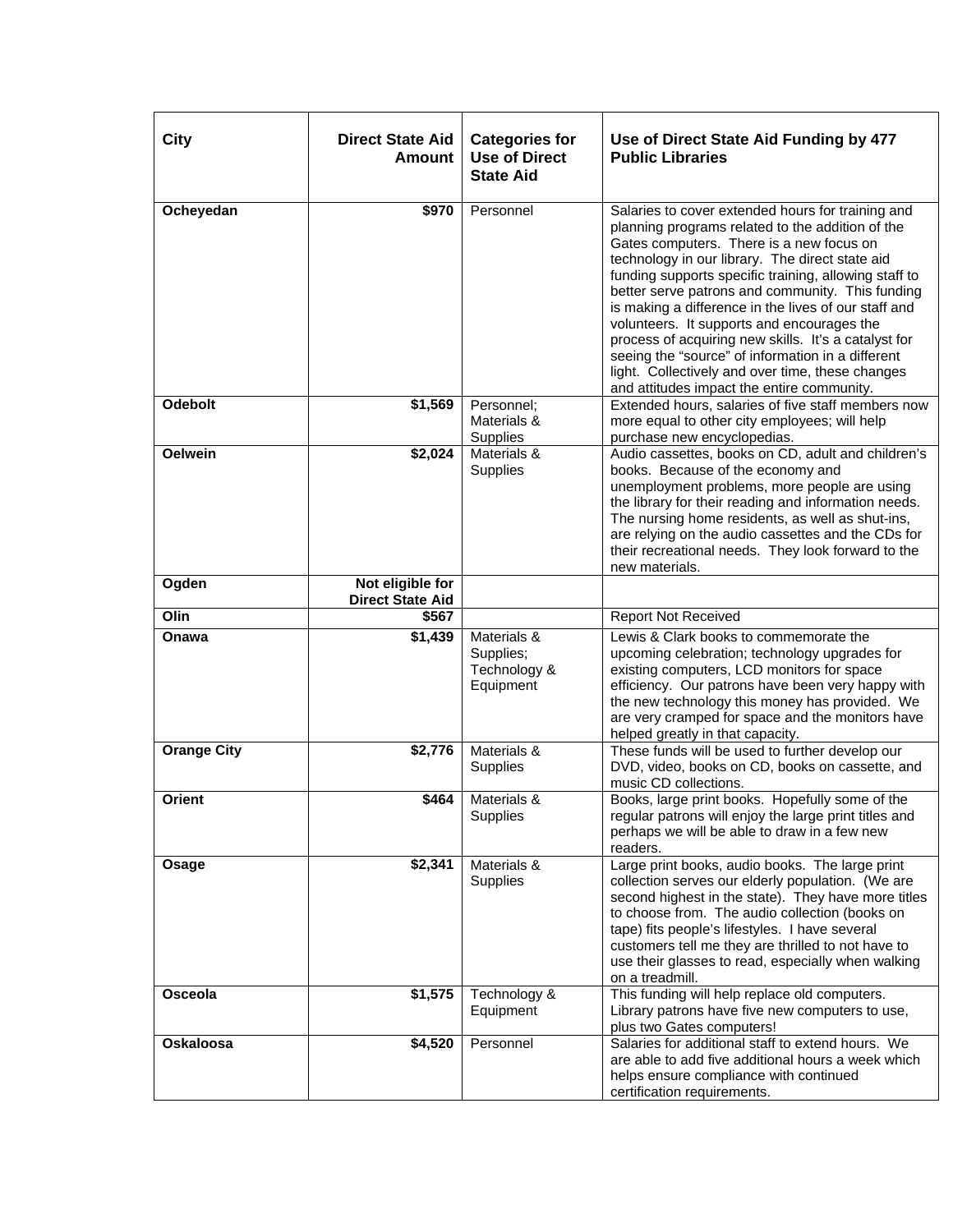| City               | <b>Direct State Aid</b><br><b>Amount</b>    | <b>Categories for</b><br><b>Use of Direct</b><br><b>State Aid</b> | Use of Direct State Aid Funding by 477<br><b>Public Libraries</b>                                                                                                                                                                                                                                                                                                                                                                                                                                                                                                                                                                      |
|--------------------|---------------------------------------------|-------------------------------------------------------------------|----------------------------------------------------------------------------------------------------------------------------------------------------------------------------------------------------------------------------------------------------------------------------------------------------------------------------------------------------------------------------------------------------------------------------------------------------------------------------------------------------------------------------------------------------------------------------------------------------------------------------------------|
| Ocheyedan          | \$970                                       | Personnel                                                         | Salaries to cover extended hours for training and<br>planning programs related to the addition of the<br>Gates computers. There is a new focus on<br>technology in our library. The direct state aid<br>funding supports specific training, allowing staff to<br>better serve patrons and community. This funding<br>is making a difference in the lives of our staff and<br>volunteers. It supports and encourages the<br>process of acquiring new skills. It's a catalyst for<br>seeing the "source" of information in a different<br>light. Collectively and over time, these changes<br>and attitudes impact the entire community. |
| <b>Odebolt</b>     | \$1,569                                     | Personnel;<br>Materials &<br>Supplies                             | Extended hours, salaries of five staff members now<br>more equal to other city employees; will help<br>purchase new encyclopedias.                                                                                                                                                                                                                                                                                                                                                                                                                                                                                                     |
| <b>Oelwein</b>     | \$2,024                                     | Materials &<br>Supplies                                           | Audio cassettes, books on CD, adult and children's<br>books. Because of the economy and<br>unemployment problems, more people are using<br>the library for their reading and information needs.<br>The nursing home residents, as well as shut-ins,<br>are relying on the audio cassettes and the CDs for<br>their recreational needs. They look forward to the<br>new materials.                                                                                                                                                                                                                                                      |
| Ogden              | Not eligible for<br><b>Direct State Aid</b> |                                                                   |                                                                                                                                                                                                                                                                                                                                                                                                                                                                                                                                                                                                                                        |
| Olin               | \$567                                       |                                                                   | <b>Report Not Received</b>                                                                                                                                                                                                                                                                                                                                                                                                                                                                                                                                                                                                             |
| Onawa              | $\overline{$}1,439$                         | Materials &<br>Supplies;<br>Technology &<br>Equipment             | Lewis & Clark books to commemorate the<br>upcoming celebration; technology upgrades for<br>existing computers, LCD monitors for space<br>efficiency. Our patrons have been very happy with<br>the new technology this money has provided. We<br>are very cramped for space and the monitors have<br>helped greatly in that capacity.                                                                                                                                                                                                                                                                                                   |
| <b>Orange City</b> | \$2,776                                     | Materials &<br>Supplies                                           | These funds will be used to further develop our<br>DVD, video, books on CD, books on cassette, and<br>music CD collections.                                                                                                                                                                                                                                                                                                                                                                                                                                                                                                            |
| <b>Orient</b>      | \$464                                       | Materials &<br>Supplies                                           | Books, large print books. Hopefully some of the<br>regular patrons will enjoy the large print titles and<br>perhaps we will be able to draw in a few new<br>readers.                                                                                                                                                                                                                                                                                                                                                                                                                                                                   |
| Osage              | \$2,341                                     | Materials &<br>Supplies                                           | Large print books, audio books. The large print<br>collection serves our elderly population. (We are<br>second highest in the state). They have more titles<br>to choose from. The audio collection (books on<br>tape) fits people's lifestyles. I have several<br>customers tell me they are thrilled to not have to<br>use their glasses to read, especially when walking<br>on a treadmill.                                                                                                                                                                                                                                         |
| Osceola            | \$1,575                                     | Technology &<br>Equipment                                         | This funding will help replace old computers.<br>Library patrons have five new computers to use,<br>plus two Gates computers!                                                                                                                                                                                                                                                                                                                                                                                                                                                                                                          |
| <b>Oskaloosa</b>   | \$4,520                                     | Personnel                                                         | Salaries for additional staff to extend hours. We<br>are able to add five additional hours a week which<br>helps ensure compliance with continued<br>certification requirements.                                                                                                                                                                                                                                                                                                                                                                                                                                                       |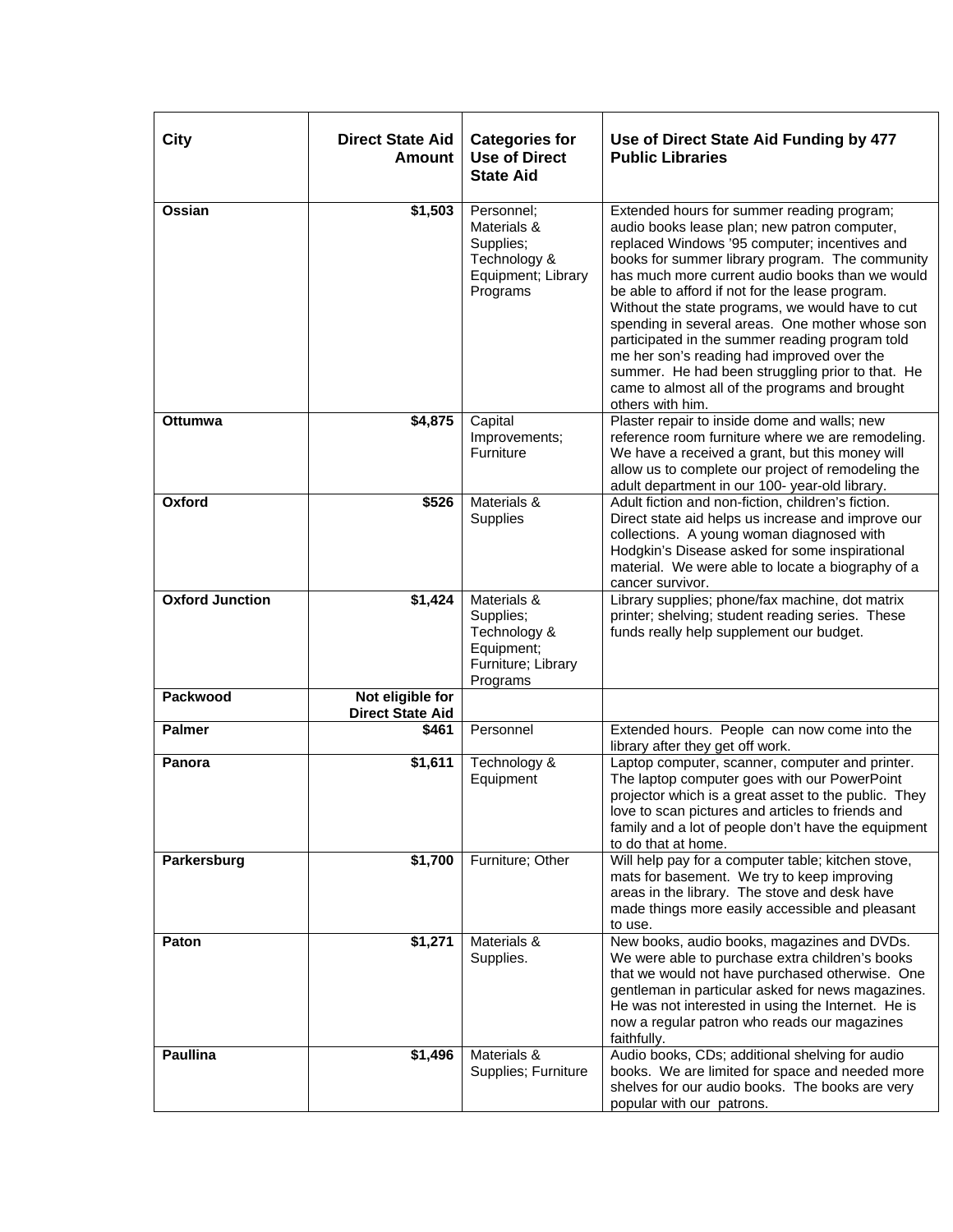| City                   | <b>Direct State Aid</b><br><b>Amount</b>    | <b>Categories for</b><br><b>Use of Direct</b><br><b>State Aid</b>                        | Use of Direct State Aid Funding by 477<br><b>Public Libraries</b>                                                                                                                                                                                                                                                                                                                                                                                                                                                                                                                                                                      |
|------------------------|---------------------------------------------|------------------------------------------------------------------------------------------|----------------------------------------------------------------------------------------------------------------------------------------------------------------------------------------------------------------------------------------------------------------------------------------------------------------------------------------------------------------------------------------------------------------------------------------------------------------------------------------------------------------------------------------------------------------------------------------------------------------------------------------|
| Ossian                 | \$1,503                                     | Personnel:<br>Materials &<br>Supplies;<br>Technology &<br>Equipment; Library<br>Programs | Extended hours for summer reading program;<br>audio books lease plan; new patron computer,<br>replaced Windows '95 computer; incentives and<br>books for summer library program. The community<br>has much more current audio books than we would<br>be able to afford if not for the lease program.<br>Without the state programs, we would have to cut<br>spending in several areas. One mother whose son<br>participated in the summer reading program told<br>me her son's reading had improved over the<br>summer. He had been struggling prior to that. He<br>came to almost all of the programs and brought<br>others with him. |
| <b>Ottumwa</b>         | \$4,875                                     | Capital<br>Improvements;<br>Furniture                                                    | Plaster repair to inside dome and walls; new<br>reference room furniture where we are remodeling.<br>We have a received a grant, but this money will<br>allow us to complete our project of remodeling the<br>adult department in our 100- year-old library.                                                                                                                                                                                                                                                                                                                                                                           |
| Oxford                 | \$526                                       | Materials &<br>Supplies                                                                  | Adult fiction and non-fiction, children's fiction.<br>Direct state aid helps us increase and improve our<br>collections. A young woman diagnosed with<br>Hodgkin's Disease asked for some inspirational<br>material. We were able to locate a biography of a<br>cancer survivor.                                                                                                                                                                                                                                                                                                                                                       |
| <b>Oxford Junction</b> | \$1,424                                     | Materials &<br>Supplies;<br>Technology &<br>Equipment;<br>Furniture; Library<br>Programs | Library supplies; phone/fax machine, dot matrix<br>printer; shelving; student reading series. These<br>funds really help supplement our budget.                                                                                                                                                                                                                                                                                                                                                                                                                                                                                        |
| Packwood               | Not eligible for<br><b>Direct State Aid</b> |                                                                                          |                                                                                                                                                                                                                                                                                                                                                                                                                                                                                                                                                                                                                                        |
| <b>Palmer</b>          | \$461                                       | Personnel                                                                                | Extended hours. People can now come into the<br>library after they get off work.                                                                                                                                                                                                                                                                                                                                                                                                                                                                                                                                                       |
| Panora                 | \$1,611                                     | Technology &<br>Equipment                                                                | Laptop computer, scanner, computer and printer.<br>The laptop computer goes with our PowerPoint<br>projector which is a great asset to the public. They<br>love to scan pictures and articles to friends and<br>family and a lot of people don't have the equipment<br>to do that at home.                                                                                                                                                                                                                                                                                                                                             |
| Parkersburg            | \$1,700                                     | Furniture; Other                                                                         | Will help pay for a computer table; kitchen stove,<br>mats for basement. We try to keep improving<br>areas in the library. The stove and desk have<br>made things more easily accessible and pleasant<br>to use.                                                                                                                                                                                                                                                                                                                                                                                                                       |
| Paton                  | \$1,271                                     | Materials &<br>Supplies.                                                                 | New books, audio books, magazines and DVDs.<br>We were able to purchase extra children's books<br>that we would not have purchased otherwise. One<br>gentleman in particular asked for news magazines.<br>He was not interested in using the Internet. He is<br>now a regular patron who reads our magazines<br>faithfully.                                                                                                                                                                                                                                                                                                            |
| <b>Paullina</b>        | \$1,496                                     | Materials &<br>Supplies; Furniture                                                       | Audio books, CDs; additional shelving for audio<br>books. We are limited for space and needed more<br>shelves for our audio books. The books are very<br>popular with our patrons.                                                                                                                                                                                                                                                                                                                                                                                                                                                     |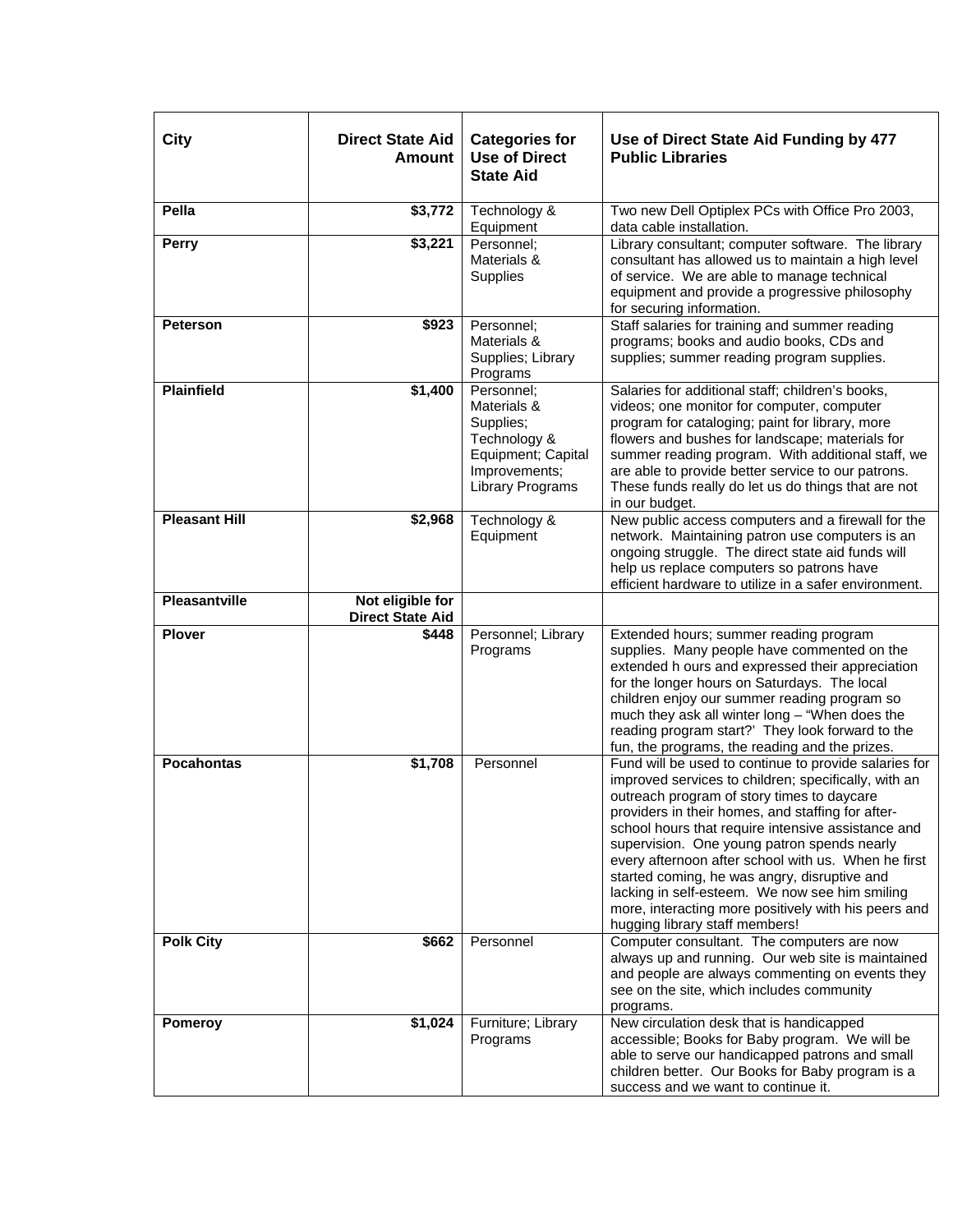| City                 | <b>Direct State Aid</b><br>Amount           | <b>Categories for</b><br><b>Use of Direct</b><br><b>State Aid</b>                                                        | Use of Direct State Aid Funding by 477<br><b>Public Libraries</b>                                                                                                                                                                                                                                                                                                                                                                                                                                                                                                        |
|----------------------|---------------------------------------------|--------------------------------------------------------------------------------------------------------------------------|--------------------------------------------------------------------------------------------------------------------------------------------------------------------------------------------------------------------------------------------------------------------------------------------------------------------------------------------------------------------------------------------------------------------------------------------------------------------------------------------------------------------------------------------------------------------------|
| Pella                | \$3,772                                     | Technology &<br>Equipment                                                                                                | Two new Dell Optiplex PCs with Office Pro 2003,<br>data cable installation.                                                                                                                                                                                                                                                                                                                                                                                                                                                                                              |
| Perry                | \$3,221                                     | Personnel;<br>Materials &<br>Supplies                                                                                    | Library consultant; computer software. The library<br>consultant has allowed us to maintain a high level<br>of service. We are able to manage technical<br>equipment and provide a progressive philosophy<br>for securing information.                                                                                                                                                                                                                                                                                                                                   |
| <b>Peterson</b>      | \$923                                       | Personnel:<br>Materials &<br>Supplies; Library<br>Programs                                                               | Staff salaries for training and summer reading<br>programs; books and audio books, CDs and<br>supplies; summer reading program supplies.                                                                                                                                                                                                                                                                                                                                                                                                                                 |
| <b>Plainfield</b>    | \$1,400                                     | Personnel:<br>Materials &<br>Supplies;<br>Technology &<br>Equipment; Capital<br>Improvements;<br><b>Library Programs</b> | Salaries for additional staff; children's books,<br>videos; one monitor for computer, computer<br>program for cataloging; paint for library, more<br>flowers and bushes for landscape; materials for<br>summer reading program. With additional staff, we<br>are able to provide better service to our patrons.<br>These funds really do let us do things that are not<br>in our budget.                                                                                                                                                                                 |
| <b>Pleasant Hill</b> | \$2,968                                     | Technology &<br>Equipment                                                                                                | New public access computers and a firewall for the<br>network. Maintaining patron use computers is an<br>ongoing struggle. The direct state aid funds will<br>help us replace computers so patrons have<br>efficient hardware to utilize in a safer environment.                                                                                                                                                                                                                                                                                                         |
| <b>Pleasantville</b> | Not eligible for<br><b>Direct State Aid</b> |                                                                                                                          |                                                                                                                                                                                                                                                                                                                                                                                                                                                                                                                                                                          |
| <b>Plover</b>        | \$448                                       | Personnel; Library<br>Programs                                                                                           | Extended hours; summer reading program<br>supplies. Many people have commented on the<br>extended h ours and expressed their appreciation<br>for the longer hours on Saturdays. The local<br>children enjoy our summer reading program so<br>much they ask all winter long - "When does the<br>reading program start?' They look forward to the<br>fun, the programs, the reading and the prizes.                                                                                                                                                                        |
| <b>Pocahontas</b>    | \$1,708                                     | Personnel                                                                                                                | Fund will be used to continue to provide salaries for<br>improved services to children; specifically, with an<br>outreach program of story times to daycare<br>providers in their homes, and staffing for after-<br>school hours that require intensive assistance and<br>supervision. One young patron spends nearly<br>every afternoon after school with us. When he first<br>started coming, he was angry, disruptive and<br>lacking in self-esteem. We now see him smiling<br>more, interacting more positively with his peers and<br>hugging library staff members! |
| <b>Polk City</b>     | \$662                                       | Personnel                                                                                                                | Computer consultant. The computers are now<br>always up and running. Our web site is maintained<br>and people are always commenting on events they<br>see on the site, which includes community<br>programs.                                                                                                                                                                                                                                                                                                                                                             |
| Pomeroy              | \$1,024                                     | Furniture; Library<br>Programs                                                                                           | New circulation desk that is handicapped<br>accessible; Books for Baby program. We will be<br>able to serve our handicapped patrons and small<br>children better. Our Books for Baby program is a<br>success and we want to continue it.                                                                                                                                                                                                                                                                                                                                 |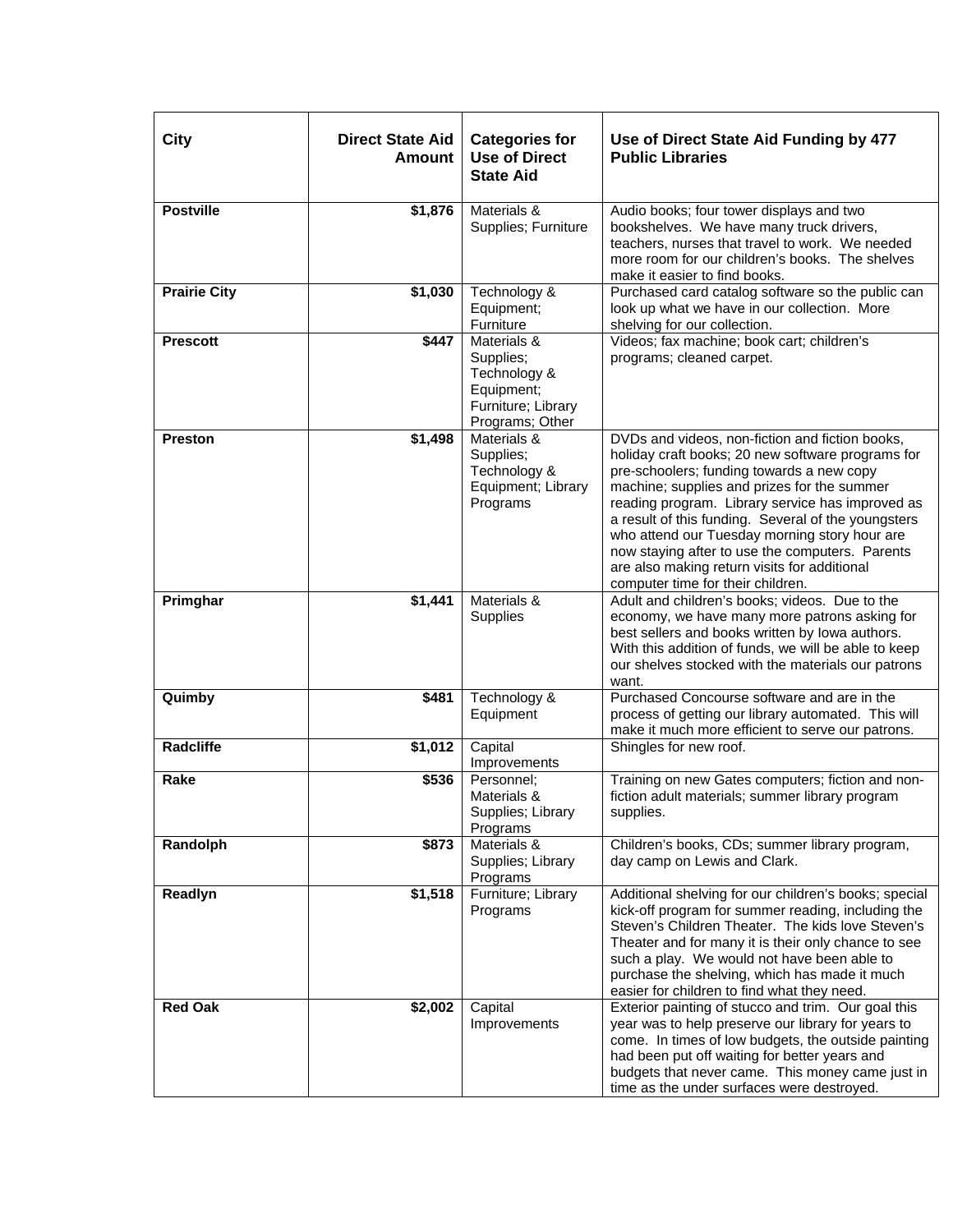| City                | <b>Direct State Aid</b><br><b>Amount</b> | <b>Categories for</b><br><b>Use of Direct</b><br><b>State Aid</b>                               | Use of Direct State Aid Funding by 477<br><b>Public Libraries</b>                                                                                                                                                                                                                                                                                                                                                                                                                                    |
|---------------------|------------------------------------------|-------------------------------------------------------------------------------------------------|------------------------------------------------------------------------------------------------------------------------------------------------------------------------------------------------------------------------------------------------------------------------------------------------------------------------------------------------------------------------------------------------------------------------------------------------------------------------------------------------------|
| <b>Postville</b>    | \$1,876                                  | Materials &<br>Supplies; Furniture                                                              | Audio books; four tower displays and two<br>bookshelves. We have many truck drivers,<br>teachers, nurses that travel to work. We needed<br>more room for our children's books. The shelves<br>make it easier to find books.                                                                                                                                                                                                                                                                          |
| <b>Prairie City</b> | \$1,030                                  | Technology &<br>Equipment;<br>Furniture                                                         | Purchased card catalog software so the public can<br>look up what we have in our collection. More<br>shelving for our collection.                                                                                                                                                                                                                                                                                                                                                                    |
| <b>Prescott</b>     | \$447                                    | Materials &<br>Supplies;<br>Technology &<br>Equipment;<br>Furniture; Library<br>Programs; Other | Videos; fax machine; book cart; children's<br>programs; cleaned carpet.                                                                                                                                                                                                                                                                                                                                                                                                                              |
| <b>Preston</b>      | $\sqrt{$1,498}$                          | Materials &<br>Supplies;<br>Technology &<br>Equipment; Library<br>Programs                      | DVDs and videos, non-fiction and fiction books,<br>holiday craft books; 20 new software programs for<br>pre-schoolers; funding towards a new copy<br>machine; supplies and prizes for the summer<br>reading program. Library service has improved as<br>a result of this funding. Several of the youngsters<br>who attend our Tuesday morning story hour are<br>now staying after to use the computers. Parents<br>are also making return visits for additional<br>computer time for their children. |
| Primghar            | \$1,441                                  | Materials &<br>Supplies                                                                         | Adult and children's books; videos. Due to the<br>economy, we have many more patrons asking for<br>best sellers and books written by lowa authors.<br>With this addition of funds, we will be able to keep<br>our shelves stocked with the materials our patrons<br>want.                                                                                                                                                                                                                            |
| Quimby              | \$481                                    | Technology &<br>Equipment                                                                       | Purchased Concourse software and are in the<br>process of getting our library automated. This will<br>make it much more efficient to serve our patrons.                                                                                                                                                                                                                                                                                                                                              |
| <b>Radcliffe</b>    | \$1,012                                  | Capital<br>Improvements                                                                         | Shingles for new roof.                                                                                                                                                                                                                                                                                                                                                                                                                                                                               |
| Rake                | \$536                                    | Personnel;<br>Materials &<br>Supplies; Library<br>Programs                                      | Training on new Gates computers; fiction and non-<br>fiction adult materials; summer library program<br>supplies.                                                                                                                                                                                                                                                                                                                                                                                    |
| Randolph            | \$873                                    | Materials &<br>Supplies; Library<br>Programs                                                    | Children's books, CDs; summer library program,<br>day camp on Lewis and Clark.                                                                                                                                                                                                                                                                                                                                                                                                                       |
| Readlyn             | \$1,518                                  | Furniture; Library<br>Programs                                                                  | Additional shelving for our children's books; special<br>kick-off program for summer reading, including the<br>Steven's Children Theater. The kids love Steven's<br>Theater and for many it is their only chance to see<br>such a play. We would not have been able to<br>purchase the shelving, which has made it much<br>easier for children to find what they need.                                                                                                                               |
| <b>Red Oak</b>      | \$2,002                                  | Capital<br>Improvements                                                                         | Exterior painting of stucco and trim. Our goal this<br>year was to help preserve our library for years to<br>come. In times of low budgets, the outside painting<br>had been put off waiting for better years and<br>budgets that never came. This money came just in<br>time as the under surfaces were destroyed.                                                                                                                                                                                  |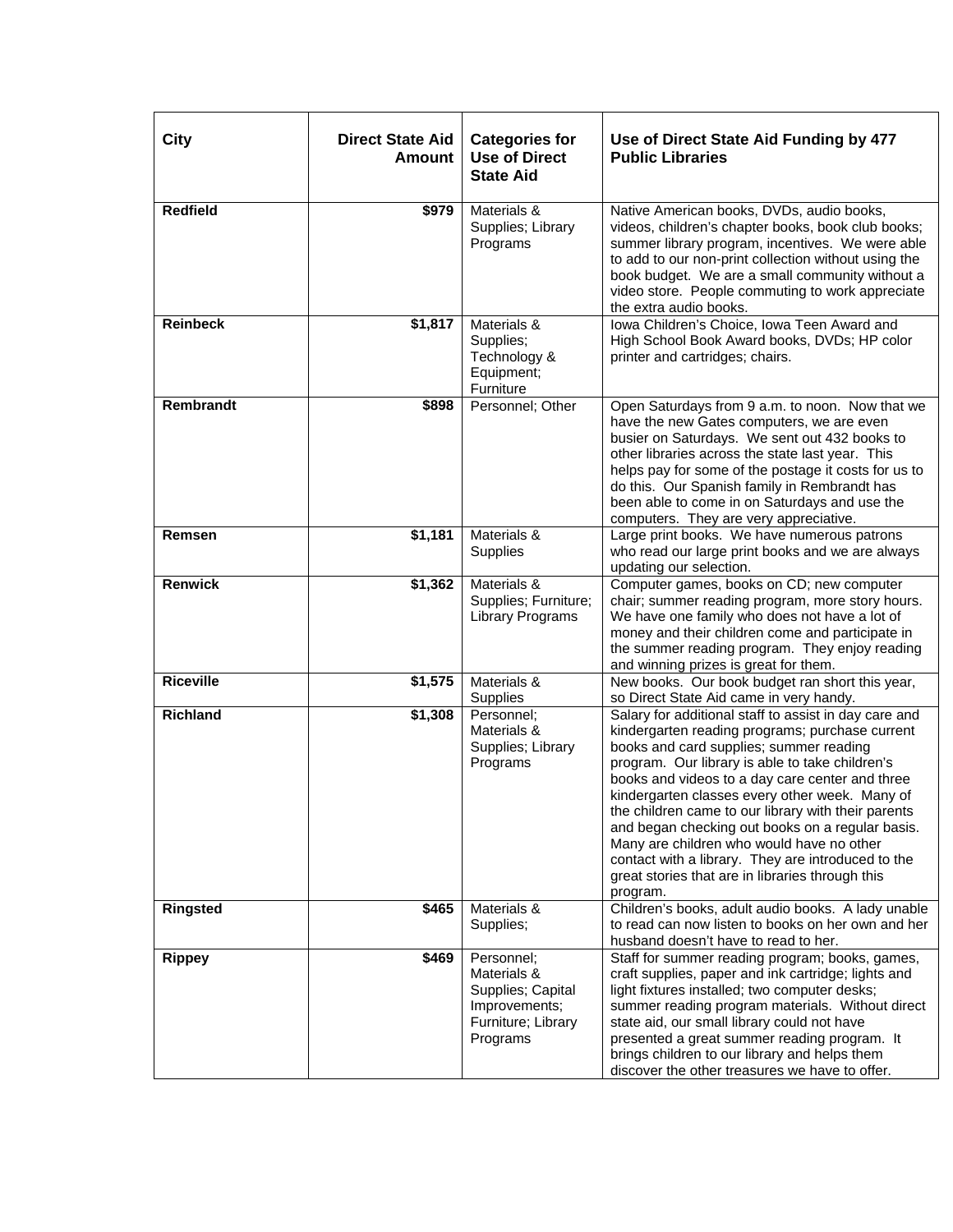| City             | <b>Direct State Aid</b><br><b>Amount</b> | <b>Categories for</b><br><b>Use of Direct</b><br><b>State Aid</b>                                 | Use of Direct State Aid Funding by 477<br><b>Public Libraries</b>                                                                                                                                                                                                                                                                                                                                                                                                                                                                                                                         |
|------------------|------------------------------------------|---------------------------------------------------------------------------------------------------|-------------------------------------------------------------------------------------------------------------------------------------------------------------------------------------------------------------------------------------------------------------------------------------------------------------------------------------------------------------------------------------------------------------------------------------------------------------------------------------------------------------------------------------------------------------------------------------------|
| <b>Redfield</b>  | \$979                                    | Materials &<br>Supplies; Library<br>Programs                                                      | Native American books, DVDs, audio books,<br>videos, children's chapter books, book club books;<br>summer library program, incentives. We were able<br>to add to our non-print collection without using the<br>book budget. We are a small community without a<br>video store. People commuting to work appreciate<br>the extra audio books.                                                                                                                                                                                                                                              |
| <b>Reinbeck</b>  | \$1,817                                  | Materials &<br>Supplies;<br>Technology &<br>Equipment;<br>Furniture                               | Iowa Children's Choice, Iowa Teen Award and<br>High School Book Award books, DVDs; HP color<br>printer and cartridges; chairs.                                                                                                                                                                                                                                                                                                                                                                                                                                                            |
| Rembrandt        | \$898                                    | Personnel; Other                                                                                  | Open Saturdays from 9 a.m. to noon. Now that we<br>have the new Gates computers, we are even<br>busier on Saturdays. We sent out 432 books to<br>other libraries across the state last year. This<br>helps pay for some of the postage it costs for us to<br>do this. Our Spanish family in Rembrandt has<br>been able to come in on Saturdays and use the<br>computers. They are very appreciative.                                                                                                                                                                                      |
| Remsen           | \$1,181                                  | Materials &<br>Supplies                                                                           | Large print books. We have numerous patrons<br>who read our large print books and we are always<br>updating our selection.                                                                                                                                                                                                                                                                                                                                                                                                                                                                |
| <b>Renwick</b>   | \$1,362                                  | Materials &<br>Supplies; Furniture;<br>Library Programs                                           | Computer games, books on CD; new computer<br>chair; summer reading program, more story hours.<br>We have one family who does not have a lot of<br>money and their children come and participate in<br>the summer reading program. They enjoy reading<br>and winning prizes is great for them.                                                                                                                                                                                                                                                                                             |
| <b>Riceville</b> | \$1,575                                  | Materials &<br>Supplies                                                                           | New books. Our book budget ran short this year,<br>so Direct State Aid came in very handy.                                                                                                                                                                                                                                                                                                                                                                                                                                                                                                |
| <b>Richland</b>  | \$1,308                                  | Personnel;<br>Materials &<br>Supplies; Library<br>Programs                                        | Salary for additional staff to assist in day care and<br>kindergarten reading programs; purchase current<br>books and card supplies; summer reading<br>program. Our library is able to take children's<br>books and videos to a day care center and three<br>kindergarten classes every other week. Many of<br>the children came to our library with their parents<br>and began checking out books on a regular basis.<br>Many are children who would have no other<br>contact with a library. They are introduced to the<br>great stories that are in libraries through this<br>program. |
| <b>Ringsted</b>  | \$465                                    | Materials &<br>Supplies;                                                                          | Children's books, adult audio books. A lady unable<br>to read can now listen to books on her own and her<br>husband doesn't have to read to her.                                                                                                                                                                                                                                                                                                                                                                                                                                          |
| <b>Rippey</b>    | \$469                                    | Personnel:<br>Materials &<br>Supplies; Capital<br>Improvements;<br>Furniture; Library<br>Programs | Staff for summer reading program; books, games,<br>craft supplies, paper and ink cartridge; lights and<br>light fixtures installed; two computer desks;<br>summer reading program materials. Without direct<br>state aid, our small library could not have<br>presented a great summer reading program. It<br>brings children to our library and helps them<br>discover the other treasures we have to offer.                                                                                                                                                                             |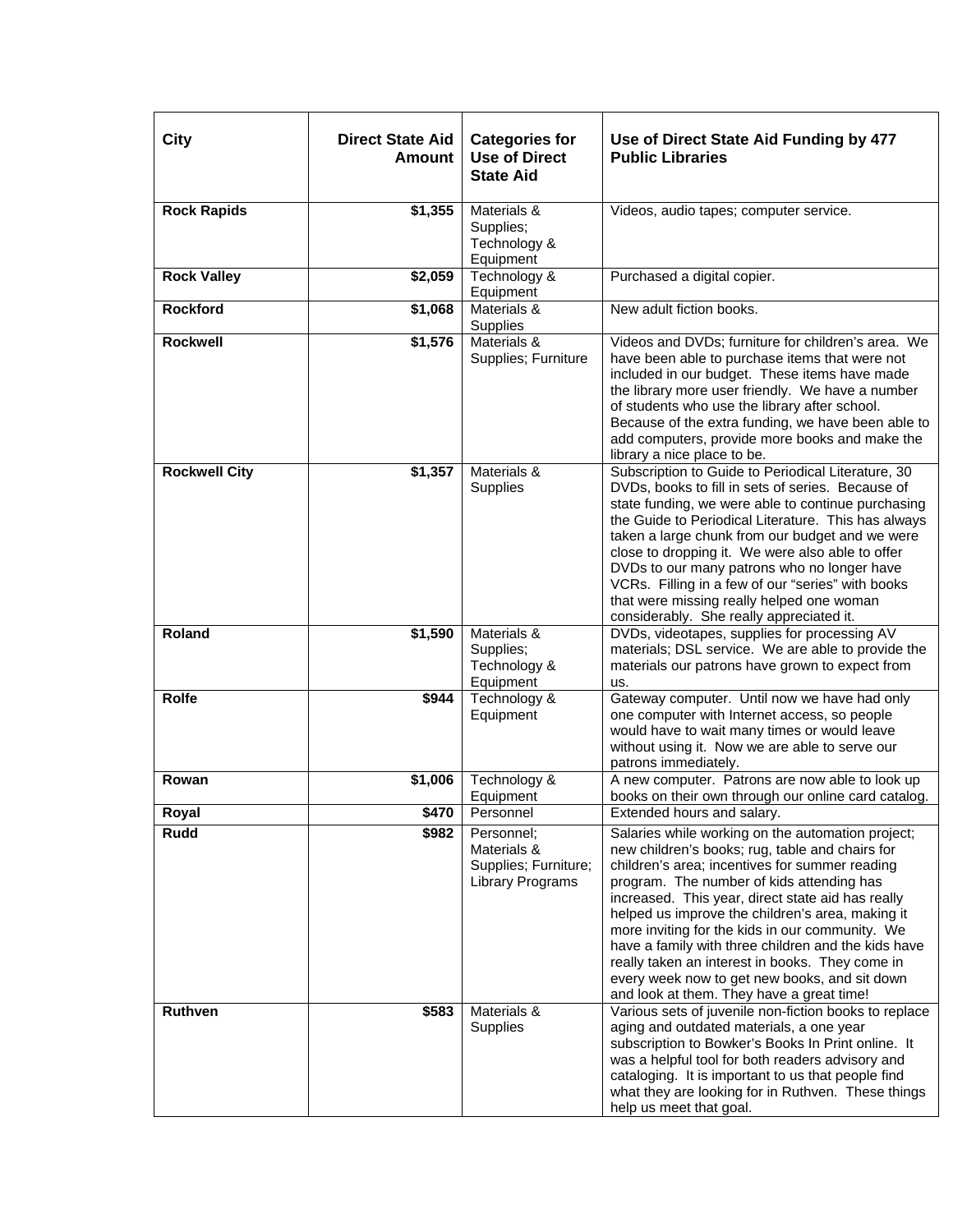| City                 | <b>Direct State Aid</b><br><b>Amount</b> | <b>Categories for</b><br><b>Use of Direct</b><br><b>State Aid</b>     | Use of Direct State Aid Funding by 477<br><b>Public Libraries</b>                                                                                                                                                                                                                                                                                                                                                                                                                                                                                                       |
|----------------------|------------------------------------------|-----------------------------------------------------------------------|-------------------------------------------------------------------------------------------------------------------------------------------------------------------------------------------------------------------------------------------------------------------------------------------------------------------------------------------------------------------------------------------------------------------------------------------------------------------------------------------------------------------------------------------------------------------------|
| <b>Rock Rapids</b>   | \$1,355                                  | Materials &<br>Supplies;<br>Technology &<br>Equipment                 | Videos, audio tapes; computer service.                                                                                                                                                                                                                                                                                                                                                                                                                                                                                                                                  |
| <b>Rock Valley</b>   | \$2,059                                  | Technology &<br>Equipment                                             | Purchased a digital copier.                                                                                                                                                                                                                                                                                                                                                                                                                                                                                                                                             |
| <b>Rockford</b>      | \$1,068                                  | Materials &<br>Supplies                                               | New adult fiction books.                                                                                                                                                                                                                                                                                                                                                                                                                                                                                                                                                |
| <b>Rockwell</b>      | \$1,576                                  | Materials &<br>Supplies; Furniture                                    | Videos and DVDs; furniture for children's area. We<br>have been able to purchase items that were not<br>included in our budget. These items have made<br>the library more user friendly. We have a number<br>of students who use the library after school.<br>Because of the extra funding, we have been able to<br>add computers, provide more books and make the<br>library a nice place to be.                                                                                                                                                                       |
| <b>Rockwell City</b> | \$1,357                                  | Materials &<br>Supplies                                               | Subscription to Guide to Periodical Literature, 30<br>DVDs, books to fill in sets of series. Because of<br>state funding, we were able to continue purchasing<br>the Guide to Periodical Literature. This has always<br>taken a large chunk from our budget and we were<br>close to dropping it. We were also able to offer<br>DVDs to our many patrons who no longer have<br>VCRs. Filling in a few of our "series" with books<br>that were missing really helped one woman<br>considerably. She really appreciated it.                                                |
| Roland               | \$1,590                                  | Materials &<br>Supplies;<br>Technology &<br>Equipment                 | DVDs, videotapes, supplies for processing AV<br>materials; DSL service. We are able to provide the<br>materials our patrons have grown to expect from<br>us.                                                                                                                                                                                                                                                                                                                                                                                                            |
| <b>Rolfe</b>         | \$944                                    | Technology &<br>Equipment                                             | Gateway computer. Until now we have had only<br>one computer with Internet access, so people<br>would have to wait many times or would leave<br>without using it. Now we are able to serve our<br>patrons immediately.                                                                                                                                                                                                                                                                                                                                                  |
| Rowan                | \$1,006                                  | Technology &<br>Equipment                                             | A new computer. Patrons are now able to look up<br>books on their own through our online card catalog.                                                                                                                                                                                                                                                                                                                                                                                                                                                                  |
| Royal                | \$470                                    | Personnel                                                             | Extended hours and salary.                                                                                                                                                                                                                                                                                                                                                                                                                                                                                                                                              |
| Rudd                 | \$982                                    | Personnel;<br>Materials &<br>Supplies; Furniture;<br>Library Programs | Salaries while working on the automation project;<br>new children's books; rug, table and chairs for<br>children's area; incentives for summer reading<br>program. The number of kids attending has<br>increased. This year, direct state aid has really<br>helped us improve the children's area, making it<br>more inviting for the kids in our community. We<br>have a family with three children and the kids have<br>really taken an interest in books. They come in<br>every week now to get new books, and sit down<br>and look at them. They have a great time! |
| Ruthven              | \$583                                    | Materials &<br><b>Supplies</b>                                        | Various sets of juvenile non-fiction books to replace<br>aging and outdated materials, a one year<br>subscription to Bowker's Books In Print online. It<br>was a helpful tool for both readers advisory and<br>cataloging. It is important to us that people find<br>what they are looking for in Ruthven. These things<br>help us meet that goal.                                                                                                                                                                                                                      |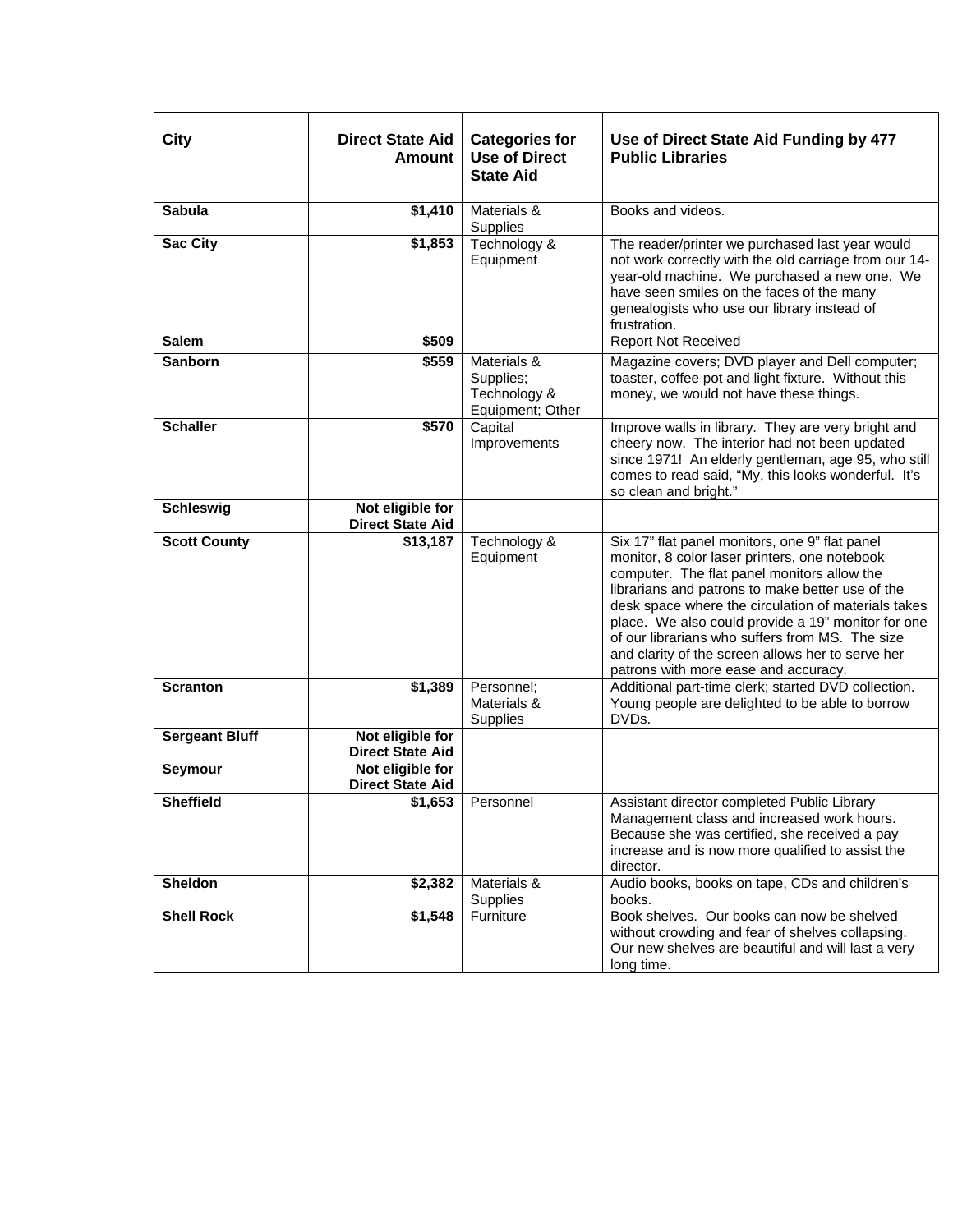| <b>City</b>           | <b>Direct State Aid</b><br>Amount           | <b>Categories for</b><br><b>Use of Direct</b><br><b>State Aid</b> | Use of Direct State Aid Funding by 477<br><b>Public Libraries</b>                                                                                                                                                                                                                                                                                                                                                                                               |
|-----------------------|---------------------------------------------|-------------------------------------------------------------------|-----------------------------------------------------------------------------------------------------------------------------------------------------------------------------------------------------------------------------------------------------------------------------------------------------------------------------------------------------------------------------------------------------------------------------------------------------------------|
| <b>Sabula</b>         | \$1,410                                     | Materials &<br>Supplies                                           | Books and videos.                                                                                                                                                                                                                                                                                                                                                                                                                                               |
| <b>Sac City</b>       | \$1,853                                     | Technology &<br>Equipment                                         | The reader/printer we purchased last year would<br>not work correctly with the old carriage from our 14-<br>year-old machine. We purchased a new one. We<br>have seen smiles on the faces of the many<br>genealogists who use our library instead of<br>frustration.                                                                                                                                                                                            |
| <b>Salem</b>          | \$509                                       |                                                                   | <b>Report Not Received</b>                                                                                                                                                                                                                                                                                                                                                                                                                                      |
| <b>Sanborn</b>        | \$559                                       | Materials &<br>Supplies;<br>Technology &<br>Equipment; Other      | Magazine covers; DVD player and Dell computer;<br>toaster, coffee pot and light fixture. Without this<br>money, we would not have these things.                                                                                                                                                                                                                                                                                                                 |
| <b>Schaller</b>       | \$570                                       | Capital<br>Improvements                                           | Improve walls in library. They are very bright and<br>cheery now. The interior had not been updated<br>since 1971! An elderly gentleman, age 95, who still<br>comes to read said, "My, this looks wonderful. It's<br>so clean and bright."                                                                                                                                                                                                                      |
| <b>Schleswig</b>      | Not eligible for<br><b>Direct State Aid</b> |                                                                   |                                                                                                                                                                                                                                                                                                                                                                                                                                                                 |
| <b>Scott County</b>   | \$13,187                                    | Technology &<br>Equipment                                         | Six 17" flat panel monitors, one 9" flat panel<br>monitor, 8 color laser printers, one notebook<br>computer. The flat panel monitors allow the<br>librarians and patrons to make better use of the<br>desk space where the circulation of materials takes<br>place. We also could provide a 19" monitor for one<br>of our librarians who suffers from MS. The size<br>and clarity of the screen allows her to serve her<br>patrons with more ease and accuracy. |
| <b>Scranton</b>       | \$1,389                                     | Personnel:<br>Materials &<br>Supplies                             | Additional part-time clerk; started DVD collection.<br>Young people are delighted to be able to borrow<br>DVDs.                                                                                                                                                                                                                                                                                                                                                 |
| <b>Sergeant Bluff</b> | Not eligible for<br><b>Direct State Aid</b> |                                                                   |                                                                                                                                                                                                                                                                                                                                                                                                                                                                 |
| Seymour               | Not eligible for<br><b>Direct State Aid</b> |                                                                   |                                                                                                                                                                                                                                                                                                                                                                                                                                                                 |
| <b>Sheffield</b>      | \$1,653                                     | Personnel                                                         | Assistant director completed Public Library<br>Management class and increased work hours.<br>Because she was certified, she received a pay<br>increase and is now more qualified to assist the<br>director.                                                                                                                                                                                                                                                     |
| Sheldon               | \$2,382                                     | Materials &<br>Supplies                                           | Audio books, books on tape, CDs and children's<br>books.                                                                                                                                                                                                                                                                                                                                                                                                        |
| <b>Shell Rock</b>     | \$1,548                                     | Furniture                                                         | Book shelves. Our books can now be shelved<br>without crowding and fear of shelves collapsing.<br>Our new shelves are beautiful and will last a very<br>long time.                                                                                                                                                                                                                                                                                              |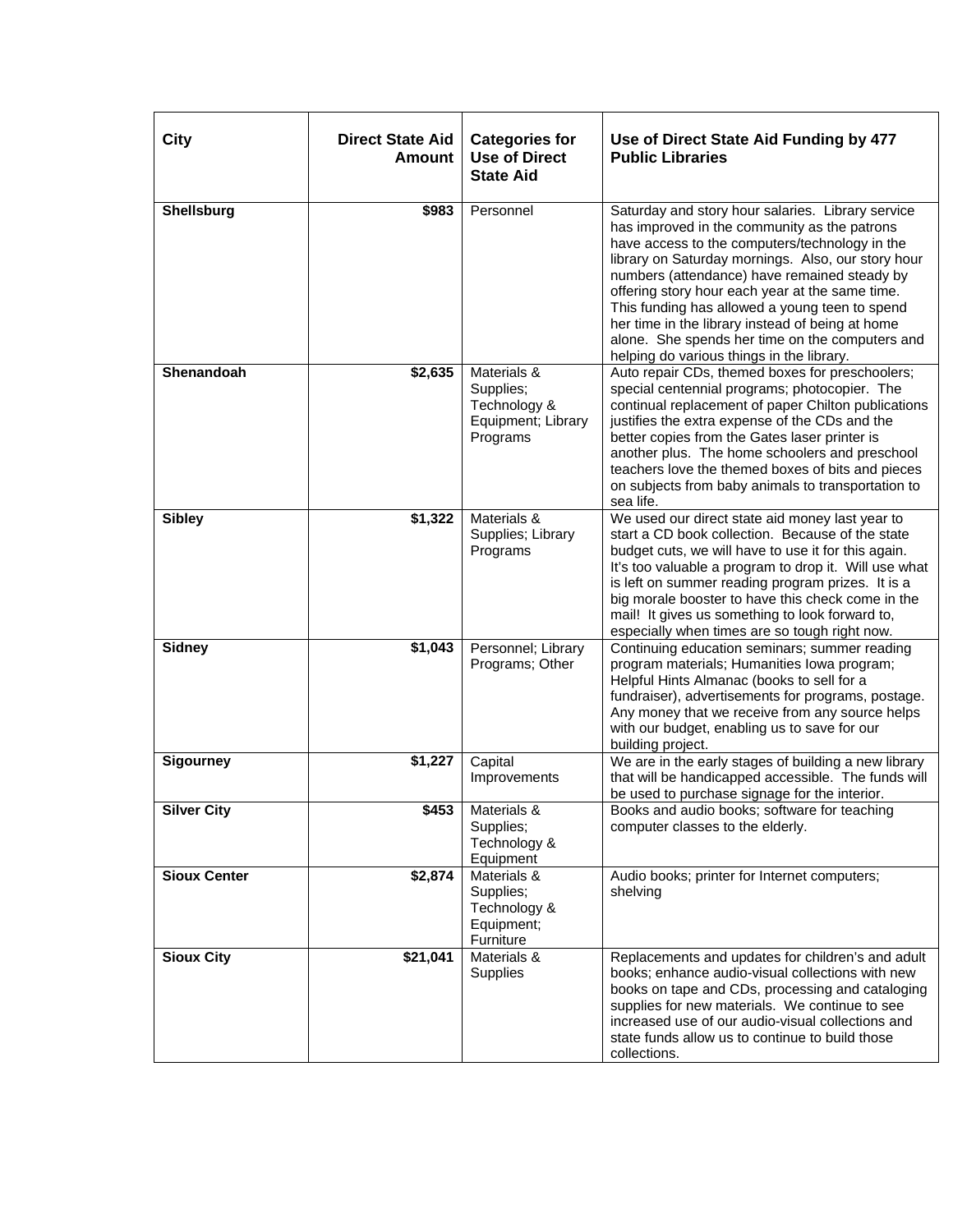| City                | <b>Direct State Aid</b><br><b>Amount</b> | <b>Categories for</b><br><b>Use of Direct</b><br><b>State Aid</b>          | Use of Direct State Aid Funding by 477<br><b>Public Libraries</b>                                                                                                                                                                                                                                                                                                                                                                                                                                                  |
|---------------------|------------------------------------------|----------------------------------------------------------------------------|--------------------------------------------------------------------------------------------------------------------------------------------------------------------------------------------------------------------------------------------------------------------------------------------------------------------------------------------------------------------------------------------------------------------------------------------------------------------------------------------------------------------|
| Shellsburg          | \$983                                    | Personnel                                                                  | Saturday and story hour salaries. Library service<br>has improved in the community as the patrons<br>have access to the computers/technology in the<br>library on Saturday mornings. Also, our story hour<br>numbers (attendance) have remained steady by<br>offering story hour each year at the same time.<br>This funding has allowed a young teen to spend<br>her time in the library instead of being at home<br>alone. She spends her time on the computers and<br>helping do various things in the library. |
| Shenandoah          | \$2,635                                  | Materials &<br>Supplies;<br>Technology &<br>Equipment; Library<br>Programs | Auto repair CDs, themed boxes for preschoolers;<br>special centennial programs; photocopier. The<br>continual replacement of paper Chilton publications<br>justifies the extra expense of the CDs and the<br>better copies from the Gates laser printer is<br>another plus. The home schoolers and preschool<br>teachers love the themed boxes of bits and pieces<br>on subjects from baby animals to transportation to<br>sea life.                                                                               |
| <b>Sibley</b>       | \$1,322                                  | Materials &<br>Supplies; Library<br>Programs                               | We used our direct state aid money last year to<br>start a CD book collection. Because of the state<br>budget cuts, we will have to use it for this again.<br>It's too valuable a program to drop it. Will use what<br>is left on summer reading program prizes. It is a<br>big morale booster to have this check come in the<br>mail! It gives us something to look forward to,<br>especially when times are so tough right now.                                                                                  |
| <b>Sidney</b>       | \$1,043                                  | Personnel; Library<br>Programs; Other                                      | Continuing education seminars; summer reading<br>program materials; Humanities Iowa program;<br>Helpful Hints Almanac (books to sell for a<br>fundraiser), advertisements for programs, postage.<br>Any money that we receive from any source helps<br>with our budget, enabling us to save for our<br>building project.                                                                                                                                                                                           |
| <b>Sigourney</b>    | \$1,227                                  | Capital<br>Improvements                                                    | We are in the early stages of building a new library<br>that will be handicapped accessible. The funds will<br>be used to purchase signage for the interior.                                                                                                                                                                                                                                                                                                                                                       |
| <b>Silver City</b>  | \$453                                    | Materials &<br>Supplies;<br>Technology &<br>Equipment                      | Books and audio books; software for teaching<br>computer classes to the elderly.                                                                                                                                                                                                                                                                                                                                                                                                                                   |
| <b>Sioux Center</b> | \$2,874                                  | Materials &<br>Supplies;<br>Technology &<br>Equipment;<br>Furniture        | Audio books; printer for Internet computers;<br>shelving                                                                                                                                                                                                                                                                                                                                                                                                                                                           |
| <b>Sioux City</b>   | $\sqrt{$21,041}$                         | Materials &<br>Supplies                                                    | Replacements and updates for children's and adult<br>books; enhance audio-visual collections with new<br>books on tape and CDs, processing and cataloging<br>supplies for new materials. We continue to see<br>increased use of our audio-visual collections and<br>state funds allow us to continue to build those<br>collections.                                                                                                                                                                                |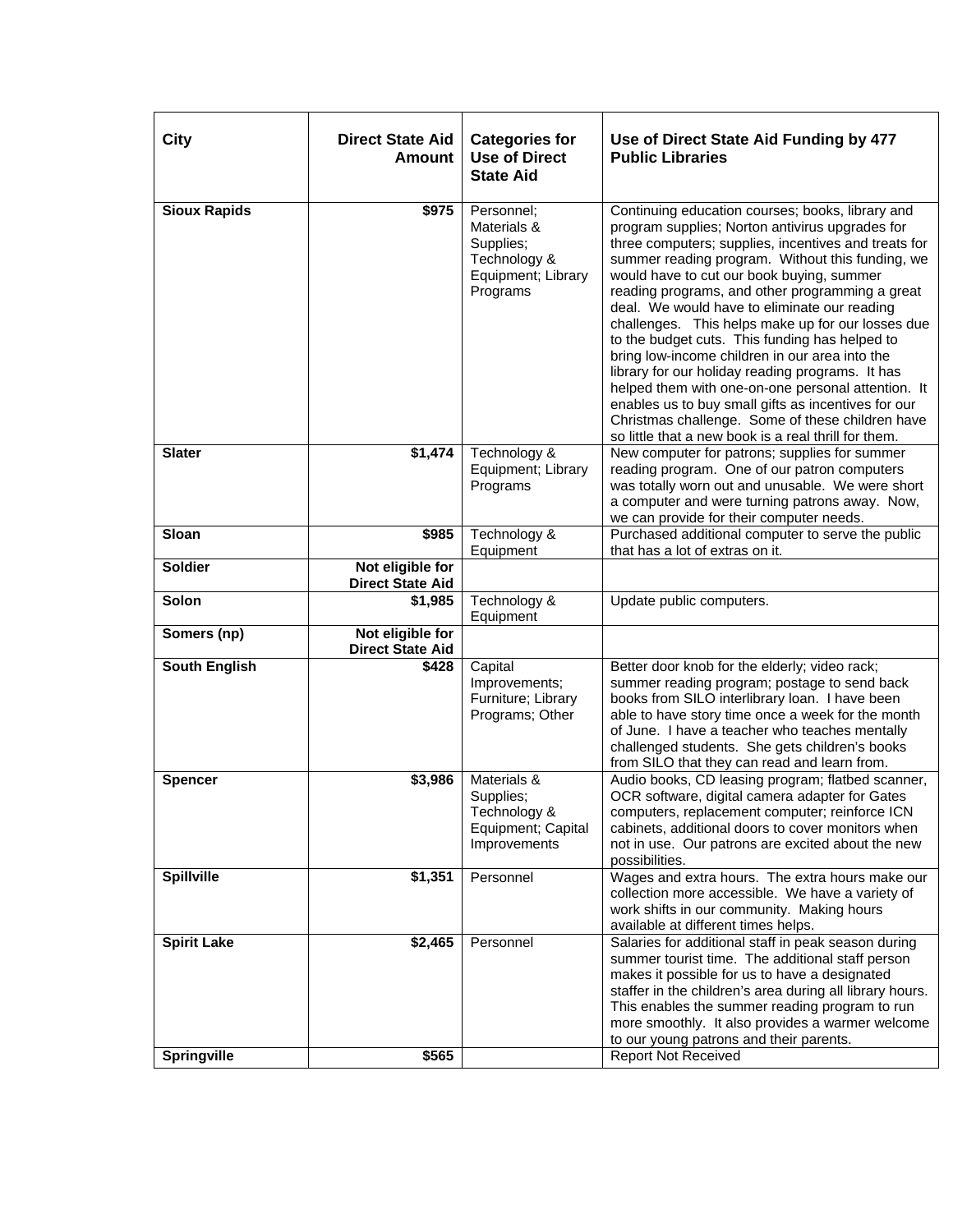| City                                     | <b>Direct State Aid</b><br><b>Amount</b>    | <b>Categories for</b><br><b>Use of Direct</b><br><b>State Aid</b>                        | Use of Direct State Aid Funding by 477<br><b>Public Libraries</b>                                                                                                                                                                                                                                                                                                                                                                                                                                                                                                                                                                                                                                                                                                                                     |
|------------------------------------------|---------------------------------------------|------------------------------------------------------------------------------------------|-------------------------------------------------------------------------------------------------------------------------------------------------------------------------------------------------------------------------------------------------------------------------------------------------------------------------------------------------------------------------------------------------------------------------------------------------------------------------------------------------------------------------------------------------------------------------------------------------------------------------------------------------------------------------------------------------------------------------------------------------------------------------------------------------------|
| <b>Sioux Rapids</b>                      | \$975                                       | Personnel;<br>Materials &<br>Supplies;<br>Technology &<br>Equipment; Library<br>Programs | Continuing education courses; books, library and<br>program supplies; Norton antivirus upgrades for<br>three computers; supplies, incentives and treats for<br>summer reading program. Without this funding, we<br>would have to cut our book buying, summer<br>reading programs, and other programming a great<br>deal. We would have to eliminate our reading<br>challenges. This helps make up for our losses due<br>to the budget cuts. This funding has helped to<br>bring low-income children in our area into the<br>library for our holiday reading programs. It has<br>helped them with one-on-one personal attention. It<br>enables us to buy small gifts as incentives for our<br>Christmas challenge. Some of these children have<br>so little that a new book is a real thrill for them. |
| <b>Slater</b>                            | \$1,474                                     | Technology &<br>Equipment; Library<br>Programs                                           | New computer for patrons; supplies for summer<br>reading program. One of our patron computers<br>was totally worn out and unusable. We were short<br>a computer and were turning patrons away. Now,<br>we can provide for their computer needs.                                                                                                                                                                                                                                                                                                                                                                                                                                                                                                                                                       |
| Sloan                                    | \$985                                       | Technology &<br>Equipment                                                                | Purchased additional computer to serve the public<br>that has a lot of extras on it.                                                                                                                                                                                                                                                                                                                                                                                                                                                                                                                                                                                                                                                                                                                  |
| <b>Soldier</b>                           | Not eligible for<br><b>Direct State Aid</b> |                                                                                          |                                                                                                                                                                                                                                                                                                                                                                                                                                                                                                                                                                                                                                                                                                                                                                                                       |
| Solon                                    | \$1,985                                     | Technology &<br>Equipment                                                                | Update public computers.                                                                                                                                                                                                                                                                                                                                                                                                                                                                                                                                                                                                                                                                                                                                                                              |
| Somers (np)                              | Not eligible for<br><b>Direct State Aid</b> |                                                                                          |                                                                                                                                                                                                                                                                                                                                                                                                                                                                                                                                                                                                                                                                                                                                                                                                       |
| <b>South English</b>                     | \$428                                       | Capital<br>Improvements;<br>Furniture; Library<br>Programs; Other                        | Better door knob for the elderly; video rack;<br>summer reading program; postage to send back<br>books from SILO interlibrary loan. I have been<br>able to have story time once a week for the month<br>of June. I have a teacher who teaches mentally<br>challenged students. She gets children's books<br>from SILO that they can read and learn from.                                                                                                                                                                                                                                                                                                                                                                                                                                              |
| <b>Spencer</b>                           | \$3,986                                     | Materials &<br>Supplies;<br>Technology &<br>Equipment; Capital<br>Improvements           | Audio books, CD leasing program; flatbed scanner,<br>OCR software, digital camera adapter for Gates<br>computers, replacement computer; reinforce ICN<br>cabinets, additional doors to cover monitors when<br>not in use. Our patrons are excited about the new<br>possibilities.                                                                                                                                                                                                                                                                                                                                                                                                                                                                                                                     |
| <b>Spillville</b>                        | \$1,351                                     | Personnel                                                                                | Wages and extra hours. The extra hours make our<br>collection more accessible. We have a variety of<br>work shifts in our community. Making hours<br>available at different times helps.                                                                                                                                                                                                                                                                                                                                                                                                                                                                                                                                                                                                              |
| <b>Spirit Lake</b><br><b>Springville</b> | \$2,465<br>\$565                            | Personnel                                                                                | Salaries for additional staff in peak season during<br>summer tourist time. The additional staff person<br>makes it possible for us to have a designated<br>staffer in the children's area during all library hours.<br>This enables the summer reading program to run<br>more smoothly. It also provides a warmer welcome<br>to our young patrons and their parents.<br><b>Report Not Received</b>                                                                                                                                                                                                                                                                                                                                                                                                   |
|                                          |                                             |                                                                                          |                                                                                                                                                                                                                                                                                                                                                                                                                                                                                                                                                                                                                                                                                                                                                                                                       |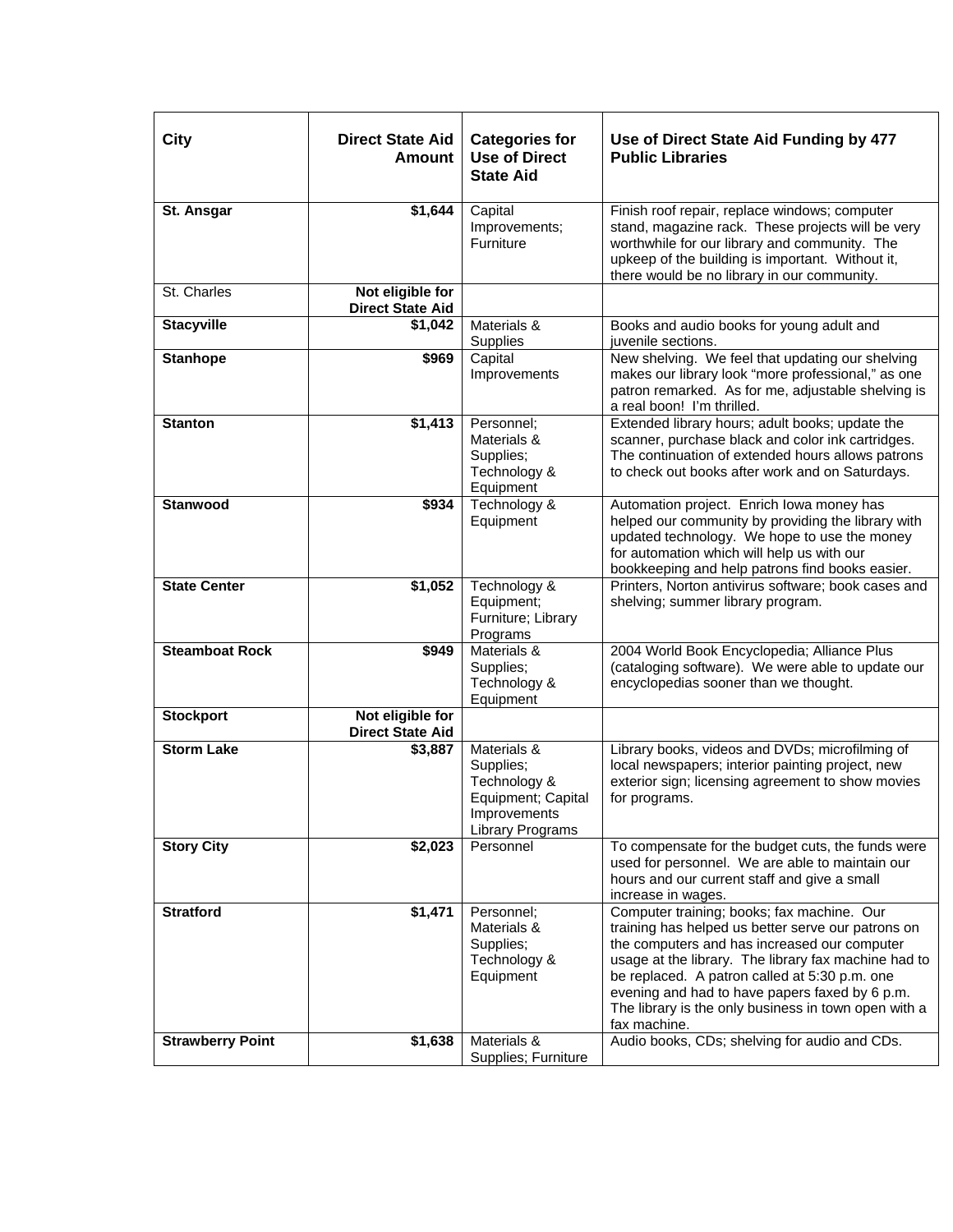| City                    | <b>Direct State Aid</b><br><b>Amount</b>    | <b>Categories for</b><br><b>Use of Direct</b><br><b>State Aid</b>                                         | Use of Direct State Aid Funding by 477<br><b>Public Libraries</b>                                                                                                                                                                                                                                                                                                                   |
|-------------------------|---------------------------------------------|-----------------------------------------------------------------------------------------------------------|-------------------------------------------------------------------------------------------------------------------------------------------------------------------------------------------------------------------------------------------------------------------------------------------------------------------------------------------------------------------------------------|
| St. Ansgar              | \$1,644                                     | Capital<br>Improvements;<br>Furniture                                                                     | Finish roof repair, replace windows; computer<br>stand, magazine rack. These projects will be very<br>worthwhile for our library and community. The<br>upkeep of the building is important. Without it,<br>there would be no library in our community.                                                                                                                              |
| St. Charles             | Not eligible for<br><b>Direct State Aid</b> |                                                                                                           |                                                                                                                                                                                                                                                                                                                                                                                     |
| <b>Stacyville</b>       | \$1,042                                     | Materials &<br>Supplies                                                                                   | Books and audio books for young adult and<br>juvenile sections.                                                                                                                                                                                                                                                                                                                     |
| <b>Stanhope</b>         | \$969                                       | Capital<br>Improvements                                                                                   | New shelving. We feel that updating our shelving<br>makes our library look "more professional," as one<br>patron remarked. As for me, adjustable shelving is<br>a real boon! I'm thrilled.                                                                                                                                                                                          |
| <b>Stanton</b>          | \$1,413                                     | Personnel;<br>Materials &<br>Supplies;<br>Technology &<br>Equipment                                       | Extended library hours; adult books; update the<br>scanner, purchase black and color ink cartridges.<br>The continuation of extended hours allows patrons<br>to check out books after work and on Saturdays.                                                                                                                                                                        |
| <b>Stanwood</b>         | \$934                                       | Technology &<br>Equipment                                                                                 | Automation project. Enrich lowa money has<br>helped our community by providing the library with<br>updated technology. We hope to use the money<br>for automation which will help us with our<br>bookkeeping and help patrons find books easier.                                                                                                                                    |
| <b>State Center</b>     | $\overline{$}1,052$                         | Technology &<br>Equipment;<br>Furniture; Library<br>Programs                                              | Printers, Norton antivirus software; book cases and<br>shelving; summer library program.                                                                                                                                                                                                                                                                                            |
| <b>Steamboat Rock</b>   | \$949                                       | Materials &<br>Supplies;<br>Technology &<br>Equipment                                                     | 2004 World Book Encyclopedia; Alliance Plus<br>(cataloging software). We were able to update our<br>encyclopedias sooner than we thought.                                                                                                                                                                                                                                           |
| <b>Stockport</b>        | Not eligible for<br><b>Direct State Aid</b> |                                                                                                           |                                                                                                                                                                                                                                                                                                                                                                                     |
| <b>Storm Lake</b>       | \$3,887                                     | Materials &<br>Supplies;<br>Technology &<br>Equipment; Capital<br>Improvements<br><b>Library Programs</b> | Library books, videos and DVDs; microfilming of<br>local newspapers; interior painting project, new<br>exterior sign; licensing agreement to show movies<br>for programs.                                                                                                                                                                                                           |
| <b>Story City</b>       | \$2,023                                     | Personnel                                                                                                 | To compensate for the budget cuts, the funds were<br>used for personnel. We are able to maintain our<br>hours and our current staff and give a small<br>increase in wages.                                                                                                                                                                                                          |
| <b>Stratford</b>        | \$1,471                                     | Personnel;<br>Materials &<br>Supplies;<br>Technology &<br>Equipment                                       | Computer training; books; fax machine. Our<br>training has helped us better serve our patrons on<br>the computers and has increased our computer<br>usage at the library. The library fax machine had to<br>be replaced. A patron called at 5:30 p.m. one<br>evening and had to have papers faxed by 6 p.m.<br>The library is the only business in town open with a<br>fax machine. |
| <b>Strawberry Point</b> | \$1,638                                     | Materials &<br>Supplies; Furniture                                                                        | Audio books, CDs; shelving for audio and CDs.                                                                                                                                                                                                                                                                                                                                       |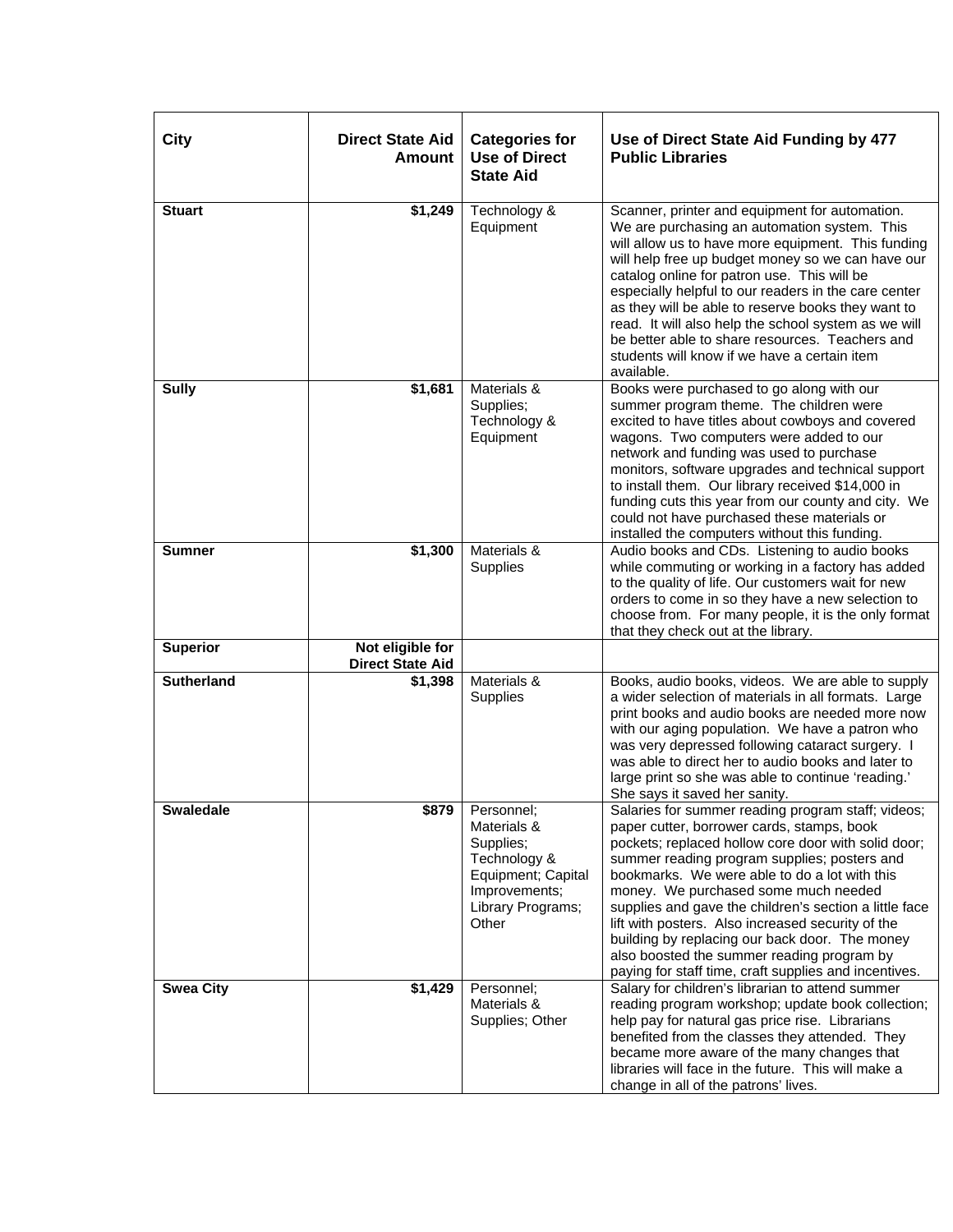| <b>City</b>       | <b>Direct State Aid</b><br><b>Amount</b>    | <b>Categories for</b><br><b>Use of Direct</b><br><b>State Aid</b>                                                           | Use of Direct State Aid Funding by 477<br><b>Public Libraries</b>                                                                                                                                                                                                                                                                                                                                                                                                                                                                                                        |
|-------------------|---------------------------------------------|-----------------------------------------------------------------------------------------------------------------------------|--------------------------------------------------------------------------------------------------------------------------------------------------------------------------------------------------------------------------------------------------------------------------------------------------------------------------------------------------------------------------------------------------------------------------------------------------------------------------------------------------------------------------------------------------------------------------|
| <b>Stuart</b>     | \$1,249                                     | Technology &<br>Equipment                                                                                                   | Scanner, printer and equipment for automation.<br>We are purchasing an automation system. This<br>will allow us to have more equipment. This funding<br>will help free up budget money so we can have our<br>catalog online for patron use. This will be<br>especially helpful to our readers in the care center<br>as they will be able to reserve books they want to<br>read. It will also help the school system as we will<br>be better able to share resources. Teachers and<br>students will know if we have a certain item<br>available.                          |
| <b>Sully</b>      | \$1,681                                     | Materials &<br>Supplies;<br>Technology &<br>Equipment                                                                       | Books were purchased to go along with our<br>summer program theme. The children were<br>excited to have titles about cowboys and covered<br>wagons. Two computers were added to our<br>network and funding was used to purchase<br>monitors, software upgrades and technical support<br>to install them. Our library received \$14,000 in<br>funding cuts this year from our county and city. We<br>could not have purchased these materials or<br>installed the computers without this funding.                                                                         |
| <b>Sumner</b>     | \$1,300                                     | Materials &<br>Supplies                                                                                                     | Audio books and CDs. Listening to audio books<br>while commuting or working in a factory has added<br>to the quality of life. Our customers wait for new<br>orders to come in so they have a new selection to<br>choose from. For many people, it is the only format<br>that they check out at the library.                                                                                                                                                                                                                                                              |
| <b>Superior</b>   | Not eligible for<br><b>Direct State Aid</b> |                                                                                                                             |                                                                                                                                                                                                                                                                                                                                                                                                                                                                                                                                                                          |
| <b>Sutherland</b> | \$1,398                                     | Materials &<br>Supplies                                                                                                     | Books, audio books, videos. We are able to supply<br>a wider selection of materials in all formats. Large<br>print books and audio books are needed more now<br>with our aging population. We have a patron who<br>was very depressed following cataract surgery. I<br>was able to direct her to audio books and later to<br>large print so she was able to continue 'reading.'<br>She says it saved her sanity.                                                                                                                                                         |
| <b>Swaledale</b>  | \$879                                       | Personnel;<br>Materials &<br>Supplies;<br>Technology &<br>Equipment; Capital<br>Improvements;<br>Library Programs;<br>Other | Salaries for summer reading program staff; videos;<br>paper cutter, borrower cards, stamps, book<br>pockets; replaced hollow core door with solid door;<br>summer reading program supplies; posters and<br>bookmarks. We were able to do a lot with this<br>money. We purchased some much needed<br>supplies and gave the children's section a little face<br>lift with posters. Also increased security of the<br>building by replacing our back door. The money<br>also boosted the summer reading program by<br>paying for staff time, craft supplies and incentives. |
| <b>Swea City</b>  | \$1,429                                     | Personnel;<br>Materials &<br>Supplies; Other                                                                                | Salary for children's librarian to attend summer<br>reading program workshop; update book collection;<br>help pay for natural gas price rise. Librarians<br>benefited from the classes they attended. They<br>became more aware of the many changes that<br>libraries will face in the future. This will make a<br>change in all of the patrons' lives.                                                                                                                                                                                                                  |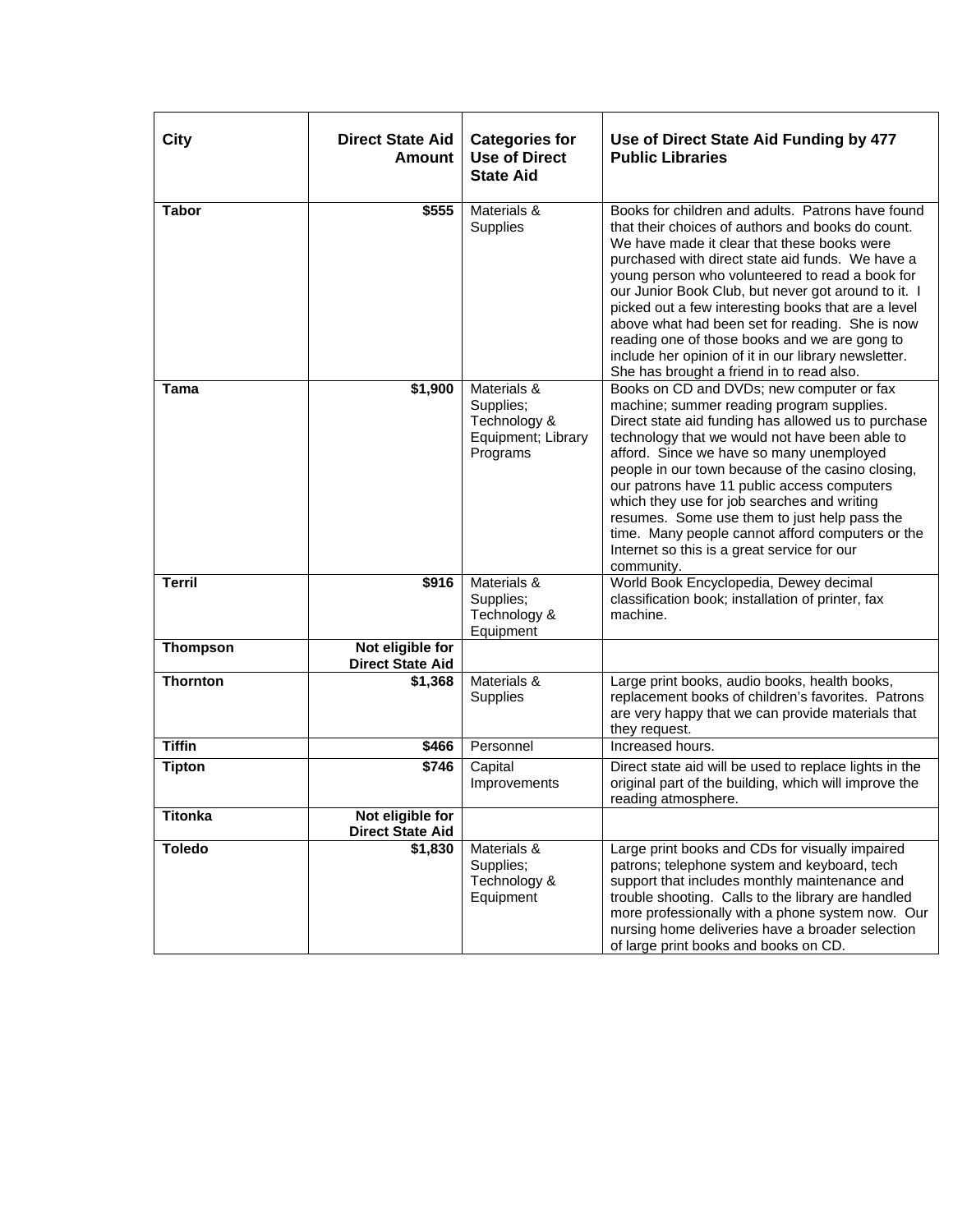| City            | <b>Direct State Aid</b><br><b>Amount</b>    | <b>Categories for</b><br><b>Use of Direct</b><br><b>State Aid</b>          | Use of Direct State Aid Funding by 477<br><b>Public Libraries</b>                                                                                                                                                                                                                                                                                                                                                                                                                                                                                                                   |
|-----------------|---------------------------------------------|----------------------------------------------------------------------------|-------------------------------------------------------------------------------------------------------------------------------------------------------------------------------------------------------------------------------------------------------------------------------------------------------------------------------------------------------------------------------------------------------------------------------------------------------------------------------------------------------------------------------------------------------------------------------------|
| <b>Tabor</b>    | \$555                                       | Materials &<br>Supplies                                                    | Books for children and adults. Patrons have found<br>that their choices of authors and books do count.<br>We have made it clear that these books were<br>purchased with direct state aid funds. We have a<br>young person who volunteered to read a book for<br>our Junior Book Club, but never got around to it. I<br>picked out a few interesting books that are a level<br>above what had been set for reading. She is now<br>reading one of those books and we are gong to<br>include her opinion of it in our library newsletter.<br>She has brought a friend in to read also. |
| Tama            | \$1,900                                     | Materials &<br>Supplies;<br>Technology &<br>Equipment; Library<br>Programs | Books on CD and DVDs; new computer or fax<br>machine; summer reading program supplies.<br>Direct state aid funding has allowed us to purchase<br>technology that we would not have been able to<br>afford. Since we have so many unemployed<br>people in our town because of the casino closing,<br>our patrons have 11 public access computers<br>which they use for job searches and writing<br>resumes. Some use them to just help pass the<br>time. Many people cannot afford computers or the<br>Internet so this is a great service for our<br>community.                     |
| <b>Terril</b>   | \$916                                       | Materials &<br>Supplies;<br>Technology &<br>Equipment                      | World Book Encyclopedia, Dewey decimal<br>classification book; installation of printer, fax<br>machine.                                                                                                                                                                                                                                                                                                                                                                                                                                                                             |
| <b>Thompson</b> | Not eligible for<br><b>Direct State Aid</b> |                                                                            |                                                                                                                                                                                                                                                                                                                                                                                                                                                                                                                                                                                     |
| <b>Thornton</b> | \$1,368                                     | Materials &<br>Supplies                                                    | Large print books, audio books, health books,<br>replacement books of children's favorites. Patrons<br>are very happy that we can provide materials that<br>they request.                                                                                                                                                                                                                                                                                                                                                                                                           |
| <b>Tiffin</b>   | \$466                                       | Personnel                                                                  | Increased hours.                                                                                                                                                                                                                                                                                                                                                                                                                                                                                                                                                                    |
| <b>Tipton</b>   | \$746                                       | Capital<br>Improvements                                                    | Direct state aid will be used to replace lights in the<br>original part of the building, which will improve the<br>reading atmosphere.                                                                                                                                                                                                                                                                                                                                                                                                                                              |
| Titonka         | Not eligible for<br><b>Direct State Aid</b> |                                                                            |                                                                                                                                                                                                                                                                                                                                                                                                                                                                                                                                                                                     |
| <b>Toledo</b>   | \$1,830                                     | Materials &<br>Supplies;<br>Technology &<br>Equipment                      | Large print books and CDs for visually impaired<br>patrons; telephone system and keyboard, tech<br>support that includes monthly maintenance and<br>trouble shooting. Calls to the library are handled<br>more professionally with a phone system now. Our<br>nursing home deliveries have a broader selection<br>of large print books and books on CD.                                                                                                                                                                                                                             |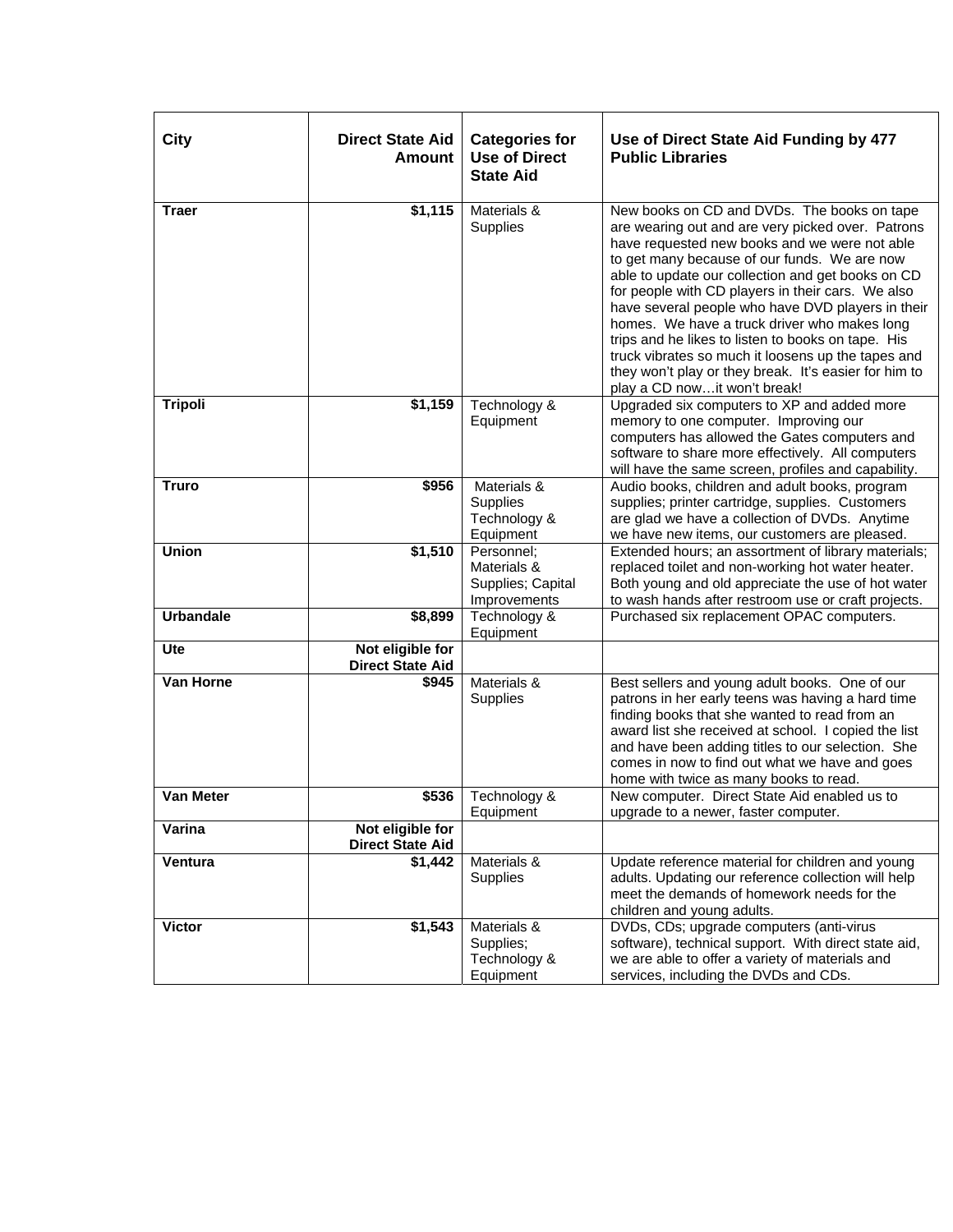| <b>City</b>      | <b>Direct State Aid</b><br><b>Amount</b>    | <b>Categories for</b><br><b>Use of Direct</b><br><b>State Aid</b> | Use of Direct State Aid Funding by 477<br><b>Public Libraries</b>                                                                                                                                                                                                                                                                                                                                                                                                                                                                                                                                                     |
|------------------|---------------------------------------------|-------------------------------------------------------------------|-----------------------------------------------------------------------------------------------------------------------------------------------------------------------------------------------------------------------------------------------------------------------------------------------------------------------------------------------------------------------------------------------------------------------------------------------------------------------------------------------------------------------------------------------------------------------------------------------------------------------|
| <b>Traer</b>     | \$1,115                                     | Materials &<br>Supplies                                           | New books on CD and DVDs. The books on tape<br>are wearing out and are very picked over. Patrons<br>have requested new books and we were not able<br>to get many because of our funds. We are now<br>able to update our collection and get books on CD<br>for people with CD players in their cars. We also<br>have several people who have DVD players in their<br>homes. We have a truck driver who makes long<br>trips and he likes to listen to books on tape. His<br>truck vibrates so much it loosens up the tapes and<br>they won't play or they break. It's easier for him to<br>play a CD nowit won't break! |
| <b>Tripoli</b>   | \$1,159                                     | Technology &<br>Equipment                                         | Upgraded six computers to XP and added more<br>memory to one computer. Improving our<br>computers has allowed the Gates computers and<br>software to share more effectively. All computers<br>will have the same screen, profiles and capability.                                                                                                                                                                                                                                                                                                                                                                     |
| <b>Truro</b>     | \$956                                       | Materials &<br>Supplies<br>Technology &<br>Equipment              | Audio books, children and adult books, program<br>supplies; printer cartridge, supplies. Customers<br>are glad we have a collection of DVDs. Anytime<br>we have new items, our customers are pleased.                                                                                                                                                                                                                                                                                                                                                                                                                 |
| <b>Union</b>     | \$1,510                                     | Personnel:<br>Materials &<br>Supplies; Capital<br>Improvements    | Extended hours; an assortment of library materials;<br>replaced toilet and non-working hot water heater.<br>Both young and old appreciate the use of hot water<br>to wash hands after restroom use or craft projects.                                                                                                                                                                                                                                                                                                                                                                                                 |
| <b>Urbandale</b> | \$8,899                                     | Technology &<br>Equipment                                         | Purchased six replacement OPAC computers.                                                                                                                                                                                                                                                                                                                                                                                                                                                                                                                                                                             |
| Ute              | Not eligible for<br><b>Direct State Aid</b> |                                                                   |                                                                                                                                                                                                                                                                                                                                                                                                                                                                                                                                                                                                                       |
| Van Horne        | \$945                                       | Materials &<br>Supplies                                           | Best sellers and young adult books. One of our<br>patrons in her early teens was having a hard time<br>finding books that she wanted to read from an<br>award list she received at school. I copied the list<br>and have been adding titles to our selection. She<br>comes in now to find out what we have and goes<br>home with twice as many books to read.                                                                                                                                                                                                                                                         |
| <b>Van Meter</b> | \$536                                       | Technology &<br>Equipment                                         | New computer. Direct State Aid enabled us to<br>upgrade to a newer, faster computer.                                                                                                                                                                                                                                                                                                                                                                                                                                                                                                                                  |
| Varina           | Not eligible for<br><b>Direct State Aid</b> |                                                                   |                                                                                                                                                                                                                                                                                                                                                                                                                                                                                                                                                                                                                       |
| Ventura          | \$1,442                                     | Materials &<br>Supplies                                           | Update reference material for children and young<br>adults. Updating our reference collection will help<br>meet the demands of homework needs for the<br>children and young adults.                                                                                                                                                                                                                                                                                                                                                                                                                                   |
| <b>Victor</b>    | \$1,543                                     | Materials &<br>Supplies;<br>Technology &<br>Equipment             | DVDs, CDs; upgrade computers (anti-virus<br>software), technical support. With direct state aid,<br>we are able to offer a variety of materials and<br>services, including the DVDs and CDs.                                                                                                                                                                                                                                                                                                                                                                                                                          |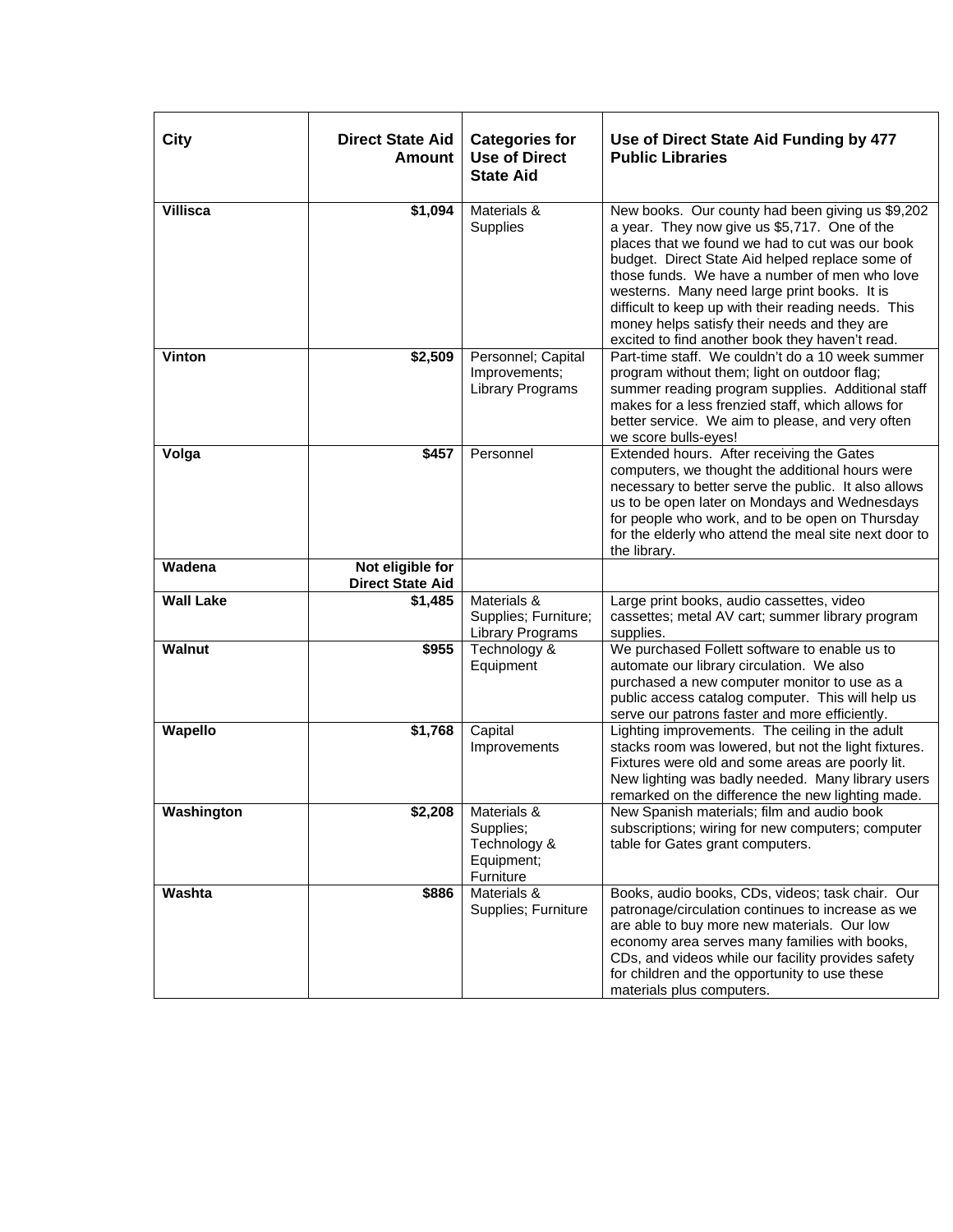| City             | <b>Direct State Aid</b><br><b>Amount</b>    | <b>Categories for</b><br><b>Use of Direct</b><br><b>State Aid</b>              | Use of Direct State Aid Funding by 477<br><b>Public Libraries</b>                                                                                                                                                                                                                                                                                                                                                                                                 |
|------------------|---------------------------------------------|--------------------------------------------------------------------------------|-------------------------------------------------------------------------------------------------------------------------------------------------------------------------------------------------------------------------------------------------------------------------------------------------------------------------------------------------------------------------------------------------------------------------------------------------------------------|
| Villisca         | \$1,094                                     | Materials &<br>Supplies                                                        | New books. Our county had been giving us \$9,202<br>a year. They now give us \$5,717. One of the<br>places that we found we had to cut was our book<br>budget. Direct State Aid helped replace some of<br>those funds. We have a number of men who love<br>westerns. Many need large print books. It is<br>difficult to keep up with their reading needs. This<br>money helps satisfy their needs and they are<br>excited to find another book they haven't read. |
| Vinton           | \$2,509                                     | Personnel; Capital<br>Improvements;<br>Library Programs                        | Part-time staff. We couldn't do a 10 week summer<br>program without them; light on outdoor flag;<br>summer reading program supplies. Additional staff<br>makes for a less frenzied staff, which allows for<br>better service. We aim to please, and very often<br>we score bulls-eyes!                                                                                                                                                                            |
| Volga            | \$457                                       | Personnel                                                                      | Extended hours. After receiving the Gates<br>computers, we thought the additional hours were<br>necessary to better serve the public. It also allows<br>us to be open later on Mondays and Wednesdays<br>for people who work, and to be open on Thursday<br>for the elderly who attend the meal site next door to<br>the library.                                                                                                                                 |
| Wadena           | Not eligible for<br><b>Direct State Aid</b> |                                                                                |                                                                                                                                                                                                                                                                                                                                                                                                                                                                   |
| <b>Wall Lake</b> | \$1,485                                     | Materials &<br>Supplies; Furniture;<br><b>Library Programs</b>                 | Large print books, audio cassettes, video<br>cassettes; metal AV cart; summer library program<br>supplies.                                                                                                                                                                                                                                                                                                                                                        |
| <b>Walnut</b>    | \$955                                       | Technology &<br>Equipment                                                      | We purchased Follett software to enable us to<br>automate our library circulation. We also<br>purchased a new computer monitor to use as a<br>public access catalog computer. This will help us<br>serve our patrons faster and more efficiently.                                                                                                                                                                                                                 |
| Wapello          | \$1,768                                     | Capital<br>Improvements                                                        | Lighting improvements. The ceiling in the adult<br>stacks room was lowered, but not the light fixtures.<br>Fixtures were old and some areas are poorly lit.<br>New lighting was badly needed. Many library users<br>remarked on the difference the new lighting made.                                                                                                                                                                                             |
| Washington       |                                             | $$2,208$ Materials $&$<br>Supplies;<br>Technology &<br>Equipment;<br>Furniture | New Spanish materials; film and audio book<br>subscriptions; wiring for new computers; computer<br>table for Gates grant computers.                                                                                                                                                                                                                                                                                                                               |
| Washta           | \$886                                       | Materials &<br>Supplies; Furniture                                             | Books, audio books, CDs, videos; task chair. Our<br>patronage/circulation continues to increase as we<br>are able to buy more new materials. Our low<br>economy area serves many families with books,<br>CDs, and videos while our facility provides safety<br>for children and the opportunity to use these<br>materials plus computers.                                                                                                                         |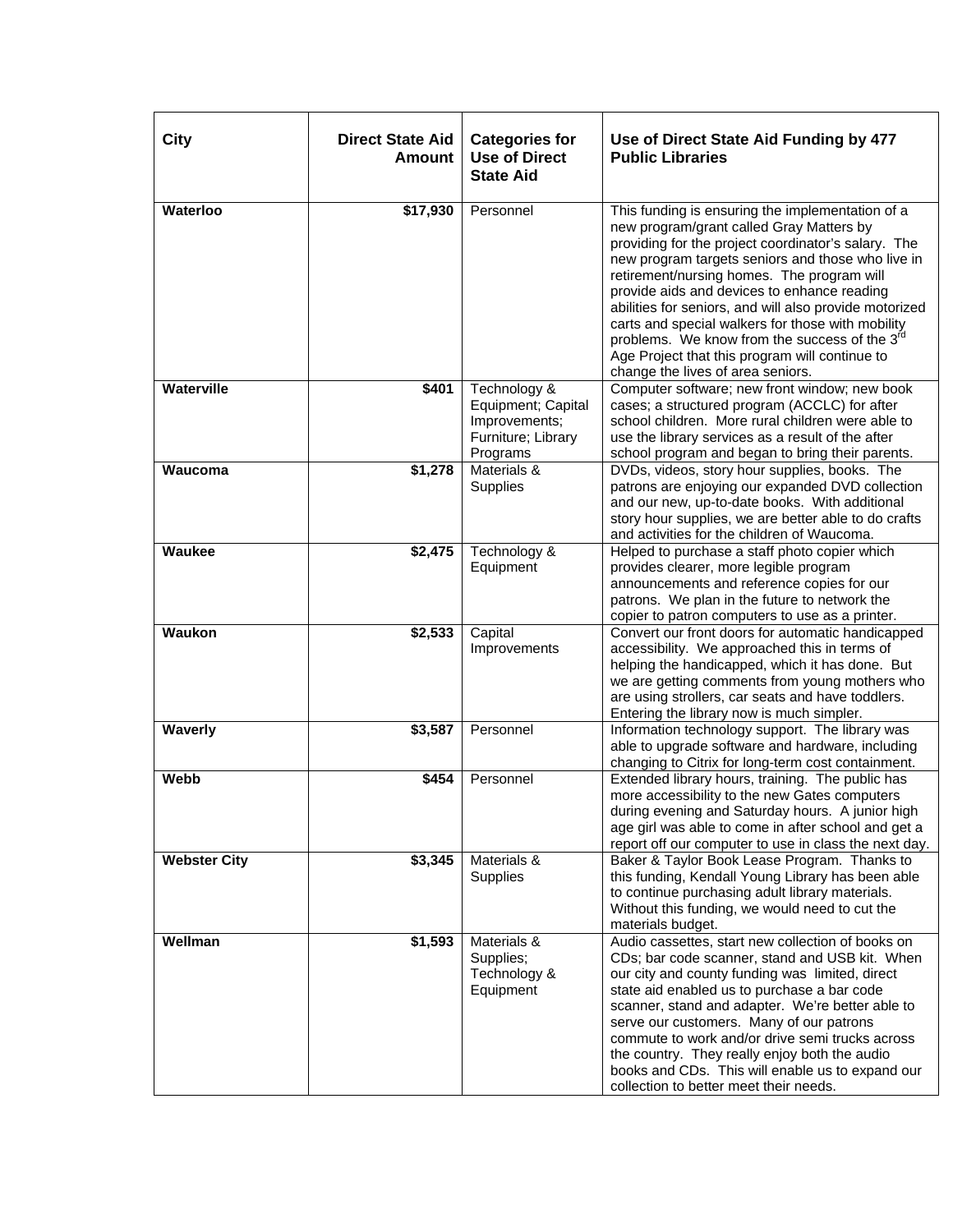| City                | <b>Direct State Aid</b><br><b>Amount</b> | <b>Categories for</b><br><b>Use of Direct</b><br><b>State Aid</b>                     | Use of Direct State Aid Funding by 477<br><b>Public Libraries</b>                                                                                                                                                                                                                                                                                                                                                                                                                                                                                                        |
|---------------------|------------------------------------------|---------------------------------------------------------------------------------------|--------------------------------------------------------------------------------------------------------------------------------------------------------------------------------------------------------------------------------------------------------------------------------------------------------------------------------------------------------------------------------------------------------------------------------------------------------------------------------------------------------------------------------------------------------------------------|
| Waterloo            | \$17,930                                 | Personnel                                                                             | This funding is ensuring the implementation of a<br>new program/grant called Gray Matters by<br>providing for the project coordinator's salary. The<br>new program targets seniors and those who live in<br>retirement/nursing homes. The program will<br>provide aids and devices to enhance reading<br>abilities for seniors, and will also provide motorized<br>carts and special walkers for those with mobility<br>problems. We know from the success of the 3 <sup>rd</sup><br>Age Project that this program will continue to<br>change the lives of area seniors. |
| Waterville          | \$401                                    | Technology &<br>Equipment; Capital<br>Improvements;<br>Furniture; Library<br>Programs | Computer software; new front window; new book<br>cases; a structured program (ACCLC) for after<br>school children. More rural children were able to<br>use the library services as a result of the after<br>school program and began to bring their parents.                                                                                                                                                                                                                                                                                                             |
| Waucoma             | \$1,278                                  | Materials &<br>Supplies                                                               | DVDs, videos, story hour supplies, books. The<br>patrons are enjoying our expanded DVD collection<br>and our new, up-to-date books. With additional<br>story hour supplies, we are better able to do crafts<br>and activities for the children of Waucoma.                                                                                                                                                                                                                                                                                                               |
| <b>Waukee</b>       | \$2,475                                  | Technology &<br>Equipment                                                             | Helped to purchase a staff photo copier which<br>provides clearer, more legible program<br>announcements and reference copies for our<br>patrons. We plan in the future to network the<br>copier to patron computers to use as a printer.                                                                                                                                                                                                                                                                                                                                |
| <b>Waukon</b>       | \$2,533                                  | Capital<br>Improvements                                                               | Convert our front doors for automatic handicapped<br>accessibility. We approached this in terms of<br>helping the handicapped, which it has done. But<br>we are getting comments from young mothers who<br>are using strollers, car seats and have toddlers.<br>Entering the library now is much simpler.                                                                                                                                                                                                                                                                |
| Waverly             | \$3,587                                  | Personnel                                                                             | Information technology support. The library was<br>able to upgrade software and hardware, including<br>changing to Citrix for long-term cost containment.                                                                                                                                                                                                                                                                                                                                                                                                                |
| Webb                | \$454                                    | Personnel                                                                             | Extended library hours, training. The public has<br>more accessibility to the new Gates computers<br>during evening and Saturday hours. A junior high<br>age girl was able to come in after school and get a<br>report off our computer to use in class the next day.                                                                                                                                                                                                                                                                                                    |
| <b>Webster City</b> | \$3,345                                  | Materials &<br>Supplies                                                               | Baker & Taylor Book Lease Program. Thanks to<br>this funding, Kendall Young Library has been able<br>to continue purchasing adult library materials.<br>Without this funding, we would need to cut the<br>materials budget.                                                                                                                                                                                                                                                                                                                                              |
| Wellman             | \$1,593                                  | Materials &<br>Supplies;<br>Technology &<br>Equipment                                 | Audio cassettes, start new collection of books on<br>CDs; bar code scanner, stand and USB kit. When<br>our city and county funding was limited, direct<br>state aid enabled us to purchase a bar code<br>scanner, stand and adapter. We're better able to<br>serve our customers. Many of our patrons<br>commute to work and/or drive semi trucks across<br>the country. They really enjoy both the audio<br>books and CDs. This will enable us to expand our<br>collection to better meet their needs.                                                                  |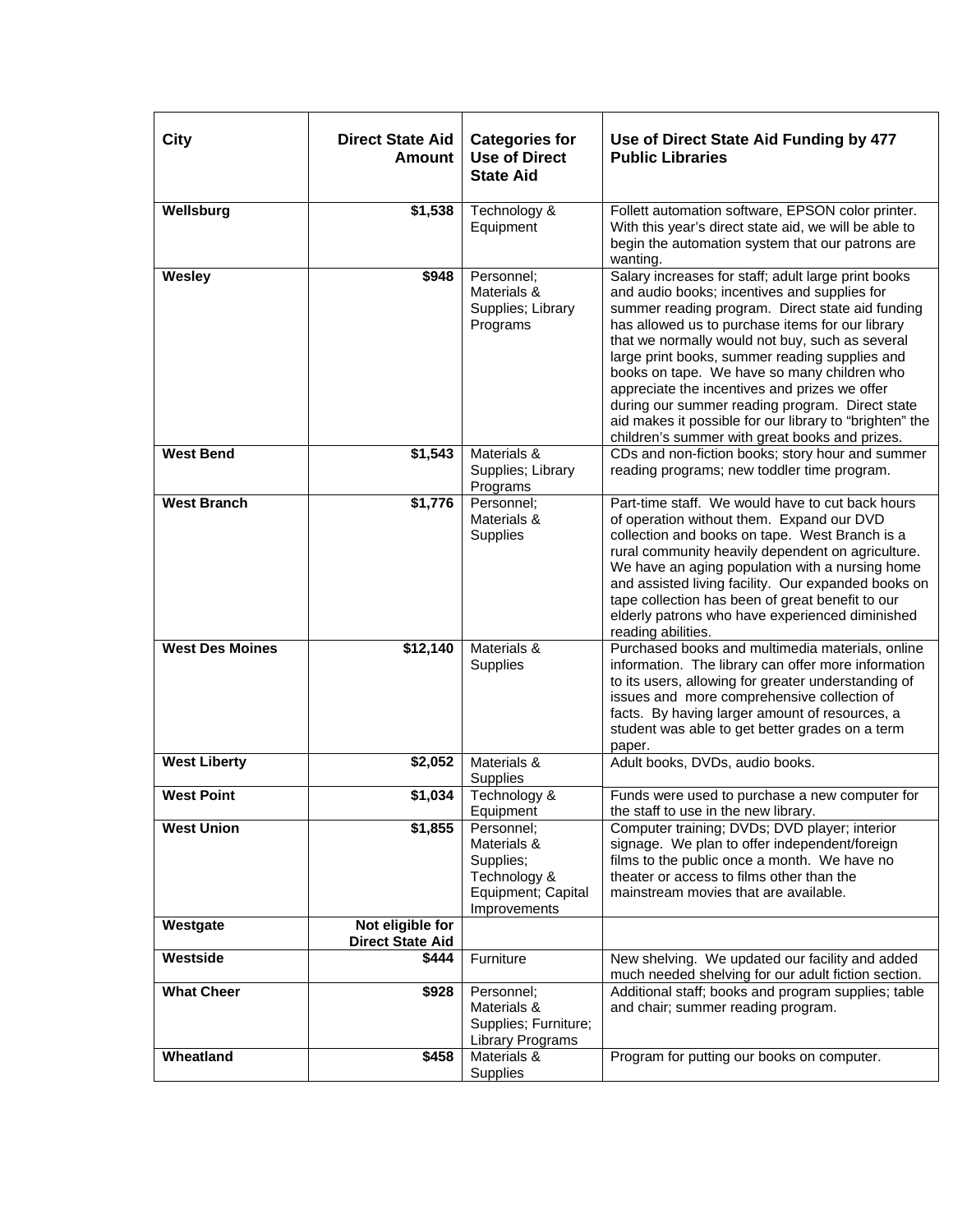| <b>City</b>            | <b>Direct State Aid</b><br><b>Amount</b>    | <b>Categories for</b><br><b>Use of Direct</b><br><b>State Aid</b>                            | Use of Direct State Aid Funding by 477<br><b>Public Libraries</b>                                                                                                                                                                                                                                                                                                                                                                                                                                                                                                                |
|------------------------|---------------------------------------------|----------------------------------------------------------------------------------------------|----------------------------------------------------------------------------------------------------------------------------------------------------------------------------------------------------------------------------------------------------------------------------------------------------------------------------------------------------------------------------------------------------------------------------------------------------------------------------------------------------------------------------------------------------------------------------------|
| Wellsburg              | \$1,538                                     | Technology &<br>Equipment                                                                    | Follett automation software, EPSON color printer.<br>With this year's direct state aid, we will be able to<br>begin the automation system that our patrons are<br>wanting.                                                                                                                                                                                                                                                                                                                                                                                                       |
| Wesley                 | \$948                                       | Personnel:<br>Materials &<br>Supplies; Library<br>Programs                                   | Salary increases for staff; adult large print books<br>and audio books; incentives and supplies for<br>summer reading program. Direct state aid funding<br>has allowed us to purchase items for our library<br>that we normally would not buy, such as several<br>large print books, summer reading supplies and<br>books on tape. We have so many children who<br>appreciate the incentives and prizes we offer<br>during our summer reading program. Direct state<br>aid makes it possible for our library to "brighten" the<br>children's summer with great books and prizes. |
| <b>West Bend</b>       | \$1,543                                     | Materials &<br>Supplies; Library<br>Programs                                                 | CDs and non-fiction books; story hour and summer<br>reading programs; new toddler time program.                                                                                                                                                                                                                                                                                                                                                                                                                                                                                  |
| <b>West Branch</b>     | \$1,776                                     | Personnel:<br>Materials &<br>Supplies                                                        | Part-time staff. We would have to cut back hours<br>of operation without them. Expand our DVD<br>collection and books on tape. West Branch is a<br>rural community heavily dependent on agriculture.<br>We have an aging population with a nursing home<br>and assisted living facility. Our expanded books on<br>tape collection has been of great benefit to our<br>elderly patrons who have experienced diminished<br>reading abilities.                                                                                                                                      |
| <b>West Des Moines</b> | \$12,140                                    | Materials &<br>Supplies                                                                      | Purchased books and multimedia materials, online<br>information. The library can offer more information<br>to its users, allowing for greater understanding of<br>issues and more comprehensive collection of<br>facts. By having larger amount of resources, a<br>student was able to get better grades on a term<br>paper.                                                                                                                                                                                                                                                     |
| <b>West Liberty</b>    | \$2,052                                     | Materials &<br>Supplies                                                                      | Adult books, DVDs, audio books.                                                                                                                                                                                                                                                                                                                                                                                                                                                                                                                                                  |
| <b>West Point</b>      | \$1,034                                     | Technology &<br>Equipment                                                                    | Funds were used to purchase a new computer for<br>the staff to use in the new library.                                                                                                                                                                                                                                                                                                                                                                                                                                                                                           |
| <b>West Union</b>      | \$1,855                                     | Personnel:<br>Materials &<br>Supplies;<br>Technology &<br>Equipment; Capital<br>Improvements | Computer training; DVDs; DVD player; interior<br>signage. We plan to offer independent/foreign<br>films to the public once a month. We have no<br>theater or access to films other than the<br>mainstream movies that are available.                                                                                                                                                                                                                                                                                                                                             |
| Westgate               | Not eligible for<br><b>Direct State Aid</b> |                                                                                              |                                                                                                                                                                                                                                                                                                                                                                                                                                                                                                                                                                                  |
| Westside               | \$444                                       | Furniture                                                                                    | New shelving. We updated our facility and added<br>much needed shelving for our adult fiction section.                                                                                                                                                                                                                                                                                                                                                                                                                                                                           |
| <b>What Cheer</b>      | \$928                                       | Personnel;<br>Materials &<br>Supplies; Furniture;<br>Library Programs                        | Additional staff; books and program supplies; table<br>and chair; summer reading program.                                                                                                                                                                                                                                                                                                                                                                                                                                                                                        |
| Wheatland              | \$458                                       | Materials &<br>Supplies                                                                      | Program for putting our books on computer.                                                                                                                                                                                                                                                                                                                                                                                                                                                                                                                                       |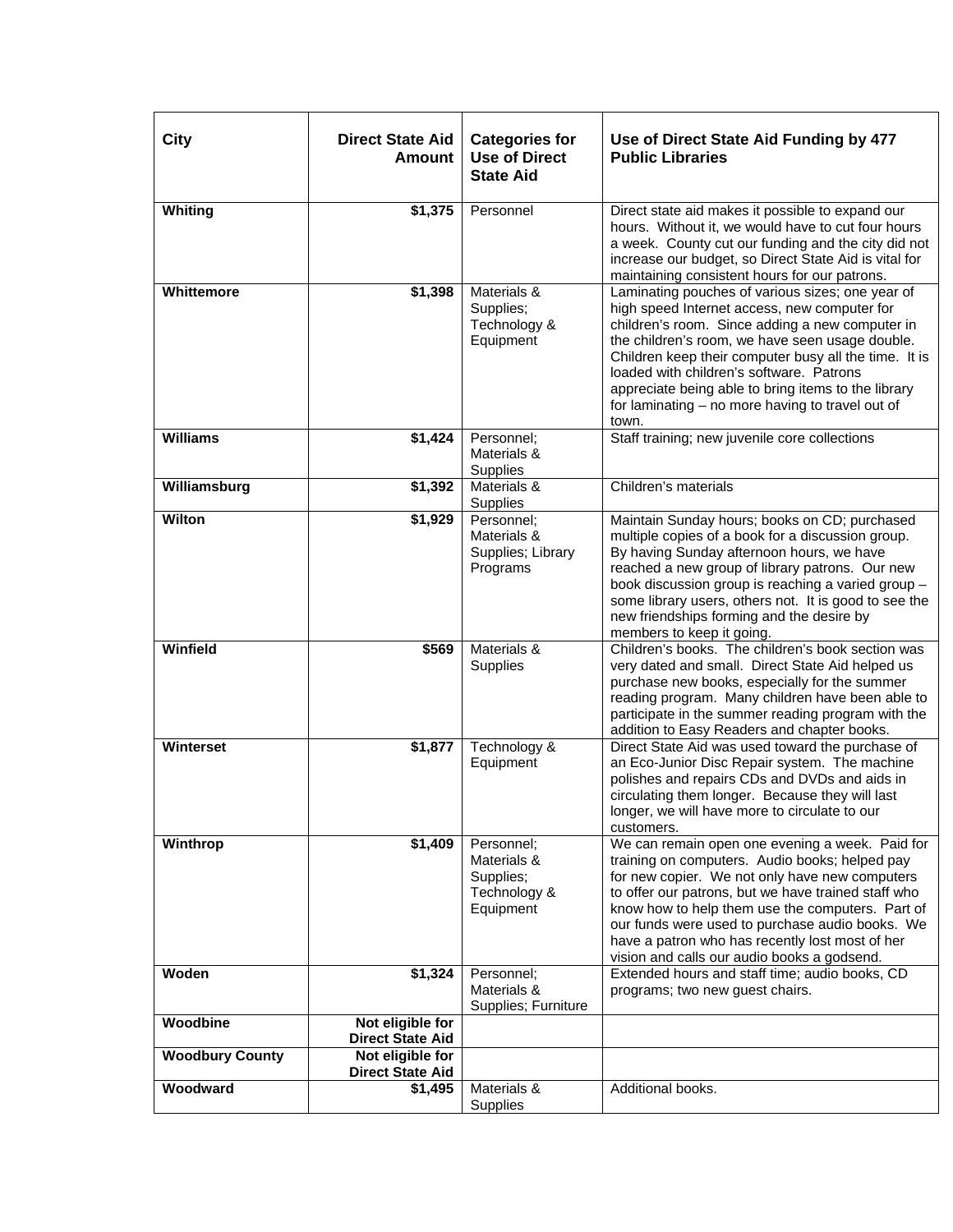| <b>City</b>            | <b>Direct State Aid</b><br><b>Amount</b>    | <b>Categories for</b><br><b>Use of Direct</b><br><b>State Aid</b>   | Use of Direct State Aid Funding by 477<br><b>Public Libraries</b>                                                                                                                                                                                                                                                                                                                                                               |
|------------------------|---------------------------------------------|---------------------------------------------------------------------|---------------------------------------------------------------------------------------------------------------------------------------------------------------------------------------------------------------------------------------------------------------------------------------------------------------------------------------------------------------------------------------------------------------------------------|
| Whiting                | \$1,375                                     | Personnel                                                           | Direct state aid makes it possible to expand our<br>hours. Without it, we would have to cut four hours<br>a week. County cut our funding and the city did not<br>increase our budget, so Direct State Aid is vital for<br>maintaining consistent hours for our patrons.                                                                                                                                                         |
| Whittemore             | \$1,398                                     | Materials &<br>Supplies;<br>Technology &<br>Equipment               | Laminating pouches of various sizes; one year of<br>high speed Internet access, new computer for<br>children's room. Since adding a new computer in<br>the children's room, we have seen usage double.<br>Children keep their computer busy all the time. It is<br>loaded with children's software. Patrons<br>appreciate being able to bring items to the library<br>for laminating - no more having to travel out of<br>town. |
| <b>Williams</b>        | \$1,424                                     | Personnel;<br>Materials &<br>Supplies                               | Staff training; new juvenile core collections                                                                                                                                                                                                                                                                                                                                                                                   |
| Williamsburg           | \$1,392                                     | Materials &<br>Supplies                                             | Children's materials                                                                                                                                                                                                                                                                                                                                                                                                            |
| Wilton                 | \$1,929                                     | Personnel:<br>Materials &<br>Supplies; Library<br>Programs          | Maintain Sunday hours; books on CD; purchased<br>multiple copies of a book for a discussion group.<br>By having Sunday afternoon hours, we have<br>reached a new group of library patrons. Our new<br>book discussion group is reaching a varied group -<br>some library users, others not. It is good to see the<br>new friendships forming and the desire by<br>members to keep it going.                                     |
| Winfield               | \$569                                       | Materials &<br>Supplies                                             | Children's books. The children's book section was<br>very dated and small. Direct State Aid helped us<br>purchase new books, especially for the summer<br>reading program. Many children have been able to<br>participate in the summer reading program with the<br>addition to Easy Readers and chapter books.                                                                                                                 |
| Winterset              | \$1,877                                     | Technology &<br>Equipment                                           | Direct State Aid was used toward the purchase of<br>an Eco-Junior Disc Repair system. The machine<br>polishes and repairs CDs and DVDs and aids in<br>circulating them longer. Because they will last<br>longer, we will have more to circulate to our<br>customers.                                                                                                                                                            |
| Winthrop               | \$1,409                                     | Personnel:<br>Materials &<br>Supplies;<br>Technology &<br>Equipment | We can remain open one evening a week. Paid for<br>training on computers. Audio books; helped pay<br>for new copier. We not only have new computers<br>to offer our patrons, but we have trained staff who<br>know how to help them use the computers. Part of<br>our funds were used to purchase audio books. We<br>have a patron who has recently lost most of her<br>vision and calls our audio books a godsend.             |
| Woden                  | \$1,324                                     | Personnel;<br>Materials &<br>Supplies; Furniture                    | Extended hours and staff time; audio books, CD<br>programs; two new guest chairs.                                                                                                                                                                                                                                                                                                                                               |
| Woodbine               | Not eligible for<br><b>Direct State Aid</b> |                                                                     |                                                                                                                                                                                                                                                                                                                                                                                                                                 |
| <b>Woodbury County</b> | Not eligible for<br><b>Direct State Aid</b> |                                                                     |                                                                                                                                                                                                                                                                                                                                                                                                                                 |
| Woodward               | $\overline{\$1,495}$                        | Materials &<br>Supplies                                             | Additional books.                                                                                                                                                                                                                                                                                                                                                                                                               |